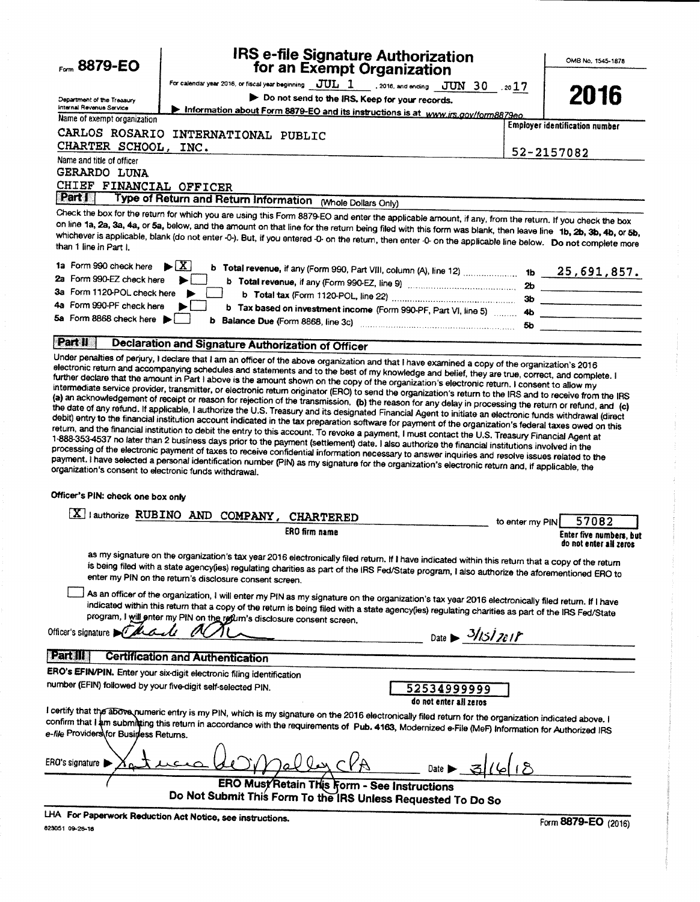| Form 8879-EO                                                                                                                          |                                                                                                                                   | <b>IRS e-file Signature Authorization</b><br>for an Exempt Organization                                                                                                                                                                                                                                                                                                                                                                                                                                                                                                                                                                                                                                                                                                                                                                                                                                                                                                                                                                                                                                                                                                                                                                                                                                                                                                                                                                                                                                                                                                                         |                              |                 | OMB No. 1545-1878                     |
|---------------------------------------------------------------------------------------------------------------------------------------|-----------------------------------------------------------------------------------------------------------------------------------|-------------------------------------------------------------------------------------------------------------------------------------------------------------------------------------------------------------------------------------------------------------------------------------------------------------------------------------------------------------------------------------------------------------------------------------------------------------------------------------------------------------------------------------------------------------------------------------------------------------------------------------------------------------------------------------------------------------------------------------------------------------------------------------------------------------------------------------------------------------------------------------------------------------------------------------------------------------------------------------------------------------------------------------------------------------------------------------------------------------------------------------------------------------------------------------------------------------------------------------------------------------------------------------------------------------------------------------------------------------------------------------------------------------------------------------------------------------------------------------------------------------------------------------------------------------------------------------------------|------------------------------|-----------------|---------------------------------------|
|                                                                                                                                       |                                                                                                                                   | For calendar year 2016, or fiscal year beginning $\boxed{\text{JUL} \quad 1}$ , 2016, and ending $\boxed{\text{JUN} \quad 30}$ , 20 $17$                                                                                                                                                                                                                                                                                                                                                                                                                                                                                                                                                                                                                                                                                                                                                                                                                                                                                                                                                                                                                                                                                                                                                                                                                                                                                                                                                                                                                                                        |                              |                 |                                       |
| Department of the Treasury                                                                                                            |                                                                                                                                   | Do not send to the IRS. Keep for your records.                                                                                                                                                                                                                                                                                                                                                                                                                                                                                                                                                                                                                                                                                                                                                                                                                                                                                                                                                                                                                                                                                                                                                                                                                                                                                                                                                                                                                                                                                                                                                  |                              |                 | 2016                                  |
| internal Revenue Service                                                                                                              |                                                                                                                                   | Information about Form 8879-EO and its instructions is at www.irs.gov/form8879eo.                                                                                                                                                                                                                                                                                                                                                                                                                                                                                                                                                                                                                                                                                                                                                                                                                                                                                                                                                                                                                                                                                                                                                                                                                                                                                                                                                                                                                                                                                                               |                              |                 |                                       |
| Name of exempt organization                                                                                                           |                                                                                                                                   |                                                                                                                                                                                                                                                                                                                                                                                                                                                                                                                                                                                                                                                                                                                                                                                                                                                                                                                                                                                                                                                                                                                                                                                                                                                                                                                                                                                                                                                                                                                                                                                                 |                              |                 | <b>Employer identification number</b> |
| CARLOS ROSARIO<br>CHARTER SCHOOL,                                                                                                     | INTERNATIONAL PUBLIC<br>INC.                                                                                                      |                                                                                                                                                                                                                                                                                                                                                                                                                                                                                                                                                                                                                                                                                                                                                                                                                                                                                                                                                                                                                                                                                                                                                                                                                                                                                                                                                                                                                                                                                                                                                                                                 |                              |                 |                                       |
| Name and title of officer                                                                                                             |                                                                                                                                   |                                                                                                                                                                                                                                                                                                                                                                                                                                                                                                                                                                                                                                                                                                                                                                                                                                                                                                                                                                                                                                                                                                                                                                                                                                                                                                                                                                                                                                                                                                                                                                                                 |                              | 52-2157082      |                                       |
| GERARDO LUNA<br>CHIEF FINANCIAL OFFICER                                                                                               |                                                                                                                                   |                                                                                                                                                                                                                                                                                                                                                                                                                                                                                                                                                                                                                                                                                                                                                                                                                                                                                                                                                                                                                                                                                                                                                                                                                                                                                                                                                                                                                                                                                                                                                                                                 |                              |                 |                                       |
| Part I                                                                                                                                |                                                                                                                                   | Type of Return and Return Information (Whole Dollars Only)                                                                                                                                                                                                                                                                                                                                                                                                                                                                                                                                                                                                                                                                                                                                                                                                                                                                                                                                                                                                                                                                                                                                                                                                                                                                                                                                                                                                                                                                                                                                      |                              |                 |                                       |
| than 1 line in Part I.                                                                                                                |                                                                                                                                   | Check the box for the return for which you are using this Form 8879-EO and enter the applicable amount, if any, from the return. If you check the box<br>on line 1a, 2a, 3a, 4a, or 5a, below, and the amount on that line for the return being filed with this form was blank, then leave line 1b, 2b, 3b, 4b, or 5b,<br>whichever is applicable, blank (do not enter -0-). But, if you entered -0- on the return, then enter -0- on the applicable line below. Do not complete more                                                                                                                                                                                                                                                                                                                                                                                                                                                                                                                                                                                                                                                                                                                                                                                                                                                                                                                                                                                                                                                                                                           |                              |                 |                                       |
| 1a Form 990 check here<br>2a Form 990-EZ check here                                                                                   | $\blacktriangleright$ $\mid$ X                                                                                                    |                                                                                                                                                                                                                                                                                                                                                                                                                                                                                                                                                                                                                                                                                                                                                                                                                                                                                                                                                                                                                                                                                                                                                                                                                                                                                                                                                                                                                                                                                                                                                                                                 |                              |                 |                                       |
| 3a Form 1120-POL check here                                                                                                           |                                                                                                                                   |                                                                                                                                                                                                                                                                                                                                                                                                                                                                                                                                                                                                                                                                                                                                                                                                                                                                                                                                                                                                                                                                                                                                                                                                                                                                                                                                                                                                                                                                                                                                                                                                 |                              |                 |                                       |
| 4a Form 990-PF check here                                                                                                             |                                                                                                                                   |                                                                                                                                                                                                                                                                                                                                                                                                                                                                                                                                                                                                                                                                                                                                                                                                                                                                                                                                                                                                                                                                                                                                                                                                                                                                                                                                                                                                                                                                                                                                                                                                 |                              |                 |                                       |
| 5a Form 8868 check here                                                                                                               |                                                                                                                                   | b Tax based on investment income (Form 990-PF, Part VI, line 5)  4b                                                                                                                                                                                                                                                                                                                                                                                                                                                                                                                                                                                                                                                                                                                                                                                                                                                                                                                                                                                                                                                                                                                                                                                                                                                                                                                                                                                                                                                                                                                             |                              |                 |                                       |
|                                                                                                                                       |                                                                                                                                   | b Balance Due (Form 8868, line 3c) manufactured contains and contained and below the Balance Due (Form 8868, line 3c)                                                                                                                                                                                                                                                                                                                                                                                                                                                                                                                                                                                                                                                                                                                                                                                                                                                                                                                                                                                                                                                                                                                                                                                                                                                                                                                                                                                                                                                                           |                              |                 | 5b                                    |
| Part II                                                                                                                               | <b>Declaration and Signature Authorization of Officer</b>                                                                         |                                                                                                                                                                                                                                                                                                                                                                                                                                                                                                                                                                                                                                                                                                                                                                                                                                                                                                                                                                                                                                                                                                                                                                                                                                                                                                                                                                                                                                                                                                                                                                                                 |                              |                 |                                       |
| organization's consent to electronic funds withdrawal.<br>Officer's PIN: check one box only                                           | X   authorize RUBINO AND COMPANY, CHARTERED                                                                                       | electronic return and accompanying schedules and statements and to the best of my knowledge and belief, they are true, correct, and complete. I<br>further declare that the amount in Part I above is the amount shown on the copy of the organization's electronic return. I consent to allow my<br>intermediate service provider, transmitter, or electronic return originator (ERO) to send the organization's return to the IRS and to receive from the IRS<br>(a) an acknowledgement of receipt or reason for rejection of the transmission, (b) the reason for any delay in processing the return or refund, and (c)<br>the date of any refund. If applicable, I authorize the U.S. Treasury and its designated Financial Agent to initiate an electronic funds withdrawal (direct<br>debit) entry to the financial institution account indicated in the tax preparation software for payment of the organization's federal taxes owed on this<br>return, and the financial institution to debit the entry to this account. To revoke a payment, I must contact the U.S. Treasury Financial Agent at<br>1-888-353-4537 no later than 2 business days prior to the payment (settlement) date. I also authorize the financial institutions involved in the<br>processing of the electronic payment of taxes to receive confidential information necessary to answer inquiries and resolve issues related to the<br>payment. I have selected a personal identification number (PIN) as my signature for the organization's electronic return and, if applicable, the<br><b>ERO firm name</b> |                              | to enter my PIN | 57082<br>Enter five numbers, but      |
|                                                                                                                                       |                                                                                                                                   |                                                                                                                                                                                                                                                                                                                                                                                                                                                                                                                                                                                                                                                                                                                                                                                                                                                                                                                                                                                                                                                                                                                                                                                                                                                                                                                                                                                                                                                                                                                                                                                                 |                              |                 | do not enter all zeros                |
| Officer's signature                                                                                                                   | enter my PIN on the return's disclosure consent screen.<br>program, I will onter my PIN on the redum's disclosure consent screen. | as my signature on the organization's tax year 2016 electronically filed return. If I have indicated within this return that a copy of the return<br>is being filed with a state agency(ies) regulating charities as part of the IRS Fed/State program, I also authorize the aforementioned ERO to<br>As an officer of the organization, I will enter my PIN as my signature on the organization's tax year 2016 electronically filed return. If I have<br>indicated within this return that a copy of the return is being filed with a state agency(ies) regulating charities as part of the IRS Fed/State                                                                                                                                                                                                                                                                                                                                                                                                                                                                                                                                                                                                                                                                                                                                                                                                                                                                                                                                                                                     | Date $\rightarrow$ 3/15/2018 |                 |                                       |
|                                                                                                                                       |                                                                                                                                   |                                                                                                                                                                                                                                                                                                                                                                                                                                                                                                                                                                                                                                                                                                                                                                                                                                                                                                                                                                                                                                                                                                                                                                                                                                                                                                                                                                                                                                                                                                                                                                                                 |                              |                 |                                       |
| Part III                                                                                                                              | <b>Certification and Authentication</b>                                                                                           |                                                                                                                                                                                                                                                                                                                                                                                                                                                                                                                                                                                                                                                                                                                                                                                                                                                                                                                                                                                                                                                                                                                                                                                                                                                                                                                                                                                                                                                                                                                                                                                                 |                              |                 |                                       |
| ERO's EFIN/PIN. Enter your six-digit electronic filing identification<br>number (EFIN) followed by your five-digit self-selected PIN. |                                                                                                                                   | 52534999999<br>do not enter all zeros                                                                                                                                                                                                                                                                                                                                                                                                                                                                                                                                                                                                                                                                                                                                                                                                                                                                                                                                                                                                                                                                                                                                                                                                                                                                                                                                                                                                                                                                                                                                                           |                              |                 |                                       |
| e-file Providers for Business Returns.                                                                                                |                                                                                                                                   | I certify that the above numeric entry is my PIN, which is my signature on the 2016 electronically filed return for the organization indicated above. I<br>confirm that I am submitting this return in accordance with the requirements of Pub. 4163, Modernized e-File (MeF) Information for Authorized IRS                                                                                                                                                                                                                                                                                                                                                                                                                                                                                                                                                                                                                                                                                                                                                                                                                                                                                                                                                                                                                                                                                                                                                                                                                                                                                    |                              |                 |                                       |
| ERO's signature                                                                                                                       |                                                                                                                                   | Date D                                                                                                                                                                                                                                                                                                                                                                                                                                                                                                                                                                                                                                                                                                                                                                                                                                                                                                                                                                                                                                                                                                                                                                                                                                                                                                                                                                                                                                                                                                                                                                                          |                              |                 |                                       |
|                                                                                                                                       |                                                                                                                                   | <b>ERO Must Retain This Form - See Instructions</b><br>Do Not Submit This Form To the IRS Unless Requested To Do So                                                                                                                                                                                                                                                                                                                                                                                                                                                                                                                                                                                                                                                                                                                                                                                                                                                                                                                                                                                                                                                                                                                                                                                                                                                                                                                                                                                                                                                                             |                              |                 |                                       |
| LHA For Paperwork Reduction Act Notice, see instructions.                                                                             |                                                                                                                                   |                                                                                                                                                                                                                                                                                                                                                                                                                                                                                                                                                                                                                                                                                                                                                                                                                                                                                                                                                                                                                                                                                                                                                                                                                                                                                                                                                                                                                                                                                                                                                                                                 |                              |                 |                                       |
| 623051 09-26-16                                                                                                                       |                                                                                                                                   |                                                                                                                                                                                                                                                                                                                                                                                                                                                                                                                                                                                                                                                                                                                                                                                                                                                                                                                                                                                                                                                                                                                                                                                                                                                                                                                                                                                                                                                                                                                                                                                                 |                              |                 | Form 8879-EO (2016)                   |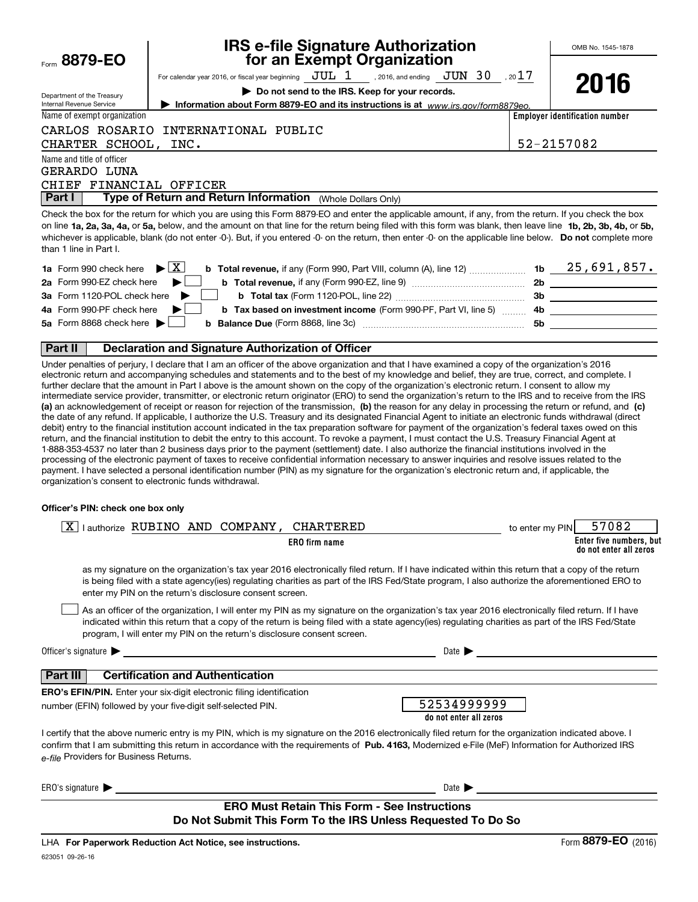|                                                                      | <b>IRS e-file Signature Authorization<br/>for an Exempt Organization</b>                                                                                                                                                                                                                                                                                                                                                                                                                                                                                                                                                                                                                                                                                                                                                                                                                                                                                                                                                                                                                                                                                                                                                                                                                                                                                                                                                                                                                                                                                                                                                                                                                                                                                                             |                 | OMB No. 1545-1878                                 |
|----------------------------------------------------------------------|--------------------------------------------------------------------------------------------------------------------------------------------------------------------------------------------------------------------------------------------------------------------------------------------------------------------------------------------------------------------------------------------------------------------------------------------------------------------------------------------------------------------------------------------------------------------------------------------------------------------------------------------------------------------------------------------------------------------------------------------------------------------------------------------------------------------------------------------------------------------------------------------------------------------------------------------------------------------------------------------------------------------------------------------------------------------------------------------------------------------------------------------------------------------------------------------------------------------------------------------------------------------------------------------------------------------------------------------------------------------------------------------------------------------------------------------------------------------------------------------------------------------------------------------------------------------------------------------------------------------------------------------------------------------------------------------------------------------------------------------------------------------------------------|-----------------|---------------------------------------------------|
| Form 8879-EO                                                         |                                                                                                                                                                                                                                                                                                                                                                                                                                                                                                                                                                                                                                                                                                                                                                                                                                                                                                                                                                                                                                                                                                                                                                                                                                                                                                                                                                                                                                                                                                                                                                                                                                                                                                                                                                                      |                 |                                                   |
|                                                                      | For calendar year 2016, or fiscal year beginning $JUL$ $1$ , 2016, and ending $JUN$ $30$ , 20 $17$                                                                                                                                                                                                                                                                                                                                                                                                                                                                                                                                                                                                                                                                                                                                                                                                                                                                                                                                                                                                                                                                                                                                                                                                                                                                                                                                                                                                                                                                                                                                                                                                                                                                                   |                 | 2016                                              |
| Department of the Treasury                                           | Do not send to the IRS. Keep for your records.                                                                                                                                                                                                                                                                                                                                                                                                                                                                                                                                                                                                                                                                                                                                                                                                                                                                                                                                                                                                                                                                                                                                                                                                                                                                                                                                                                                                                                                                                                                                                                                                                                                                                                                                       |                 |                                                   |
| Internal Revenue Service                                             | Information about Form 8879-EO and its instructions is at www.irs.gov/form8879eo.                                                                                                                                                                                                                                                                                                                                                                                                                                                                                                                                                                                                                                                                                                                                                                                                                                                                                                                                                                                                                                                                                                                                                                                                                                                                                                                                                                                                                                                                                                                                                                                                                                                                                                    |                 |                                                   |
| Name of exempt organization                                          |                                                                                                                                                                                                                                                                                                                                                                                                                                                                                                                                                                                                                                                                                                                                                                                                                                                                                                                                                                                                                                                                                                                                                                                                                                                                                                                                                                                                                                                                                                                                                                                                                                                                                                                                                                                      |                 | <b>Employer identification number</b>             |
| CARLOS ROSARIO                                                       | INTERNATIONAL PUBLIC                                                                                                                                                                                                                                                                                                                                                                                                                                                                                                                                                                                                                                                                                                                                                                                                                                                                                                                                                                                                                                                                                                                                                                                                                                                                                                                                                                                                                                                                                                                                                                                                                                                                                                                                                                 |                 |                                                   |
| CHARTER SCHOOL,                                                      | INC.                                                                                                                                                                                                                                                                                                                                                                                                                                                                                                                                                                                                                                                                                                                                                                                                                                                                                                                                                                                                                                                                                                                                                                                                                                                                                                                                                                                                                                                                                                                                                                                                                                                                                                                                                                                 |                 | 52-2157082                                        |
| Name and title of officer<br>GERARDO LUNA<br>CHIEF FINANCIAL OFFICER |                                                                                                                                                                                                                                                                                                                                                                                                                                                                                                                                                                                                                                                                                                                                                                                                                                                                                                                                                                                                                                                                                                                                                                                                                                                                                                                                                                                                                                                                                                                                                                                                                                                                                                                                                                                      |                 |                                                   |
| Part I                                                               | Type of Return and Return Information (Whole Dollars Only)                                                                                                                                                                                                                                                                                                                                                                                                                                                                                                                                                                                                                                                                                                                                                                                                                                                                                                                                                                                                                                                                                                                                                                                                                                                                                                                                                                                                                                                                                                                                                                                                                                                                                                                           |                 |                                                   |
| than 1 line in Part I.<br><b>1a</b> Form 990 check here              | Check the box for the return for which you are using this Form 8879-EO and enter the applicable amount, if any, from the return. If you check the box<br>on line 1a, 2a, 3a, 4a, or 5a, below, and the amount on that line for the return being filed with this form was blank, then leave line 1b, 2b, 3b, 4b, or 5b,<br>whichever is applicable, blank (do not enter -0-). But, if you entered -0- on the return, then enter -0- on the applicable line below. Do not complete more<br><b>b</b> Total revenue, if any (Form 990, Part VIII, column (A), line 12)  1b $\underline{\hspace{1cm}} 25,691,857.$<br>$\blacktriangleright$ $\mid$ X                                                                                                                                                                                                                                                                                                                                                                                                                                                                                                                                                                                                                                                                                                                                                                                                                                                                                                                                                                                                                                                                                                                                      |                 |                                                   |
| 2a Form 990-EZ check here                                            |                                                                                                                                                                                                                                                                                                                                                                                                                                                                                                                                                                                                                                                                                                                                                                                                                                                                                                                                                                                                                                                                                                                                                                                                                                                                                                                                                                                                                                                                                                                                                                                                                                                                                                                                                                                      |                 |                                                   |
| 3a Form 1120-POL check here                                          |                                                                                                                                                                                                                                                                                                                                                                                                                                                                                                                                                                                                                                                                                                                                                                                                                                                                                                                                                                                                                                                                                                                                                                                                                                                                                                                                                                                                                                                                                                                                                                                                                                                                                                                                                                                      |                 |                                                   |
| 4a Form 990-PF check here                                            | b Tax based on investment income (Form 990-PF, Part VI, line 5) [10001] 4b [2001] [2002] [2002] [2004] [2003] [                                                                                                                                                                                                                                                                                                                                                                                                                                                                                                                                                                                                                                                                                                                                                                                                                                                                                                                                                                                                                                                                                                                                                                                                                                                                                                                                                                                                                                                                                                                                                                                                                                                                      |                 |                                                   |
| 5a Form 8868 check here                                              |                                                                                                                                                                                                                                                                                                                                                                                                                                                                                                                                                                                                                                                                                                                                                                                                                                                                                                                                                                                                                                                                                                                                                                                                                                                                                                                                                                                                                                                                                                                                                                                                                                                                                                                                                                                      |                 |                                                   |
|                                                                      |                                                                                                                                                                                                                                                                                                                                                                                                                                                                                                                                                                                                                                                                                                                                                                                                                                                                                                                                                                                                                                                                                                                                                                                                                                                                                                                                                                                                                                                                                                                                                                                                                                                                                                                                                                                      |                 |                                                   |
| Part II                                                              | <b>Declaration and Signature Authorization of Officer</b>                                                                                                                                                                                                                                                                                                                                                                                                                                                                                                                                                                                                                                                                                                                                                                                                                                                                                                                                                                                                                                                                                                                                                                                                                                                                                                                                                                                                                                                                                                                                                                                                                                                                                                                            |                 |                                                   |
|                                                                      | Under penalties of perjury, I declare that I am an officer of the above organization and that I have examined a copy of the organization's 2016<br>electronic return and accompanying schedules and statements and to the best of my knowledge and belief, they are true, correct, and complete. I<br>further declare that the amount in Part I above is the amount shown on the copy of the organization's electronic return. I consent to allow my<br>intermediate service provider, transmitter, or electronic return originator (ERO) to send the organization's return to the IRS and to receive from the IRS<br>(a) an acknowledgement of receipt or reason for rejection of the transmission, (b) the reason for any delay in processing the return or refund, and (c)<br>the date of any refund. If applicable, I authorize the U.S. Treasury and its designated Financial Agent to initiate an electronic funds withdrawal (direct<br>debit) entry to the financial institution account indicated in the tax preparation software for payment of the organization's federal taxes owed on this<br>return, and the financial institution to debit the entry to this account. To revoke a payment, I must contact the U.S. Treasury Financial Agent at<br>1-888-353-4537 no later than 2 business days prior to the payment (settlement) date. I also authorize the financial institutions involved in the<br>processing of the electronic payment of taxes to receive confidential information necessary to answer inquiries and resolve issues related to the<br>payment. I have selected a personal identification number (PIN) as my signature for the organization's electronic return and, if applicable, the<br>organization's consent to electronic funds withdrawal. |                 |                                                   |
| Officer's PIN: check one box only                                    |                                                                                                                                                                                                                                                                                                                                                                                                                                                                                                                                                                                                                                                                                                                                                                                                                                                                                                                                                                                                                                                                                                                                                                                                                                                                                                                                                                                                                                                                                                                                                                                                                                                                                                                                                                                      |                 |                                                   |
| ΧI                                                                   | I authorize RUBINO AND COMPANY, CHARTERED                                                                                                                                                                                                                                                                                                                                                                                                                                                                                                                                                                                                                                                                                                                                                                                                                                                                                                                                                                                                                                                                                                                                                                                                                                                                                                                                                                                                                                                                                                                                                                                                                                                                                                                                            | to enter my PIN | 57082                                             |
|                                                                      | <b>ERO</b> firm name                                                                                                                                                                                                                                                                                                                                                                                                                                                                                                                                                                                                                                                                                                                                                                                                                                                                                                                                                                                                                                                                                                                                                                                                                                                                                                                                                                                                                                                                                                                                                                                                                                                                                                                                                                 |                 | Enter five numbers, but<br>do not enter all zeros |
|                                                                      | as my signature on the organization's tax year 2016 electronically filed return. If I have indicated within this return that a copy of the return<br>is being filed with a state agency(ies) regulating charities as part of the IRS Fed/State program, I also authorize the aforementioned ERO to<br>enter my PIN on the return's disclosure consent screen.                                                                                                                                                                                                                                                                                                                                                                                                                                                                                                                                                                                                                                                                                                                                                                                                                                                                                                                                                                                                                                                                                                                                                                                                                                                                                                                                                                                                                        |                 |                                                   |
|                                                                      | As an officer of the organization, I will enter my PIN as my signature on the organization's tax year 2016 electronically filed return. If I have<br>indicated within this return that a copy of the return is being filed with a state agency(ies) regulating charities as part of the IRS Fed/State<br>program, I will enter my PIN on the return's disclosure consent screen.                                                                                                                                                                                                                                                                                                                                                                                                                                                                                                                                                                                                                                                                                                                                                                                                                                                                                                                                                                                                                                                                                                                                                                                                                                                                                                                                                                                                     |                 |                                                   |
| Officer's signature $\blacktriangleright$                            | <u> 1989 - Andrea Station, amerikansk politik (d. 1989)</u>                                                                                                                                                                                                                                                                                                                                                                                                                                                                                                                                                                                                                                                                                                                                                                                                                                                                                                                                                                                                                                                                                                                                                                                                                                                                                                                                                                                                                                                                                                                                                                                                                                                                                                                          |                 | Date $\triangleright$                             |
| Part III                                                             | <b>Certification and Authentication</b>                                                                                                                                                                                                                                                                                                                                                                                                                                                                                                                                                                                                                                                                                                                                                                                                                                                                                                                                                                                                                                                                                                                                                                                                                                                                                                                                                                                                                                                                                                                                                                                                                                                                                                                                              |                 |                                                   |

**ERO's EFIN/PIN.** Enter your six-digit electronic filing identification number (EFIN) followed by your five-digit self-selected PIN.

| 52534999999            |  |
|------------------------|--|
| do not enter all zeros |  |

confirm that I am submitting this return in accordance with the requirements of **Pub. 4163,** Modernized e-File (MeF) Information for Authorized IRS *e-file*  Providers for Business Returns. I certify that the above numeric entry is my PIN, which is my signature on the 2016 electronically filed return for the organization indicated above. I

 $ERO's signature$  Date Date Date  $\blacktriangleright$ 

## **ERO Must Retain This Form - See Instructions Do Not Submit This Form To the IRS Unless Requested To Do So**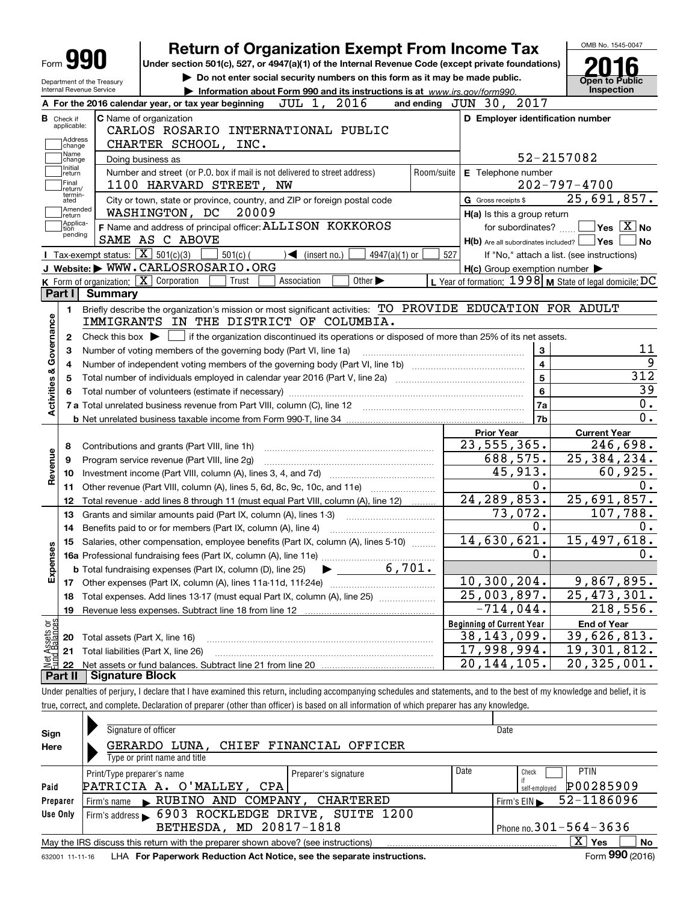| Form JY                                            |         | Under section 501(c), 527, or 4947(a)(1) of the Internal Revenue Code (except private foundations)         |                                                                             |                                                                                                 |                             |                 |            |                                                           |                         |                                            |                                                                                                            |
|----------------------------------------------------|---------|------------------------------------------------------------------------------------------------------------|-----------------------------------------------------------------------------|-------------------------------------------------------------------------------------------------|-----------------------------|-----------------|------------|-----------------------------------------------------------|-------------------------|--------------------------------------------|------------------------------------------------------------------------------------------------------------|
| Department of the Treasury                         |         |                                                                                                            | Do not enter social security numbers on this form as it may be made public. |                                                                                                 |                             |                 |            |                                                           |                         | <b>Open to Public</b>                      |                                                                                                            |
| Internal Revenue Service                           |         |                                                                                                            | Information about Form 990 and its instructions is at www.irs.gov/form990.  |                                                                                                 |                             |                 |            |                                                           |                         | <b>Inspection</b>                          |                                                                                                            |
|                                                    |         | A For the 2016 calendar year, or tax year beginning                                                        |                                                                             | JUL 1, 2016                                                                                     |                             |                 |            | and ending JUN 30, 2017                                   |                         |                                            |                                                                                                            |
| <b>B</b> Check if<br>applicable:                   |         | <b>C</b> Name of organization                                                                              |                                                                             |                                                                                                 |                             |                 |            | D Employer identification number                          |                         |                                            |                                                                                                            |
| Address                                            |         | CARLOS ROSARIO INTERNATIONAL PUBLIC                                                                        |                                                                             |                                                                                                 |                             |                 |            |                                                           |                         |                                            |                                                                                                            |
| change<br>Name                                     |         | CHARTER SCHOOL, INC.                                                                                       |                                                                             |                                                                                                 |                             |                 |            |                                                           |                         | 52-2157082                                 |                                                                                                            |
| change<br>Initial                                  |         | Doing business as                                                                                          |                                                                             |                                                                                                 |                             |                 |            |                                                           |                         |                                            |                                                                                                            |
| return<br>Final                                    |         | Number and street (or P.O. box if mail is not delivered to street address)<br>1100 HARVARD STREET, NW      |                                                                             |                                                                                                 |                             |                 | Room/suite | E Telephone number                                        |                         | $202 - 797 - 4700$                         |                                                                                                            |
| return/<br>termin-                                 |         |                                                                                                            |                                                                             |                                                                                                 |                             |                 |            | G Gross receipts \$                                       |                         | 25,691,857.                                |                                                                                                            |
| ated<br>Amended                                    |         | City or town, state or province, country, and ZIP or foreign postal code<br>WASHINGTON, DC                 | 20009                                                                       |                                                                                                 |                             |                 |            |                                                           |                         |                                            |                                                                                                            |
| return<br>Applica-                                 |         | F Name and address of principal officer: ALLISON KOKKOROS                                                  |                                                                             |                                                                                                 |                             |                 |            | H(a) Is this a group return                               |                         |                                            | $\sqrt{}$ Yes $\sqrt{X}$ No                                                                                |
| tion<br>pending                                    |         | SAME AS C ABOVE                                                                                            |                                                                             |                                                                                                 |                             |                 |            |                                                           | for subordinates?       | H(b) Are all subordinates included?   Yes  | No                                                                                                         |
|                                                    |         | Tax-exempt status: $\boxed{\mathbf{X}}$ 501(c)(3)                                                          | $501(c)$ (                                                                  | $\sqrt{\frac{1}{1}}$ (insert no.)                                                               |                             | $4947(a)(1)$ or | 527        |                                                           |                         | If "No," attach a list. (see instructions) |                                                                                                            |
|                                                    |         | J Website: WWW.CARLOSROSARIO.ORG                                                                           |                                                                             |                                                                                                 |                             |                 |            | $H(c)$ Group exemption number $\blacktriangleright$       |                         |                                            |                                                                                                            |
|                                                    |         | <b>K</b> Form of organization: $\boxed{\mathbf{X}}$ Corporation                                            | Trust                                                                       | Association                                                                                     | Other $\blacktriangleright$ |                 |            | L Year of formation: $1998$ M State of legal domicile: DC |                         |                                            |                                                                                                            |
| Part I                                             | Summary |                                                                                                            |                                                                             |                                                                                                 |                             |                 |            |                                                           |                         |                                            |                                                                                                            |
| 1.                                                 |         | Briefly describe the organization's mission or most significant activities: TO PROVIDE EDUCATION FOR ADULT |                                                                             |                                                                                                 |                             |                 |            |                                                           |                         |                                            |                                                                                                            |
|                                                    |         | IMMIGRANTS IN THE DISTRICT OF COLUMBIA.                                                                    |                                                                             |                                                                                                 |                             |                 |            |                                                           |                         |                                            |                                                                                                            |
| з                                                  |         | Number of voting members of the governing body (Part VI, line 1a)                                          |                                                                             | if the organization discontinued its operations or disposed of more than 25% of its net assets. |                             |                 |            |                                                           | 3                       |                                            |                                                                                                            |
| 4                                                  |         |                                                                                                            |                                                                             |                                                                                                 |                             |                 |            |                                                           | $\overline{\mathbf{4}}$ |                                            |                                                                                                            |
| 5                                                  |         |                                                                                                            |                                                                             |                                                                                                 |                             |                 |            |                                                           | 5                       |                                            |                                                                                                            |
| 6                                                  |         |                                                                                                            |                                                                             |                                                                                                 |                             |                 |            |                                                           | 6                       |                                            |                                                                                                            |
|                                                    |         | 7 a Total unrelated business revenue from Part VIII, column (C), line 12                                   |                                                                             |                                                                                                 |                             |                 |            |                                                           | 7a                      |                                            |                                                                                                            |
|                                                    |         |                                                                                                            |                                                                             |                                                                                                 |                             |                 |            |                                                           | 7b                      |                                            |                                                                                                            |
|                                                    |         |                                                                                                            |                                                                             |                                                                                                 |                             |                 |            | <b>Prior Year</b>                                         |                         | <b>Current Year</b>                        |                                                                                                            |
| 8                                                  |         | Contributions and grants (Part VIII, line 1h)                                                              |                                                                             |                                                                                                 |                             |                 |            | 23, 555, 365.                                             |                         |                                            |                                                                                                            |
| 9                                                  |         | Program service revenue (Part VIII, line 2g)                                                               |                                                                             |                                                                                                 |                             |                 |            |                                                           | 688,575.                | 25, 384, 234.                              |                                                                                                            |
| 10                                                 |         |                                                                                                            |                                                                             |                                                                                                 |                             |                 |            |                                                           | 45,913.                 |                                            |                                                                                                            |
| 11                                                 |         | Other revenue (Part VIII, column (A), lines 5, 6d, 8c, 9c, 10c, and 11e)                                   |                                                                             |                                                                                                 |                             |                 |            |                                                           | 0.                      |                                            |                                                                                                            |
| 12                                                 |         | Total revenue - add lines 8 through 11 (must equal Part VIII, column (A), line 12)                         |                                                                             |                                                                                                 |                             |                 |            | 24, 289, 853.                                             |                         | 25,691,857.                                |                                                                                                            |
| 13                                                 |         | Grants and similar amounts paid (Part IX, column (A), lines 1-3)                                           |                                                                             |                                                                                                 |                             |                 |            |                                                           | 73,072.                 | 107,788.                                   |                                                                                                            |
| 14                                                 |         | Benefits paid to or for members (Part IX, column (A), line 4)                                              |                                                                             |                                                                                                 |                             |                 |            |                                                           | 0.                      |                                            |                                                                                                            |
|                                                    |         | 15 Salaries, other compensation, employee benefits (Part IX, column (A), lines 5-10)                       |                                                                             |                                                                                                 |                             |                 |            | 14,630,621.                                               |                         | 15,497,618.                                |                                                                                                            |
|                                                    |         |                                                                                                            |                                                                             |                                                                                                 |                             |                 |            |                                                           | Ο.                      |                                            |                                                                                                            |
|                                                    |         | <b>b</b> Total fundraising expenses (Part IX, column (D), line 25)                                         |                                                                             |                                                                                                 | $\bullet$ 6,701.            |                 |            |                                                           |                         |                                            |                                                                                                            |
| 17                                                 |         |                                                                                                            |                                                                             |                                                                                                 |                             |                 |            | 10,300,204.                                               |                         | 9,867,895.                                 |                                                                                                            |
| 18                                                 |         | Total expenses. Add lines 13-17 (must equal Part IX, column (A), line 25)                                  |                                                                             |                                                                                                 |                             |                 |            | 25,003,897.                                               |                         | $\overline{25, 473, 301.}$                 |                                                                                                            |
| 19                                                 |         |                                                                                                            |                                                                             |                                                                                                 |                             |                 |            |                                                           | $-714,044.$             |                                            |                                                                                                            |
| Activities & Governance<br>Revenue<br>w<br>Expense |         |                                                                                                            |                                                                             |                                                                                                 |                             |                 |            | <b>Beginning of Current Year</b>                          |                         | <b>End of Year</b>                         |                                                                                                            |
| 20                                                 |         | Total assets (Part X, line 16)                                                                             |                                                                             |                                                                                                 |                             |                 |            | 38, 143, 099.                                             |                         | 39,626,813.                                |                                                                                                            |
| t Assets or<br>d Balances<br>21<br>훯<br>22         |         | Total liabilities (Part X, line 26)                                                                        |                                                                             |                                                                                                 |                             |                 |            | 17,998,994.<br>$\overline{20, 144, 105}$ .                |                         | 19,301,812.<br>20,325,001.                 | 312<br>39<br>$0$ .<br>$\overline{0}$ .<br>246,698.<br>60,925.<br>0.<br>0.<br>0.<br>$\overline{218}$ , 556. |

| Sign            | Signature of officer                                                              |      | Date                                           |
|-----------------|-----------------------------------------------------------------------------------|------|------------------------------------------------|
| Here            | GERARDO LUNA.<br>CHIEF FINANCIAL OFFICER                                          |      |                                                |
|                 | Type or print name and title                                                      |      |                                                |
|                 | Print/Type preparer's name<br>Preparer's signature                                | Date | <b>PTIN</b><br>Check                           |
| Paid            | PATRICIA A. O'MALLEY, CPA                                                         |      | P00285909<br>self-emploved                     |
| Preparer        | Firm's name RUBINO AND COMPANY, CHARTERED                                         |      | 52-1186096<br>Firm's $EIN \blacktriangleright$ |
| Use Only        | Firm's address 6903 ROCKLEDGE DRIVE, SUITE 1200                                   |      |                                                |
|                 | BETHESDA, MD 20817-1818                                                           |      | Phone no. $301 - 564 - 3636$                   |
|                 | May the IRS discuss this return with the preparer shown above? (see instructions) |      | x<br><b>No</b><br>Yes                          |
| 632001 11-11-16 | LHA For Paperwork Reduction Act Notice, see the separate instructions.            |      | Form 990 (2016)                                |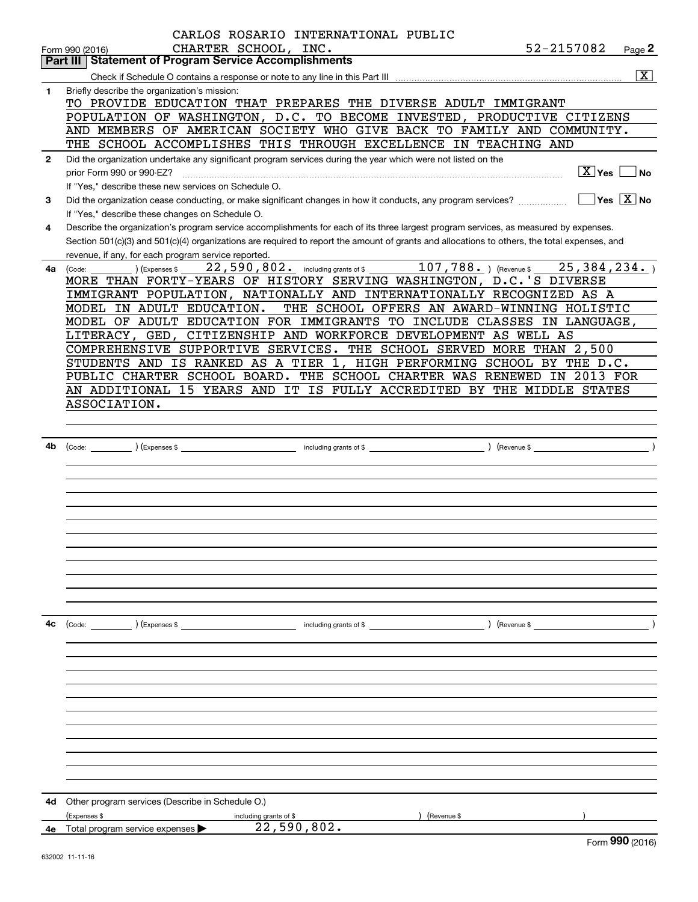|              | CARLOS ROSARIO INTERNATIONAL PUBLIC                                                                                                          |               |                                                 |
|--------------|----------------------------------------------------------------------------------------------------------------------------------------------|---------------|-------------------------------------------------|
|              | CHARTER SCHOOL, INC.<br>Form 990 (2016)                                                                                                      | 52-2157082    | Page 2                                          |
|              | <b>Part III Statement of Program Service Accomplishments</b>                                                                                 |               |                                                 |
|              |                                                                                                                                              |               | $\overline{\text{X}}$                           |
| 1.           | Briefly describe the organization's mission:                                                                                                 |               |                                                 |
|              | TO PROVIDE EDUCATION THAT PREPARES THE DIVERSE ADULT IMMIGRANT<br>POPULATION OF WASHINGTON, D.C. TO BECOME INVESTED, PRODUCTIVE CITIZENS     |               |                                                 |
|              | AND MEMBERS OF AMERICAN SOCIETY WHO GIVE BACK TO FAMILY AND COMMUNITY.                                                                       |               |                                                 |
|              | THE SCHOOL ACCOMPLISHES THIS THROUGH EXCELLENCE IN TEACHING AND                                                                              |               |                                                 |
| $\mathbf{2}$ | Did the organization undertake any significant program services during the year which were not listed on the                                 |               |                                                 |
|              | prior Form 990 or 990-EZ?                                                                                                                    |               | $\boxed{\text{X}}$ Yes $\boxed{\phantom{0}}$ No |
|              | If "Yes," describe these new services on Schedule O.                                                                                         |               |                                                 |
| З.           | Did the organization cease conducting, or make significant changes in how it conducts, any program services?                                 |               | ∣Yes │X ∣No                                     |
|              | If "Yes," describe these changes on Schedule O.                                                                                              |               |                                                 |
| 4            | Describe the organization's program service accomplishments for each of its three largest program services, as measured by expenses.         |               |                                                 |
|              | Section 501(c)(3) and 501(c)(4) organizations are required to report the amount of grants and allocations to others, the total expenses, and |               |                                                 |
|              | revenue, if any, for each program service reported.                                                                                          |               |                                                 |
| 4a l         | 22,590,802. including grants of \$107,788. (Revenue \$25,384,234.)<br>(Expenses \$<br>(Code:                                                 |               |                                                 |
|              | MORE THAN FORTY-YEARS OF HISTORY SERVING WASHINGTON, D.C.'S DIVERSE                                                                          |               |                                                 |
|              | IMMIGRANT POPULATION, NATIONALLY AND INTERNATIONALLY RECOGNIZED AS A                                                                         |               |                                                 |
|              | THE SCHOOL OFFERS AN AWARD-WINNING HOLISTIC<br>MODEL IN ADULT EDUCATION.                                                                     |               |                                                 |
|              | MODEL OF ADULT EDUCATION FOR IMMIGRANTS TO INCLUDE CLASSES IN LANGUAGE,<br>LITERACY, GED, CITIZENSHIP AND WORKFORCE DEVELOPMENT AS WELL AS   |               |                                                 |
|              | COMPREHENSIVE SUPPORTIVE SERVICES. THE SCHOOL SERVED MORE THAN 2,500                                                                         |               |                                                 |
|              | STUDENTS AND IS RANKED AS A TIER 1, HIGH PERFORMING SCHOOL BY THE D.C.                                                                       |               |                                                 |
|              | PUBLIC CHARTER SCHOOL BOARD. THE SCHOOL CHARTER WAS RENEWED IN 2013 FOR                                                                      |               |                                                 |
|              | AN ADDITIONAL 15 YEARS AND IT IS FULLY ACCREDITED BY THE MIDDLE STATES                                                                       |               |                                                 |
|              | ASSOCIATION.                                                                                                                                 |               |                                                 |
|              |                                                                                                                                              |               |                                                 |
|              |                                                                                                                                              |               |                                                 |
| 4b           |                                                                                                                                              |               |                                                 |
|              |                                                                                                                                              |               |                                                 |
|              |                                                                                                                                              |               |                                                 |
|              |                                                                                                                                              |               |                                                 |
|              |                                                                                                                                              |               |                                                 |
|              |                                                                                                                                              |               |                                                 |
|              |                                                                                                                                              |               |                                                 |
|              |                                                                                                                                              |               |                                                 |
|              |                                                                                                                                              |               |                                                 |
|              |                                                                                                                                              |               |                                                 |
|              |                                                                                                                                              |               |                                                 |
|              |                                                                                                                                              |               |                                                 |
| 4c           | (Code: ) (Expenses \$<br>including grants of \$                                                                                              | ) (Revenue \$ |                                                 |
|              |                                                                                                                                              |               |                                                 |
|              |                                                                                                                                              |               |                                                 |
|              |                                                                                                                                              |               |                                                 |
|              |                                                                                                                                              |               |                                                 |
|              |                                                                                                                                              |               |                                                 |
|              |                                                                                                                                              |               |                                                 |
|              |                                                                                                                                              |               |                                                 |
|              |                                                                                                                                              |               |                                                 |
|              |                                                                                                                                              |               |                                                 |
|              |                                                                                                                                              |               |                                                 |
|              |                                                                                                                                              |               |                                                 |
| 4d           | Other program services (Describe in Schedule O.)                                                                                             |               |                                                 |
|              | (Expenses \$<br>including grants of \$<br>Revenue \$                                                                                         |               |                                                 |
|              | 22,590,802.<br>4e Total program service expenses                                                                                             |               |                                                 |
|              |                                                                                                                                              |               | $QQO$ $QQQQ$                                    |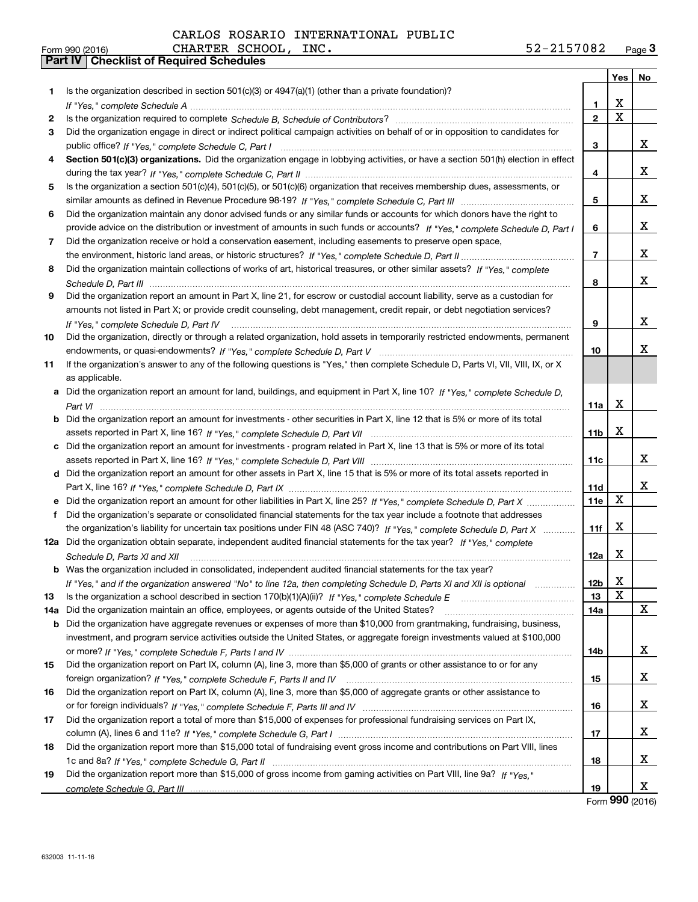|     |                                                                                                                                                                                                                                                   |                 | Yes | No |
|-----|---------------------------------------------------------------------------------------------------------------------------------------------------------------------------------------------------------------------------------------------------|-----------------|-----|----|
| 1.  | Is the organization described in section 501(c)(3) or 4947(a)(1) (other than a private foundation)?                                                                                                                                               |                 |     |    |
|     |                                                                                                                                                                                                                                                   | 1               | X   |    |
| 2   |                                                                                                                                                                                                                                                   | $\mathbf{2}$    | X   |    |
| 3   | Did the organization engage in direct or indirect political campaign activities on behalf of or in opposition to candidates for                                                                                                                   |                 |     |    |
|     |                                                                                                                                                                                                                                                   | 3               |     | x  |
| 4   | Section 501(c)(3) organizations. Did the organization engage in lobbying activities, or have a section 501(h) election in effect                                                                                                                  |                 |     |    |
|     |                                                                                                                                                                                                                                                   | 4               |     | х  |
| 5   | Is the organization a section 501(c)(4), 501(c)(5), or 501(c)(6) organization that receives membership dues, assessments, or                                                                                                                      |                 |     |    |
|     |                                                                                                                                                                                                                                                   | 5               |     | х  |
| 6   | Did the organization maintain any donor advised funds or any similar funds or accounts for which donors have the right to                                                                                                                         |                 |     |    |
|     | provide advice on the distribution or investment of amounts in such funds or accounts? If "Yes," complete Schedule D, Part I                                                                                                                      | 6               |     | х  |
| 7   | Did the organization receive or hold a conservation easement, including easements to preserve open space,                                                                                                                                         |                 |     |    |
|     |                                                                                                                                                                                                                                                   | 7               |     | х  |
| 8   | Did the organization maintain collections of works of art, historical treasures, or other similar assets? If "Yes," complete                                                                                                                      |                 |     |    |
|     |                                                                                                                                                                                                                                                   | 8               |     | x  |
| 9   | Did the organization report an amount in Part X, line 21, for escrow or custodial account liability, serve as a custodian for                                                                                                                     |                 |     |    |
|     | amounts not listed in Part X; or provide credit counseling, debt management, credit repair, or debt negotiation services?                                                                                                                         |                 |     |    |
|     | If "Yes," complete Schedule D, Part IV                                                                                                                                                                                                            | 9               |     | x  |
| 10  | Did the organization, directly or through a related organization, hold assets in temporarily restricted endowments, permanent                                                                                                                     |                 |     |    |
|     |                                                                                                                                                                                                                                                   | 10              |     | x  |
| 11  | If the organization's answer to any of the following questions is "Yes," then complete Schedule D, Parts VI, VIII, VIII, IX, or X                                                                                                                 |                 |     |    |
|     | as applicable.                                                                                                                                                                                                                                    |                 |     |    |
|     | a Did the organization report an amount for land, buildings, and equipment in Part X, line 10? If "Yes," complete Schedule D,                                                                                                                     |                 |     |    |
|     |                                                                                                                                                                                                                                                   | 11a             | X   |    |
|     | <b>b</b> Did the organization report an amount for investments - other securities in Part X, line 12 that is 5% or more of its total                                                                                                              |                 |     |    |
|     |                                                                                                                                                                                                                                                   | 11 <sub>b</sub> | x   |    |
|     | c Did the organization report an amount for investments - program related in Part X, line 13 that is 5% or more of its total                                                                                                                      |                 |     |    |
|     |                                                                                                                                                                                                                                                   | 11c             |     | х  |
|     | d Did the organization report an amount for other assets in Part X, line 15 that is 5% or more of its total assets reported in                                                                                                                    |                 |     | x  |
|     |                                                                                                                                                                                                                                                   | 11d<br>11e      | X   |    |
|     | Did the organization's separate or consolidated financial statements for the tax year include a footnote that addresses                                                                                                                           |                 |     |    |
| f   |                                                                                                                                                                                                                                                   |                 | X   |    |
|     | the organization's liability for uncertain tax positions under FIN 48 (ASC 740)? If "Yes," complete Schedule D, Part X<br>12a Did the organization obtain separate, independent audited financial statements for the tax year? If "Yes," complete | 11f             |     |    |
|     |                                                                                                                                                                                                                                                   | 12a             | X   |    |
|     | Schedule D, Parts XI and XII<br><b>b</b> Was the organization included in consolidated, independent audited financial statements for the tax year?                                                                                                |                 |     |    |
|     | If "Yes," and if the organization answered "No" to line 12a, then completing Schedule D, Parts XI and XII is optional manum                                                                                                                       | 12b             | х   |    |
| 13  |                                                                                                                                                                                                                                                   | 13              | X   |    |
| 14a | Did the organization maintain an office, employees, or agents outside of the United States?                                                                                                                                                       | 14a             |     | X  |
| b   | Did the organization have aggregate revenues or expenses of more than \$10,000 from grantmaking, fundraising, business,                                                                                                                           |                 |     |    |
|     | investment, and program service activities outside the United States, or aggregate foreign investments valued at \$100,000                                                                                                                        |                 |     |    |
|     |                                                                                                                                                                                                                                                   | 14b             |     | x  |
| 15  | Did the organization report on Part IX, column (A), line 3, more than \$5,000 of grants or other assistance to or for any                                                                                                                         |                 |     |    |
|     |                                                                                                                                                                                                                                                   | 15              |     | x  |
| 16  | Did the organization report on Part IX, column (A), line 3, more than \$5,000 of aggregate grants or other assistance to                                                                                                                          |                 |     |    |
|     |                                                                                                                                                                                                                                                   | 16              |     | х  |
| 17  | Did the organization report a total of more than \$15,000 of expenses for professional fundraising services on Part IX,                                                                                                                           |                 |     |    |
|     |                                                                                                                                                                                                                                                   | 17              |     | х  |
| 18  | Did the organization report more than \$15,000 total of fundraising event gross income and contributions on Part VIII, lines                                                                                                                      |                 |     |    |
|     |                                                                                                                                                                                                                                                   | 18              |     | x  |
| 19  | Did the organization report more than \$15,000 of gross income from gaming activities on Part VIII, line 9a? If "Yes."                                                                                                                            |                 |     |    |
|     |                                                                                                                                                                                                                                                   | 19              |     | x  |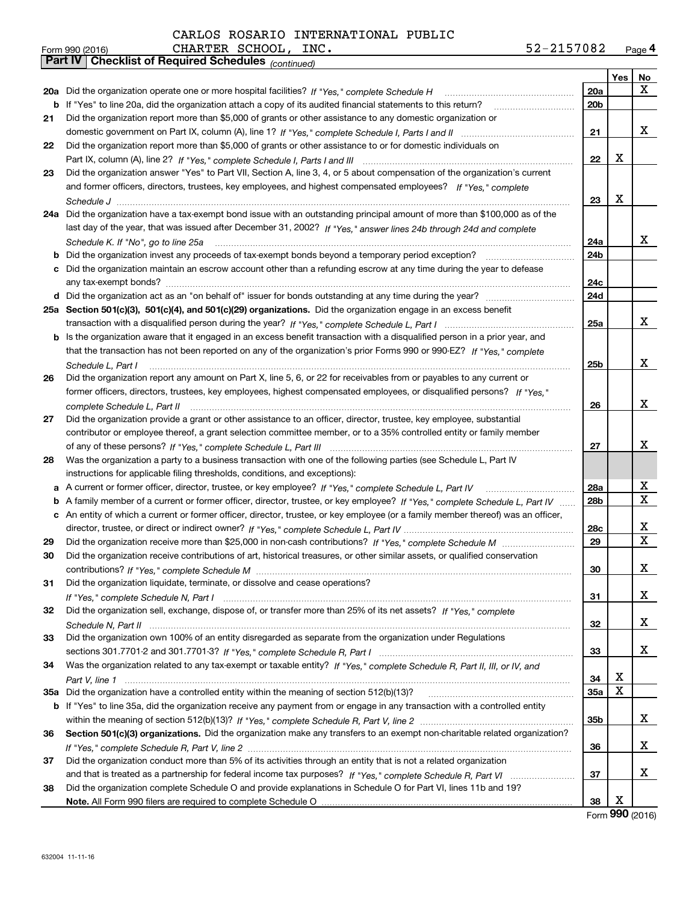| 52-2157082 | Page $4$ |
|------------|----------|
|------------|----------|

|    | 52-2157082<br>CHARTER SCHOOL, INC.<br>Form 990 (2016)                                                                             |                 |     | Page 4 |
|----|-----------------------------------------------------------------------------------------------------------------------------------|-----------------|-----|--------|
|    | <b>Checklist of Required Schedules (continued)</b><br>Part IV                                                                     |                 |     |        |
|    |                                                                                                                                   |                 | Yes | No     |
|    | 20a Did the organization operate one or more hospital facilities? If "Yes," complete Schedule H                                   | 20a             |     | x      |
|    | <b>b</b> If "Yes" to line 20a, did the organization attach a copy of its audited financial statements to this return?             | 20 <sub>b</sub> |     |        |
| 21 | Did the organization report more than \$5,000 of grants or other assistance to any domestic organization or                       |                 |     |        |
|    |                                                                                                                                   | 21              |     | x      |
| 22 | Did the organization report more than \$5,000 of grants or other assistance to or for domestic individuals on                     |                 |     |        |
|    |                                                                                                                                   | 22              | x   |        |
| 23 | Did the organization answer "Yes" to Part VII, Section A, line 3, 4, or 5 about compensation of the organization's current        |                 |     |        |
|    | and former officers, directors, trustees, key employees, and highest compensated employees? If "Yes," complete                    |                 |     |        |
|    |                                                                                                                                   | 23              | х   |        |
|    | 24a Did the organization have a tax-exempt bond issue with an outstanding principal amount of more than \$100,000 as of the       |                 |     |        |
|    | last day of the year, that was issued after December 31, 2002? If "Yes," answer lines 24b through 24d and complete                |                 |     |        |
|    | Schedule K. If "No", go to line 25a                                                                                               | 24a             |     | x      |
|    |                                                                                                                                   | 24b             |     |        |
|    | c Did the organization maintain an escrow account other than a refunding escrow at any time during the year to defease            |                 |     |        |
|    |                                                                                                                                   | 24c             |     |        |
|    |                                                                                                                                   | 24d             |     |        |
|    | 25a Section 501(c)(3), 501(c)(4), and 501(c)(29) organizations. Did the organization engage in an excess benefit                  |                 |     |        |
|    |                                                                                                                                   | 25a             |     | x      |
|    | b Is the organization aware that it engaged in an excess benefit transaction with a disqualified person in a prior year, and      |                 |     |        |
|    | that the transaction has not been reported on any of the organization's prior Forms 990 or 990-EZ? If "Yes," complete             |                 |     |        |
|    | Schedule L, Part I                                                                                                                | 25 <sub>b</sub> |     | x      |
| 26 | Did the organization report any amount on Part X, line 5, 6, or 22 for receivables from or payables to any current or             |                 |     |        |
|    | former officers, directors, trustees, key employees, highest compensated employees, or disqualified persons? If "Yes."            |                 |     |        |
|    | complete Schedule L, Part II                                                                                                      | 26              |     | x      |
| 27 | Did the organization provide a grant or other assistance to an officer, director, trustee, key employee, substantial              |                 |     |        |
|    | contributor or employee thereof, a grant selection committee member, or to a 35% controlled entity or family member               |                 |     |        |
|    |                                                                                                                                   | 27              |     | x      |
| 28 | Was the organization a party to a business transaction with one of the following parties (see Schedule L, Part IV                 |                 |     |        |
|    | instructions for applicable filing thresholds, conditions, and exceptions):                                                       |                 |     |        |
|    | a A current or former officer, director, trustee, or key employee? If "Yes," complete Schedule L, Part IV                         | 28a             |     | х      |
|    | b A family member of a current or former officer, director, trustee, or key employee? If "Yes," complete Schedule L, Part IV      | 28 <sub>b</sub> |     | X      |
|    | c An entity of which a current or former officer, director, trustee, or key employee (or a family member thereof) was an officer, |                 |     |        |
|    |                                                                                                                                   | 28c             |     | x      |
| 29 |                                                                                                                                   | 29              |     | X      |
|    | Did the organization receive contributions of art, historical treasures, or other similar assets, or qualified conservation       |                 |     |        |
|    |                                                                                                                                   | 30              |     | x      |
| 31 | Did the organization liquidate, terminate, or dissolve and cease operations?                                                      |                 |     |        |
|    |                                                                                                                                   | 31              |     | x      |
| 32 | Did the organization sell, exchange, dispose of, or transfer more than 25% of its net assets? If "Yes," complete                  |                 |     |        |
|    |                                                                                                                                   | 32              |     | х      |
| 33 | Did the organization own 100% of an entity disregarded as separate from the organization under Regulations                        |                 |     |        |
|    |                                                                                                                                   | 33              |     | х      |
| 34 | Was the organization related to any tax-exempt or taxable entity? If "Yes," complete Schedule R, Part II, III, or IV, and         |                 |     |        |
|    |                                                                                                                                   | 34              | х   |        |
|    | 35a Did the organization have a controlled entity within the meaning of section 512(b)(13)?                                       | 35a             | X   |        |
|    | b If "Yes" to line 35a, did the organization receive any payment from or engage in any transaction with a controlled entity       |                 |     |        |
|    |                                                                                                                                   | 35b             |     | x      |
| 36 | Section 501(c)(3) organizations. Did the organization make any transfers to an exempt non-charitable related organization?        |                 |     |        |
|    |                                                                                                                                   | 36              |     | х      |
| 37 | Did the organization conduct more than 5% of its activities through an entity that is not a related organization                  |                 |     |        |
|    |                                                                                                                                   | 37              |     | х      |
| 38 | Did the organization complete Schedule O and provide explanations in Schedule O for Part VI, lines 11b and 19?                    |                 |     |        |
|    |                                                                                                                                   | 38              | х   |        |
|    |                                                                                                                                   |                 |     |        |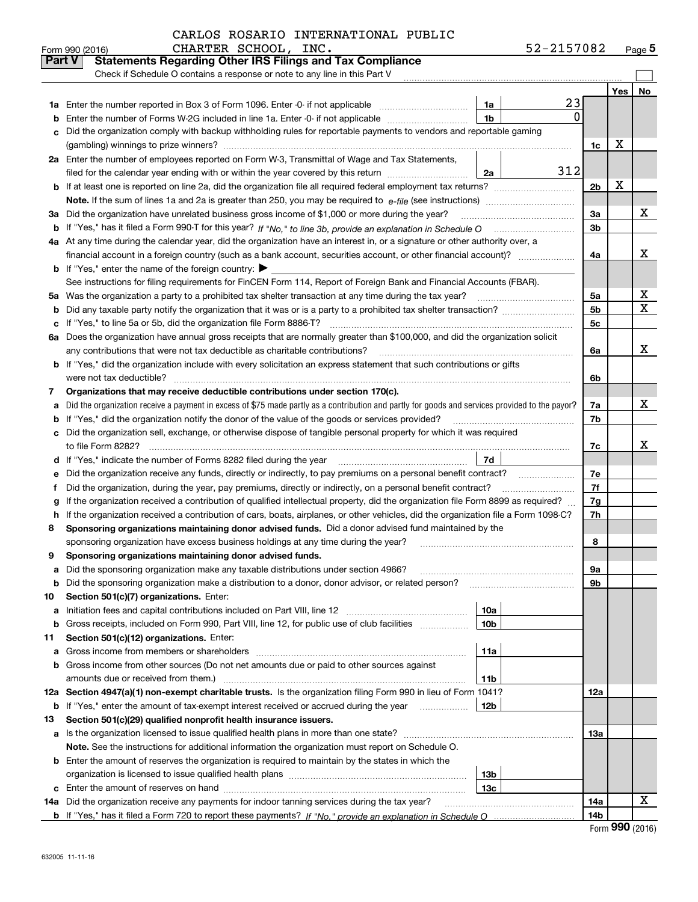|        | CHARTER SCHOOL, INC.<br>Form 990 (2016)                                                                                                         |                 | 52-2157082 |                |     | Page $5$ |
|--------|-------------------------------------------------------------------------------------------------------------------------------------------------|-----------------|------------|----------------|-----|----------|
| Part V | <b>Statements Regarding Other IRS Filings and Tax Compliance</b>                                                                                |                 |            |                |     |          |
|        | Check if Schedule O contains a response or note to any line in this Part V                                                                      |                 |            |                |     |          |
|        |                                                                                                                                                 |                 |            |                | Yes | No       |
| 1a     | Enter the number reported in Box 3 of Form 1096. Enter -0- if not applicable                                                                    | 1a              | 23         |                |     |          |
| b      | Enter the number of Forms W-2G included in line 1a. Enter -0- if not applicable                                                                 | 1 <sub>b</sub>  | $\Omega$   |                |     |          |
| c      | Did the organization comply with backup withholding rules for reportable payments to vendors and reportable gaming                              |                 |            |                |     |          |
|        |                                                                                                                                                 |                 |            | 1c             | х   |          |
|        | 2a Enter the number of employees reported on Form W-3, Transmittal of Wage and Tax Statements,                                                  |                 |            |                |     |          |
|        | filed for the calendar year ending with or within the year covered by this return                                                               | 2a              | 312        |                |     |          |
|        |                                                                                                                                                 |                 |            | 2 <sub>b</sub> | х   |          |
|        |                                                                                                                                                 |                 |            |                |     |          |
| За     | Did the organization have unrelated business gross income of \$1,000 or more during the year?                                                   |                 |            | 3a             |     | х        |
|        |                                                                                                                                                 |                 |            | 3b             |     |          |
|        | 4a At any time during the calendar year, did the organization have an interest in, or a signature or other authority over, a                    |                 |            |                |     |          |
|        | financial account in a foreign country (such as a bank account, securities account, or other financial account)?                                |                 |            | 4a             |     | X        |
|        | <b>b</b> If "Yes," enter the name of the foreign country: $\blacktriangleright$                                                                 |                 |            |                |     |          |
|        | See instructions for filing requirements for FinCEN Form 114, Report of Foreign Bank and Financial Accounts (FBAR).                             |                 |            |                |     |          |
|        | 5a Was the organization a party to a prohibited tax shelter transaction at any time during the tax year?                                        |                 |            | 5a             |     | х        |
| b      |                                                                                                                                                 |                 |            | 5 <sub>b</sub> |     | X        |
|        | c If "Yes," to line 5a or 5b, did the organization file Form 8886-T?                                                                            |                 |            | 5с             |     |          |
|        | 6a Does the organization have annual gross receipts that are normally greater than \$100,000, and did the organization solicit                  |                 |            |                |     |          |
|        |                                                                                                                                                 |                 |            | 6a             |     | x        |
|        | <b>b</b> If "Yes," did the organization include with every solicitation an express statement that such contributions or gifts                   |                 |            |                |     |          |
|        | were not tax deductible?                                                                                                                        |                 |            | 6b             |     |          |
| 7      | Organizations that may receive deductible contributions under section 170(c).                                                                   |                 |            |                |     |          |
| a      | Did the organization receive a payment in excess of \$75 made partly as a contribution and partly for goods and services provided to the payor? |                 |            | 7a             |     | x        |
|        | <b>b</b> If "Yes," did the organization notify the donor of the value of the goods or services provided?                                        |                 |            | 7b             |     |          |
|        | c Did the organization sell, exchange, or otherwise dispose of tangible personal property for which it was required                             |                 |            |                |     |          |
|        |                                                                                                                                                 |                 |            | 7c             |     | x        |
|        |                                                                                                                                                 | 7d              |            |                |     |          |
| е      | Did the organization receive any funds, directly or indirectly, to pay premiums on a personal benefit contract?                                 |                 |            | 7e             |     |          |
| f      | Did the organization, during the year, pay premiums, directly or indirectly, on a personal benefit contract?                                    |                 |            | 7f             |     |          |
| g      | If the organization received a contribution of qualified intellectual property, did the organization file Form 8899 as required?                |                 |            | 7g             |     |          |
|        | h If the organization received a contribution of cars, boats, airplanes, or other vehicles, did the organization file a Form 1098-C?            |                 |            | 7h             |     |          |
| 8      | Sponsoring organizations maintaining donor advised funds. Did a donor advised fund maintained by the                                            |                 |            |                |     |          |
|        | sponsoring organization have excess business holdings at any time during the year?                                                              |                 |            | 8              |     |          |
|        | Sponsoring organizations maintaining donor advised funds.                                                                                       |                 |            |                |     |          |
| a      | Did the sponsoring organization make any taxable distributions under section 4966?                                                              |                 |            | 9a             |     |          |
| b      | Did the sponsoring organization make a distribution to a donor, donor advisor, or related person?                                               |                 |            | 9b             |     |          |
| 10     | Section 501(c)(7) organizations. Enter:                                                                                                         |                 |            |                |     |          |
| а      | Initiation fees and capital contributions included on Part VIII, line 12 <i>manuarous controllers</i>                                           | 10a             |            |                |     |          |
| b      | Gross receipts, included on Form 990, Part VIII, line 12, for public use of club facilities                                                     | 10 <sub>b</sub> |            |                |     |          |
| 11     | Section 501(c)(12) organizations. Enter:                                                                                                        |                 |            |                |     |          |
|        | a Gross income from members or shareholders                                                                                                     | 11a             |            |                |     |          |
|        | b Gross income from other sources (Do not net amounts due or paid to other sources against                                                      |                 |            |                |     |          |
|        | amounts due or received from them.)                                                                                                             | 11b             |            |                |     |          |
|        | 12a Section 4947(a)(1) non-exempt charitable trusts. Is the organization filing Form 990 in lieu of Form 1041?                                  |                 |            | 12a            |     |          |
|        | <b>b</b> If "Yes," enter the amount of tax-exempt interest received or accrued during the year <i>manument</i>                                  | 12b             |            |                |     |          |
| 13     | Section 501(c)(29) qualified nonprofit health insurance issuers.                                                                                |                 |            |                |     |          |
|        | a Is the organization licensed to issue qualified health plans in more than one state?                                                          |                 |            | 13а            |     |          |
|        | Note. See the instructions for additional information the organization must report on Schedule O.                                               |                 |            |                |     |          |
|        | <b>b</b> Enter the amount of reserves the organization is required to maintain by the states in which the                                       |                 |            |                |     |          |
|        |                                                                                                                                                 | 13 <sub>b</sub> |            |                |     |          |
|        |                                                                                                                                                 | 13с             |            |                |     |          |
| 14a    | Did the organization receive any payments for indoor tanning services during the tax year?                                                      |                 |            | 14a            |     | x        |
|        |                                                                                                                                                 |                 |            | 14b            |     |          |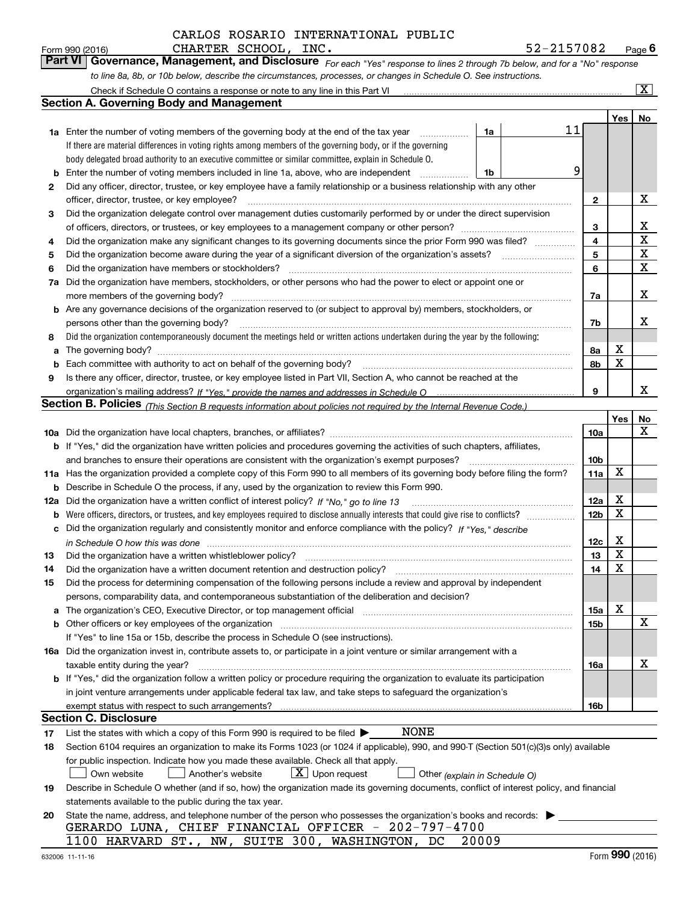*For each "Yes" response to lines 2 through 7b below, and for a "No" response to line 8a, 8b, or 10b below, describe the circumstances, processes, or changes in Schedule O. See instructions.* Form 990 (2016) **CHARTER SCHOOL, INC.**<br>**Part VI Governance, Management, and Disclosure** For each "Yes" response to lines 2 through 7b below, and for a "No" response

|     | Check if Schedule O contains a response or note to any line in this Part VI                                                                                           |                 |            | $\mathbf{X}$ |
|-----|-----------------------------------------------------------------------------------------------------------------------------------------------------------------------|-----------------|------------|--------------|
|     | <b>Section A. Governing Body and Management</b>                                                                                                                       |                 |            |              |
|     |                                                                                                                                                                       |                 | <b>Yes</b> | No           |
|     | 11<br>1a Enter the number of voting members of the governing body at the end of the tax year<br>1a                                                                    |                 |            |              |
|     | If there are material differences in voting rights among members of the governing body, or if the governing                                                           |                 |            |              |
|     | body delegated broad authority to an executive committee or similar committee, explain in Schedule O.                                                                 |                 |            |              |
| b   | 9<br>Enter the number of voting members included in line 1a, above, who are independent<br>1b                                                                         |                 |            |              |
| 2   | Did any officer, director, trustee, or key employee have a family relationship or a business relationship with any other                                              |                 |            |              |
|     | officer, director, trustee, or key employee?<br>.                                                                                                                     | $\mathbf{2}$    |            | X            |
| 3   | Did the organization delegate control over management duties customarily performed by or under the direct supervision                                                 |                 |            |              |
|     |                                                                                                                                                                       | 3               |            | X            |
| 4   | Did the organization make any significant changes to its governing documents since the prior Form 990 was filed?                                                      | 4               |            | X            |
| 5   |                                                                                                                                                                       | 5               |            | X            |
| 6   | Did the organization have members or stockholders?                                                                                                                    | 6               |            | X            |
| 7a  | Did the organization have members, stockholders, or other persons who had the power to elect or appoint one or                                                        |                 |            |              |
|     | more members of the governing body?                                                                                                                                   | 7a              |            | X            |
|     | <b>b</b> Are any governance decisions of the organization reserved to (or subject to approval by) members, stockholders, or                                           |                 |            |              |
|     | persons other than the governing body?                                                                                                                                | 7b              |            | x            |
| 8   | Did the organization contemporaneously document the meetings held or written actions undertaken during the year by the following:                                     |                 |            |              |
| a   |                                                                                                                                                                       | 8а              | X          |              |
| b   |                                                                                                                                                                       | 8b              | X          |              |
| 9   | Is there any officer, director, trustee, or key employee listed in Part VII, Section A, who cannot be reached at the                                                  |                 |            |              |
|     |                                                                                                                                                                       | 9               |            | х            |
|     | <b>Section B. Policies</b> (This Section B requests information about policies not required by the Internal Revenue Code.)                                            |                 |            |              |
|     |                                                                                                                                                                       |                 | Yes        | No           |
|     |                                                                                                                                                                       | 10a             |            | x            |
|     | <b>b</b> If "Yes," did the organization have written policies and procedures governing the activities of such chapters, affiliates,                                   |                 |            |              |
|     | and branches to ensure their operations are consistent with the organization's exempt purposes?                                                                       | 10 <sub>b</sub> |            |              |
|     | 11a Has the organization provided a complete copy of this Form 990 to all members of its governing body before filing the form?                                       | 11a             | X          |              |
| b   | Describe in Schedule O the process, if any, used by the organization to review this Form 990.                                                                         |                 |            |              |
| 12a | Did the organization have a written conflict of interest policy? If "No," go to line 13                                                                               | 12a             | X          |              |
| b   |                                                                                                                                                                       | 12 <sub>b</sub> | X          |              |
|     | c Did the organization regularly and consistently monitor and enforce compliance with the policy? If "Yes." describe                                                  |                 |            |              |
|     | in Schedule O how this was done www.communication.com/www.communications.com/www.communications.com/                                                                  | 12c             | X          |              |
| 13  | Did the organization have a written whistleblower policy?                                                                                                             | 13              | X          |              |
| 14  | Did the organization have a written document retention and destruction policy?                                                                                        | 14              | X          |              |
| 15  | Did the process for determining compensation of the following persons include a review and approval by independent                                                    |                 |            |              |
|     | persons, comparability data, and contemporaneous substantiation of the deliberation and decision?                                                                     |                 |            |              |
| a   | The organization's CEO, Executive Director, or top management official manufactured content of the organization's CEO, Executive Director, or top management official | 15a             | X          |              |
|     | <b>b</b> Other officers or key employees of the organization                                                                                                          | 15b             |            | x            |
|     | If "Yes" to line 15a or 15b, describe the process in Schedule O (see instructions).                                                                                   |                 |            |              |
|     | 16a Did the organization invest in, contribute assets to, or participate in a joint venture or similar arrangement with a                                             |                 |            |              |
|     | taxable entity during the year?                                                                                                                                       | 16a             |            | х            |
|     | b If "Yes," did the organization follow a written policy or procedure requiring the organization to evaluate its participation                                        |                 |            |              |
|     | in joint venture arrangements under applicable federal tax law, and take steps to safequard the organization's                                                        |                 |            |              |
|     | exempt status with respect to such arrangements?                                                                                                                      | 16b             |            |              |
|     | Section C. Disclosure                                                                                                                                                 |                 |            |              |
| 17  | NONE<br>List the states with which a copy of this Form 990 is required to be filed $\blacktriangleright$                                                              |                 |            |              |
| 18  | Section 6104 requires an organization to make its Forms 1023 (or 1024 if applicable), 990, and 990-T (Section 501(c)(3)s only) available                              |                 |            |              |
|     | for public inspection. Indicate how you made these available. Check all that apply.                                                                                   |                 |            |              |
|     | $X$ Upon request<br>Another's website<br>Own website<br>Other (explain in Schedule O)                                                                                 |                 |            |              |
| 19  | Describe in Schedule O whether (and if so, how) the organization made its governing documents, conflict of interest policy, and financial                             |                 |            |              |
|     | statements available to the public during the tax year.                                                                                                               |                 |            |              |
| 20  | State the name, address, and telephone number of the person who possesses the organization's books and records:                                                       |                 |            |              |
|     | GERARDO LUNA, CHIEF FINANCIAL OFFICER - 202-797-4700                                                                                                                  |                 |            |              |
|     | 1100 HARVARD ST., NW, SUITE 300, WASHINGTON, DC<br>20009                                                                                                              |                 |            |              |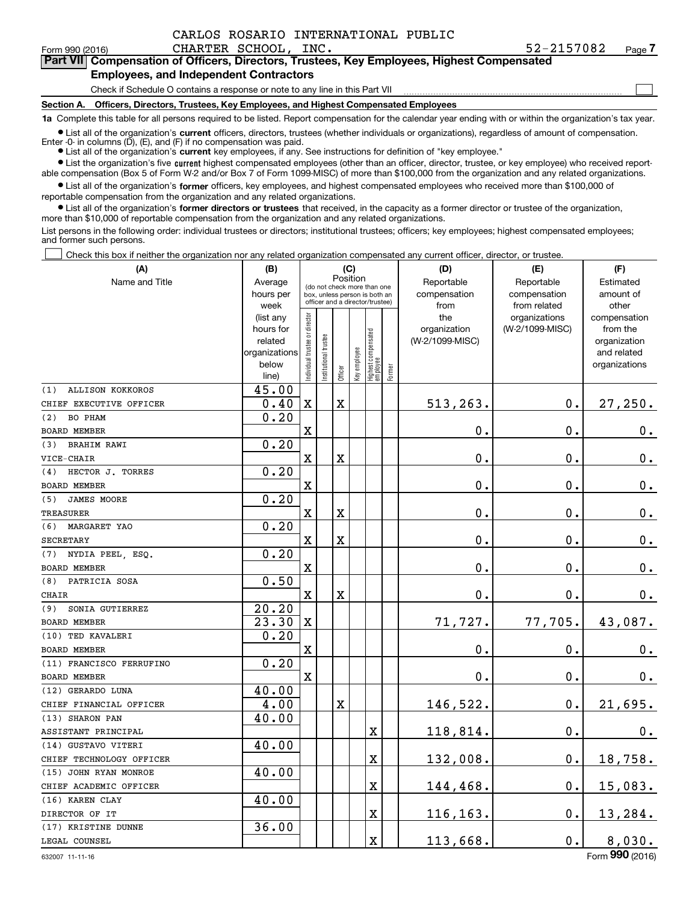Form 990 (2016) CHARTER SCHOOL, INC. 52-2157082 Page **7Part VII Compensation of Officers, Directors, Trustees, Key Employees, Highest Compensated**

### **Employees, and Independent Contractors**

Check if Schedule O contains a response or note to any line in this Part VII

**Section A. Officers, Directors, Trustees, Key Employees, and Highest Compensated Employees**

**1a**  Complete this table for all persons required to be listed. Report compensation for the calendar year ending with or within the organization's tax year.

**•** List all of the organization's current officers, directors, trustees (whether individuals or organizations), regardless of amount of compensation. Enter -0- in columns  $(D)$ ,  $(E)$ , and  $(F)$  if no compensation was paid.

● List all of the organization's **current** key employees, if any. See instructions for definition of "key employee."

**•** List the organization's five current highest compensated employees (other than an officer, director, trustee, or key employee) who received reportable compensation (Box 5 of Form W-2 and/or Box 7 of Form 1099-MISC) of more than \$100,000 from the organization and any related organizations.

 $\bullet$  List all of the organization's **former** officers, key employees, and highest compensated employees who received more than \$100,000 of reportable compensation from the organization and any related organizations.

**•** List all of the organization's former directors or trustees that received, in the capacity as a former director or trustee of the organization, more than \$10,000 of reportable compensation from the organization and any related organizations.

List persons in the following order: individual trustees or directors; institutional trustees; officers; key employees; highest compensated employees; and former such persons.

Check this box if neither the organization nor any related organization compensated any current officer, director, or trustee.  $\mathcal{L}^{\text{max}}$ 

| (A)                            | (B)                                                                  |                                |                                                                  | (C)      |              |                                  |        | (D)                                    | (E)                              | (F)                                                                      |
|--------------------------------|----------------------------------------------------------------------|--------------------------------|------------------------------------------------------------------|----------|--------------|----------------------------------|--------|----------------------------------------|----------------------------------|--------------------------------------------------------------------------|
| Name and Title                 | Average                                                              |                                | (do not check more than one                                      | Position |              |                                  |        | Reportable                             | Reportable                       | Estimated                                                                |
|                                | hours per<br>week                                                    |                                | box, unless person is both an<br>officer and a director/trustee) |          |              |                                  |        | compensation<br>from                   | compensation<br>from related     | amount of<br>other                                                       |
|                                | (list any<br>hours for<br>related<br>organizations<br>below<br>line) | Individual trustee or director | Institutional trustee                                            | Officer  | Key employee | Highest compensated<br> employee | Former | the<br>organization<br>(W-2/1099-MISC) | organizations<br>(W-2/1099-MISC) | compensation<br>from the<br>organization<br>and related<br>organizations |
| <b>ALLISON KOKKOROS</b><br>(1) | 45.00                                                                |                                |                                                                  |          |              |                                  |        |                                        |                                  |                                                                          |
| CHIEF EXECUTIVE OFFICER        | 0.40                                                                 | $\mathbf X$                    |                                                                  | X        |              |                                  |        | 513,263.                               | 0.                               | 27,250.                                                                  |
| <b>BO PHAM</b><br>(2)          | 0.20                                                                 |                                |                                                                  |          |              |                                  |        |                                        |                                  |                                                                          |
| BOARD MEMBER                   |                                                                      | $\mathbf X$                    |                                                                  |          |              |                                  |        | 0.                                     | $\mathbf 0$ .                    | $0_{.}$                                                                  |
| <b>BRAHIM RAWI</b><br>(3)      | 0.20                                                                 |                                |                                                                  |          |              |                                  |        |                                        |                                  |                                                                          |
| VICE-CHAIR                     |                                                                      | $\mathbf X$                    |                                                                  | X        |              |                                  |        | 0.                                     | 0.                               | $\mathbf 0$ .                                                            |
| HECTOR J. TORRES<br>(4)        | 0.20                                                                 |                                |                                                                  |          |              |                                  |        |                                        |                                  |                                                                          |
| <b>BOARD MEMBER</b>            |                                                                      | $\mathbf X$                    |                                                                  |          |              |                                  |        | 0.                                     | 0.                               | $0_{.}$                                                                  |
| <b>JAMES MOORE</b><br>(5)      | 0.20                                                                 |                                |                                                                  |          |              |                                  |        |                                        |                                  |                                                                          |
| <b>TREASURER</b>               |                                                                      | $\mathbf X$                    |                                                                  | X        |              |                                  |        | $\mathbf 0$ .                          | 0.                               | $0_{.}$                                                                  |
| (6)<br>MARGARET YAO            | 0.20                                                                 |                                |                                                                  |          |              |                                  |        |                                        |                                  |                                                                          |
| <b>SECRETARY</b>               |                                                                      | $\mathbf X$                    |                                                                  | X        |              |                                  |        | $\mathbf 0$ .                          | $\mathbf 0$ .                    | 0.                                                                       |
| (7) NYDIA PEEL, ESQ.           | 0.20                                                                 |                                |                                                                  |          |              |                                  |        |                                        |                                  |                                                                          |
| BOARD MEMBER                   |                                                                      | $\mathbf X$                    |                                                                  |          |              |                                  |        | 0.                                     | 0.                               | 0.                                                                       |
| PATRICIA SOSA<br>(8)           | 0.50                                                                 |                                |                                                                  |          |              |                                  |        |                                        |                                  |                                                                          |
| <b>CHAIR</b>                   |                                                                      | $\mathbf x$                    |                                                                  | X        |              |                                  |        | $\mathbf 0$ .                          | 0.                               | $\mathbf 0$ .                                                            |
| SONIA GUTIERREZ<br>(9)         | 20.20                                                                |                                |                                                                  |          |              |                                  |        |                                        |                                  |                                                                          |
| <b>BOARD MEMBER</b>            | 23.30                                                                | $\mathbf X$                    |                                                                  |          |              |                                  |        | 71,727.                                | 77,705.                          | 43,087.                                                                  |
| (10) TED KAVALERI              | 0.20                                                                 |                                |                                                                  |          |              |                                  |        |                                        |                                  |                                                                          |
| <b>BOARD MEMBER</b>            |                                                                      | $\overline{\mathbf{X}}$        |                                                                  |          |              |                                  |        | $\mathbf 0$ .                          | $\mathbf 0$ .                    | $0_{.}$                                                                  |
| (11) FRANCISCO FERRUFINO       | 0.20                                                                 |                                |                                                                  |          |              |                                  |        |                                        |                                  |                                                                          |
| <b>BOARD MEMBER</b>            |                                                                      | $\mathbf x$                    |                                                                  |          |              |                                  |        | 0.                                     | $\mathbf 0$ .                    | 0.                                                                       |
| (12) GERARDO LUNA              | 40.00                                                                |                                |                                                                  |          |              |                                  |        |                                        |                                  |                                                                          |
| CHIEF FINANCIAL OFFICER        | 4.00                                                                 |                                |                                                                  | X        |              |                                  |        | 146,522.                               | 0.                               | 21,695.                                                                  |
| (13) SHARON PAN                | 40.00                                                                |                                |                                                                  |          |              |                                  |        |                                        |                                  |                                                                          |
| ASSISTANT PRINCIPAL            |                                                                      |                                |                                                                  |          |              | X                                |        | 118,814.                               | 0.                               | 0.                                                                       |
| (14) GUSTAVO VITERI            | 40.00                                                                |                                |                                                                  |          |              |                                  |        |                                        |                                  |                                                                          |
| CHIEF TECHNOLOGY OFFICER       |                                                                      |                                |                                                                  |          |              | X                                |        | 132,008.                               | 0.                               | 18,758.                                                                  |
| (15) JOHN RYAN MONROE          | 40.00                                                                |                                |                                                                  |          |              |                                  |        |                                        |                                  |                                                                          |
| CHIEF ACADEMIC OFFICER         |                                                                      |                                |                                                                  |          |              | X                                |        | 144,468.                               | 0.                               | 15,083.                                                                  |
| (16) KAREN CLAY                | 40.00                                                                |                                |                                                                  |          |              |                                  |        |                                        |                                  |                                                                          |
| DIRECTOR OF IT                 |                                                                      |                                |                                                                  |          |              | $\overline{\textbf{X}}$          |        | 116,163.                               | 0.                               | 13,284.                                                                  |
| (17) KRISTINE DUNNE            | 36.00                                                                |                                |                                                                  |          |              |                                  |        |                                        |                                  |                                                                          |
| LEGAL COUNSEL                  |                                                                      |                                |                                                                  |          |              | $\overline{\textbf{X}}$          |        | 113,668.                               | 0.                               | 8,030.                                                                   |

 $\mathcal{L}^{\text{max}}$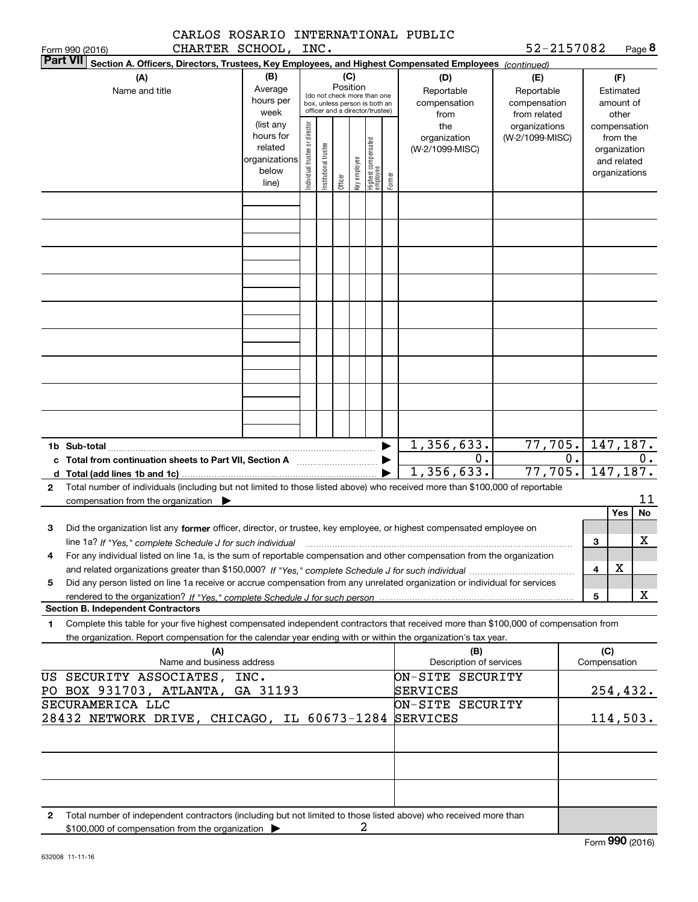| CARLOS ROSARIO INTERNATIONAL PUBLIC                                                                                                                                                                                                                                                                      |                                                                      |                                |                       |          |              |                                                                                                 |        |                                                  |                                                   |    |                     |                                                                          |                            |
|----------------------------------------------------------------------------------------------------------------------------------------------------------------------------------------------------------------------------------------------------------------------------------------------------------|----------------------------------------------------------------------|--------------------------------|-----------------------|----------|--------------|-------------------------------------------------------------------------------------------------|--------|--------------------------------------------------|---------------------------------------------------|----|---------------------|--------------------------------------------------------------------------|----------------------------|
| CHARTER SCHOOL, INC.<br>Form 990 (2016)                                                                                                                                                                                                                                                                  |                                                                      |                                |                       |          |              |                                                                                                 |        |                                                  | 52-2157082                                        |    |                     |                                                                          | Page 8                     |
| <b>Part VII</b><br>Section A. Officers, Directors, Trustees, Key Employees, and Highest Compensated Employees (continued)                                                                                                                                                                                |                                                                      |                                |                       |          |              |                                                                                                 |        |                                                  |                                                   |    |                     |                                                                          |                            |
| (A)<br>Name and title                                                                                                                                                                                                                                                                                    | (B)<br>Average<br>hours per<br>week                                  |                                |                       | Position | (C)          | (do not check more than one<br>box, unless person is both an<br>officer and a director/trustee) |        | (D)<br>Reportable<br>compensation<br>from        | (E)<br>Reportable<br>compensation<br>from related |    |                     | (F)<br>Estimated<br>amount of<br>other                                   |                            |
|                                                                                                                                                                                                                                                                                                          | (list any<br>hours for<br>related<br>organizations<br>below<br>line) | Individual trustee or director | Institutional trustee | Officer  | Key employee | Highest compensated<br>  employee                                                               | Former | the<br>organization<br>(W-2/1099-MISC)           | organizations<br>(W-2/1099-MISC)                  |    |                     | compensation<br>from the<br>organization<br>and related<br>organizations |                            |
|                                                                                                                                                                                                                                                                                                          |                                                                      |                                |                       |          |              |                                                                                                 |        |                                                  |                                                   |    |                     |                                                                          |                            |
|                                                                                                                                                                                                                                                                                                          |                                                                      |                                |                       |          |              |                                                                                                 |        |                                                  |                                                   |    |                     |                                                                          |                            |
|                                                                                                                                                                                                                                                                                                          |                                                                      |                                |                       |          |              |                                                                                                 |        |                                                  |                                                   |    |                     |                                                                          |                            |
|                                                                                                                                                                                                                                                                                                          |                                                                      |                                |                       |          |              |                                                                                                 |        |                                                  |                                                   |    |                     |                                                                          |                            |
|                                                                                                                                                                                                                                                                                                          |                                                                      |                                |                       |          |              |                                                                                                 |        |                                                  |                                                   |    |                     |                                                                          |                            |
| 1b Sub-total<br>c Total from continuation sheets to Part VII, Section A <b>Constant Contact Part</b><br>d Total (add lines 1b and 1c)                                                                                                                                                                    |                                                                      |                                |                       |          |              |                                                                                                 |        | 1,356,633.<br>$\overline{0}$ .<br>1,356,633.     | 77,705.<br>77,705.                                | 0. |                     |                                                                          | 147,187.<br>0.<br>147,187. |
| Total number of individuals (including but not limited to those listed above) who received more than \$100,000 of reportable<br>$\mathbf{2}$<br>compensation from the organization $\blacktriangleright$                                                                                                 |                                                                      |                                |                       |          |              |                                                                                                 |        |                                                  |                                                   |    |                     | Yes                                                                      | 11<br>No                   |
| Did the organization list any former officer, director, or trustee, key employee, or highest compensated employee on<br>з                                                                                                                                                                                |                                                                      |                                |                       |          |              |                                                                                                 |        |                                                  |                                                   |    | 3                   |                                                                          | X                          |
| For any individual listed on line 1a, is the sum of reportable compensation and other compensation from the organization<br>4<br>Did any person listed on line 1a receive or accrue compensation from any unrelated organization or individual for services<br>5                                         |                                                                      |                                |                       |          |              |                                                                                                 |        |                                                  |                                                   |    | 4                   | х                                                                        |                            |
|                                                                                                                                                                                                                                                                                                          |                                                                      |                                |                       |          |              |                                                                                                 |        |                                                  |                                                   |    | 5                   |                                                                          | x                          |
| <b>Section B. Independent Contractors</b><br>Complete this table for your five highest compensated independent contractors that received more than \$100,000 of compensation from<br>1<br>the organization. Report compensation for the calendar year ending with or within the organization's tax year. |                                                                      |                                |                       |          |              |                                                                                                 |        |                                                  |                                                   |    |                     |                                                                          |                            |
| (A)<br>Name and business address                                                                                                                                                                                                                                                                         |                                                                      |                                |                       |          |              |                                                                                                 |        | (B)<br>Description of services                   |                                                   |    | (C)<br>Compensation |                                                                          |                            |
| US SECURITY ASSOCIATES, INC.<br>PO BOX 931703, ATLANTA, GA 31193<br>SECURAMERICA LLC                                                                                                                                                                                                                     |                                                                      |                                |                       |          |              |                                                                                                 |        | ON-SITE SECURITY<br>SERVICES<br>ON-SITE SECURITY |                                                   |    |                     |                                                                          | 254,432.                   |
| 28432 NETWORK DRIVE, CHICAGO, IL 60673-1284 SERVICES                                                                                                                                                                                                                                                     |                                                                      |                                |                       |          |              |                                                                                                 |        |                                                  |                                                   |    |                     |                                                                          | 114,503.                   |
|                                                                                                                                                                                                                                                                                                          |                                                                      |                                |                       |          |              |                                                                                                 |        |                                                  |                                                   |    |                     |                                                                          |                            |
| Total number of independent contractors (including but not limited to those listed above) who received more than<br>$\mathbf{2}$<br>\$100,000 of compensation from the organization >                                                                                                                    |                                                                      |                                |                       |          | 2            |                                                                                                 |        |                                                  |                                                   |    |                     |                                                                          |                            |

|  | \$100,000 of compensation from the organization |  |
|--|-------------------------------------------------|--|
|--|-------------------------------------------------|--|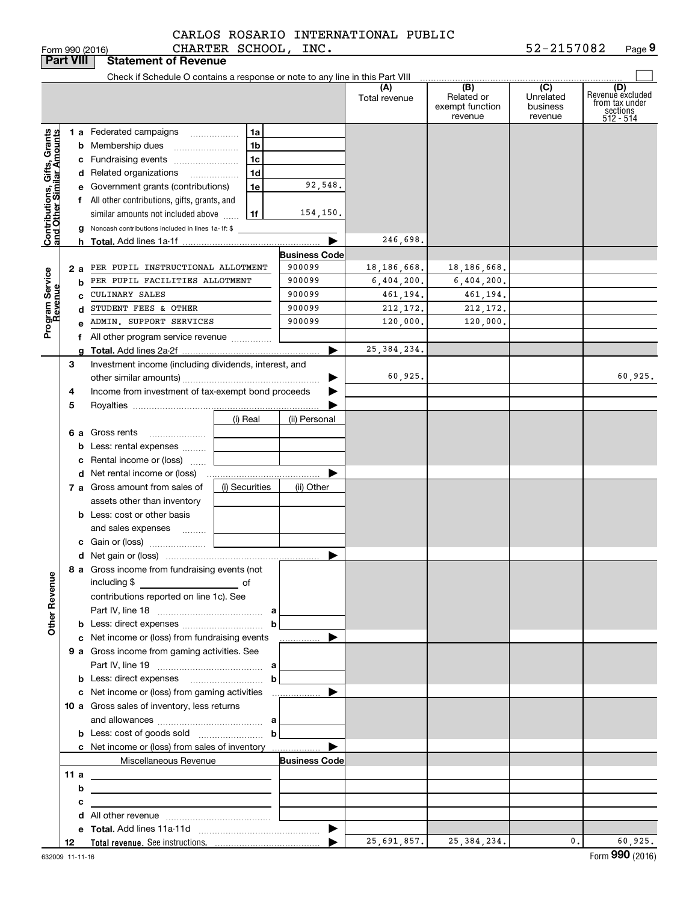|                                                           | <b>Part VIII</b> | <b>Statement of Revenue</b>                                                               |                |                      |                      |                                                 |                                         |                                                                    |
|-----------------------------------------------------------|------------------|-------------------------------------------------------------------------------------------|----------------|----------------------|----------------------|-------------------------------------------------|-----------------------------------------|--------------------------------------------------------------------|
|                                                           |                  | Check if Schedule O contains a response or note to any line in this Part VIII             |                |                      |                      |                                                 |                                         |                                                                    |
|                                                           |                  |                                                                                           |                |                      | (A)<br>Total revenue | (B)<br>Related or<br>exempt function<br>revenue | (C)<br>Unrelated<br>business<br>revenue | (D)<br>Revenuè excluded<br>from tax under<br>sections<br>512 - 514 |
|                                                           |                  | <b>1 a</b> Federated campaigns                                                            | 1a             |                      |                      |                                                 |                                         |                                                                    |
|                                                           |                  | <b>b</b> Membership dues                                                                  | 1 <sub>b</sub> |                      |                      |                                                 |                                         |                                                                    |
|                                                           |                  | c Fundraising events                                                                      | 1 <sub>c</sub> |                      |                      |                                                 |                                         |                                                                    |
|                                                           |                  | d Related organizations                                                                   | 1 <sub>d</sub> |                      |                      |                                                 |                                         |                                                                    |
|                                                           |                  | e Government grants (contributions)                                                       | 1e             | 92,548.              |                      |                                                 |                                         |                                                                    |
|                                                           |                  | f All other contributions, gifts, grants, and                                             |                |                      |                      |                                                 |                                         |                                                                    |
|                                                           |                  | similar amounts not included above                                                        | 1f             | 154,150.             |                      |                                                 |                                         |                                                                    |
| Contributions, Gifts, Grants<br>and Other Similar Amounts |                  | g Noncash contributions included in lines 1a-1f: \$                                       |                |                      |                      |                                                 |                                         |                                                                    |
|                                                           |                  |                                                                                           |                | ▶                    | 246,698.             |                                                 |                                         |                                                                    |
|                                                           |                  |                                                                                           |                | <b>Business Code</b> |                      |                                                 |                                         |                                                                    |
|                                                           | 2 a              | PER PUPIL INSTRUCTIONAL ALLOTMENT                                                         |                | 900099               | 18, 186, 668.        | 18,186,668.                                     |                                         |                                                                    |
| Program Service<br>Revenue                                |                  | PER PUPIL FACILITIES ALLOTMENT<br>b                                                       |                | 900099               | 6,404,200.           | 6,404,200.                                      |                                         |                                                                    |
|                                                           |                  | CULINARY SALES<br>c                                                                       |                | 900099               | 461,194.             | 461,194.                                        |                                         |                                                                    |
|                                                           |                  | STUDENT FEES & OTHER<br>d                                                                 |                | 900099               | 212, 172.            | 212,172.                                        |                                         |                                                                    |
|                                                           |                  | e ADMIN. SUPPORT SERVICES                                                                 |                | 900099               | 120,000.             | 120,000.                                        |                                         |                                                                    |
|                                                           |                  | f All other program service revenue                                                       |                |                      |                      |                                                 |                                         |                                                                    |
|                                                           |                  |                                                                                           |                | ▶                    | 25, 384, 234.        |                                                 |                                         |                                                                    |
|                                                           | З                | Investment income (including dividends, interest, and                                     |                |                      |                      |                                                 |                                         |                                                                    |
|                                                           |                  |                                                                                           |                |                      | 60,925.              |                                                 |                                         | 60,925.                                                            |
|                                                           | 4                | Income from investment of tax-exempt bond proceeds                                        |                |                      |                      |                                                 |                                         |                                                                    |
|                                                           | 5                |                                                                                           |                |                      |                      |                                                 |                                         |                                                                    |
|                                                           |                  |                                                                                           | (i) Real       | (ii) Personal        |                      |                                                 |                                         |                                                                    |
|                                                           |                  | 6 a Gross rents<br><b>b</b> Less: rental expenses                                         |                |                      |                      |                                                 |                                         |                                                                    |
|                                                           |                  | Rental income or (loss)                                                                   |                |                      |                      |                                                 |                                         |                                                                    |
|                                                           | c                |                                                                                           |                |                      |                      |                                                 |                                         |                                                                    |
|                                                           |                  | 7 a Gross amount from sales of                                                            | (i) Securities | (ii) Other           |                      |                                                 |                                         |                                                                    |
|                                                           |                  | assets other than inventory                                                               |                |                      |                      |                                                 |                                         |                                                                    |
|                                                           |                  | <b>b</b> Less: cost or other basis                                                        |                |                      |                      |                                                 |                                         |                                                                    |
|                                                           |                  | and sales expenses                                                                        |                |                      |                      |                                                 |                                         |                                                                    |
|                                                           |                  |                                                                                           |                |                      |                      |                                                 |                                         |                                                                    |
|                                                           |                  |                                                                                           |                | ▶                    |                      |                                                 |                                         |                                                                    |
|                                                           |                  | 8 a Gross income from fundraising events (not                                             |                |                      |                      |                                                 |                                         |                                                                    |
|                                                           |                  | including $$$<br>$\overline{\phantom{a}}$ of                                              |                |                      |                      |                                                 |                                         |                                                                    |
|                                                           |                  | contributions reported on line 1c). See                                                   |                |                      |                      |                                                 |                                         |                                                                    |
|                                                           |                  |                                                                                           |                |                      |                      |                                                 |                                         |                                                                    |
| <b>Other Revenue</b>                                      |                  |                                                                                           | b              |                      |                      |                                                 |                                         |                                                                    |
|                                                           |                  | c Net income or (loss) from fundraising events                                            |                | ▶<br>.               |                      |                                                 |                                         |                                                                    |
|                                                           |                  | 9 a Gross income from gaming activities. See                                              |                |                      |                      |                                                 |                                         |                                                                    |
|                                                           |                  |                                                                                           |                |                      |                      |                                                 |                                         |                                                                    |
|                                                           |                  |                                                                                           | b              |                      |                      |                                                 |                                         |                                                                    |
|                                                           |                  | c Net income or (loss) from gaming activities                                             |                | ▶<br>. <u>.</u>      |                      |                                                 |                                         |                                                                    |
|                                                           |                  | 10 a Gross sales of inventory, less returns                                               |                |                      |                      |                                                 |                                         |                                                                    |
|                                                           |                  |                                                                                           |                |                      |                      |                                                 |                                         |                                                                    |
|                                                           |                  |                                                                                           | $\mathbf b$    |                      |                      |                                                 |                                         |                                                                    |
|                                                           |                  | c Net income or (loss) from sales of inventory                                            |                | ▶                    |                      |                                                 |                                         |                                                                    |
|                                                           |                  | Miscellaneous Revenue                                                                     |                | <b>Business Code</b> |                      |                                                 |                                         |                                                                    |
|                                                           | 11 a             | <u> 2002 - John Stone, Amerikaansk politiker (</u>                                        |                |                      |                      |                                                 |                                         |                                                                    |
|                                                           | b                | the control of the control of the control of the control of the control of the control of |                |                      |                      |                                                 |                                         |                                                                    |
|                                                           | с                | the contract of the contract of the contract of the contract of the contract of           |                |                      |                      |                                                 |                                         |                                                                    |
|                                                           |                  |                                                                                           |                |                      |                      |                                                 |                                         |                                                                    |
|                                                           |                  |                                                                                           |                |                      | 25,691,857.          | 25, 384, 234.                                   | 0.1                                     | 60,925.                                                            |
|                                                           | 12               |                                                                                           |                |                      |                      |                                                 |                                         |                                                                    |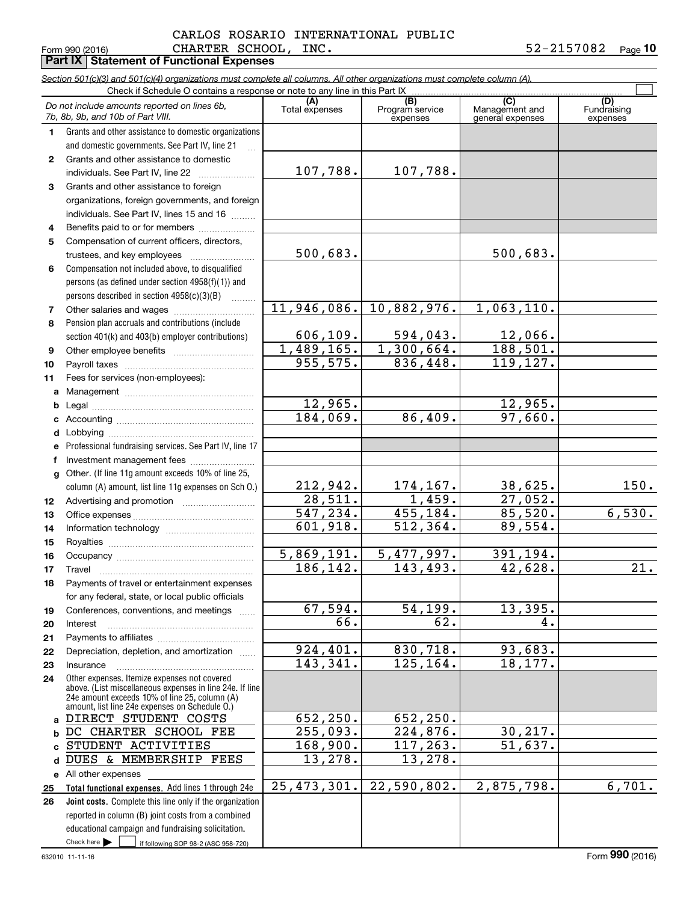#### Form 990 (2016) Page **Part IX Statement of Functional Expenses** <code>CHARTER SCHOOL</code> , <code>INC</code> . The set of the set of  $52-2157082$ CARLOS ROSARIO INTERNATIONAL PUBLIC

**10**

|              | Section 501(c)(3) and 501(c)(4) organizations must complete all columns. All other organizations must complete column (A).<br>Check if Schedule O contains a response or note to any line in this Part IX   |                                        |                             |                                    |                         |  |  |  |  |  |  |
|--------------|-------------------------------------------------------------------------------------------------------------------------------------------------------------------------------------------------------------|----------------------------------------|-----------------------------|------------------------------------|-------------------------|--|--|--|--|--|--|
|              | Do not include amounts reported on lines 6b,                                                                                                                                                                |                                        | (B)                         | (C)                                | (D)                     |  |  |  |  |  |  |
|              | 7b, 8b, 9b, and 10b of Part VIII.                                                                                                                                                                           | Total expenses                         | Program service<br>expenses | Management and<br>general expenses | Fundraising<br>expenses |  |  |  |  |  |  |
| 1.           | Grants and other assistance to domestic organizations                                                                                                                                                       |                                        |                             |                                    |                         |  |  |  |  |  |  |
|              | and domestic governments. See Part IV, line 21                                                                                                                                                              |                                        |                             |                                    |                         |  |  |  |  |  |  |
| $\mathbf{2}$ | Grants and other assistance to domestic                                                                                                                                                                     |                                        |                             |                                    |                         |  |  |  |  |  |  |
|              | individuals. See Part IV, line 22                                                                                                                                                                           | 107,788.                               | 107,788.                    |                                    |                         |  |  |  |  |  |  |
| 3            | Grants and other assistance to foreign                                                                                                                                                                      |                                        |                             |                                    |                         |  |  |  |  |  |  |
|              | organizations, foreign governments, and foreign                                                                                                                                                             |                                        |                             |                                    |                         |  |  |  |  |  |  |
|              | individuals. See Part IV, lines 15 and 16                                                                                                                                                                   |                                        |                             |                                    |                         |  |  |  |  |  |  |
| 4            | Benefits paid to or for members                                                                                                                                                                             |                                        |                             |                                    |                         |  |  |  |  |  |  |
| 5            | Compensation of current officers, directors,                                                                                                                                                                |                                        |                             |                                    |                         |  |  |  |  |  |  |
|              | trustees, and key employees                                                                                                                                                                                 | 500,683.                               |                             | 500,683.                           |                         |  |  |  |  |  |  |
| 6            | Compensation not included above, to disqualified                                                                                                                                                            |                                        |                             |                                    |                         |  |  |  |  |  |  |
|              | persons (as defined under section 4958(f)(1)) and                                                                                                                                                           |                                        |                             |                                    |                         |  |  |  |  |  |  |
|              | persons described in section 4958(c)(3)(B)                                                                                                                                                                  |                                        |                             |                                    |                         |  |  |  |  |  |  |
| 7            |                                                                                                                                                                                                             | 11,946,086.                            | 10,882,976.                 | 1,063,110.                         |                         |  |  |  |  |  |  |
| 8            | Pension plan accruals and contributions (include                                                                                                                                                            |                                        |                             |                                    |                         |  |  |  |  |  |  |
|              | section 401(k) and 403(b) employer contributions)                                                                                                                                                           | 606, 109.                              | 594,043.                    | $\frac{12,066}{188,501}$           |                         |  |  |  |  |  |  |
| 9            |                                                                                                                                                                                                             | 1,489,165.<br>955, 575.                | 1,300,664.<br>836,448.      | 119, 127.                          |                         |  |  |  |  |  |  |
| 10           |                                                                                                                                                                                                             |                                        |                             |                                    |                         |  |  |  |  |  |  |
| 11           | Fees for services (non-employees):                                                                                                                                                                          |                                        |                             |                                    |                         |  |  |  |  |  |  |
| a            |                                                                                                                                                                                                             |                                        |                             |                                    |                         |  |  |  |  |  |  |
| b            |                                                                                                                                                                                                             | $\overline{12}$ , 965.<br>184,069.     | 86,409.                     | $\frac{12,965}{97,660}$            |                         |  |  |  |  |  |  |
| c            |                                                                                                                                                                                                             |                                        |                             |                                    |                         |  |  |  |  |  |  |
| d            | Professional fundraising services. See Part IV, line 17                                                                                                                                                     |                                        |                             |                                    |                         |  |  |  |  |  |  |
| f            | Investment management fees                                                                                                                                                                                  |                                        |                             |                                    |                         |  |  |  |  |  |  |
| $\mathbf{q}$ | Other. (If line 11g amount exceeds 10% of line 25,                                                                                                                                                          |                                        |                             |                                    |                         |  |  |  |  |  |  |
|              | column (A) amount, list line 11g expenses on Sch 0.)                                                                                                                                                        |                                        |                             | <u>38,625.</u>                     | 150.                    |  |  |  |  |  |  |
| 12           |                                                                                                                                                                                                             | $\frac{212,942.}{28,511.}$<br>547,234. | $\frac{174,167}{1,459}$ .   |                                    |                         |  |  |  |  |  |  |
| 13           |                                                                                                                                                                                                             |                                        | 455,184.                    | $\frac{27,052.}{85,520.}$          | 6,530.                  |  |  |  |  |  |  |
| 14           |                                                                                                                                                                                                             | 601,918.                               | 512, 364.                   | 89,554.                            |                         |  |  |  |  |  |  |
| 15           |                                                                                                                                                                                                             |                                        |                             |                                    |                         |  |  |  |  |  |  |
| 16           |                                                                                                                                                                                                             | 5,869,191.                             | 5, 477, 997.                | 391,194.                           |                         |  |  |  |  |  |  |
| 17           |                                                                                                                                                                                                             | 186, 142.                              | 143,493.                    | 42,628.                            | $\overline{21}$ .       |  |  |  |  |  |  |
| 18           | Payments of travel or entertainment expenses                                                                                                                                                                |                                        |                             |                                    |                         |  |  |  |  |  |  |
|              | for any federal, state, or local public officials                                                                                                                                                           |                                        |                             |                                    |                         |  |  |  |  |  |  |
| 19           | Conferences, conventions, and meetings                                                                                                                                                                      | 67,594.                                | 54, 199.                    | 13,395.                            |                         |  |  |  |  |  |  |
| 20           | Interest                                                                                                                                                                                                    | $\overline{66}$ .                      | 62.                         | 4.                                 |                         |  |  |  |  |  |  |
| 21           |                                                                                                                                                                                                             |                                        |                             |                                    |                         |  |  |  |  |  |  |
| 22           | Depreciation, depletion, and amortization                                                                                                                                                                   | 924,401.                               | 830,718.                    | 93,683.                            |                         |  |  |  |  |  |  |
| 23           | Insurance                                                                                                                                                                                                   | 143,341.                               | 125, 164.                   | 18,177.                            |                         |  |  |  |  |  |  |
| 24           | Other expenses. Itemize expenses not covered<br>above. (List miscellaneous expenses in line 24e. If line<br>24e amount exceeds 10% of line 25, column (A)<br>amount, list line 24e expenses on Schedule O.) |                                        |                             |                                    |                         |  |  |  |  |  |  |
| a            | DIRECT STUDENT COSTS                                                                                                                                                                                        | 652,250.                               | 652,250.                    |                                    |                         |  |  |  |  |  |  |
| b            | DC CHARTER SCHOOL FEE                                                                                                                                                                                       | 255,093.                               | 224,876.                    | 30,217.                            |                         |  |  |  |  |  |  |
|              | STUDENT ACTIVITIES                                                                                                                                                                                          | 168,900.                               | 117,263.                    | 51,637.                            |                         |  |  |  |  |  |  |
| d            | DUES & MEMBERSHIP FEES                                                                                                                                                                                      | 13,278.                                | 13,278.                     |                                    |                         |  |  |  |  |  |  |
| е            | All other expenses                                                                                                                                                                                          |                                        |                             |                                    |                         |  |  |  |  |  |  |
| 25           | Total functional expenses. Add lines 1 through 24e                                                                                                                                                          | 25, 473, 301.                          | 22,590,802.                 | 2,875,798.                         | $\overline{6,701}$ .    |  |  |  |  |  |  |
| 26           | Joint costs. Complete this line only if the organization                                                                                                                                                    |                                        |                             |                                    |                         |  |  |  |  |  |  |
|              | reported in column (B) joint costs from a combined                                                                                                                                                          |                                        |                             |                                    |                         |  |  |  |  |  |  |
|              | educational campaign and fundraising solicitation.                                                                                                                                                          |                                        |                             |                                    |                         |  |  |  |  |  |  |
|              | Check here<br>if following SOP 98-2 (ASC 958-720)                                                                                                                                                           |                                        |                             |                                    |                         |  |  |  |  |  |  |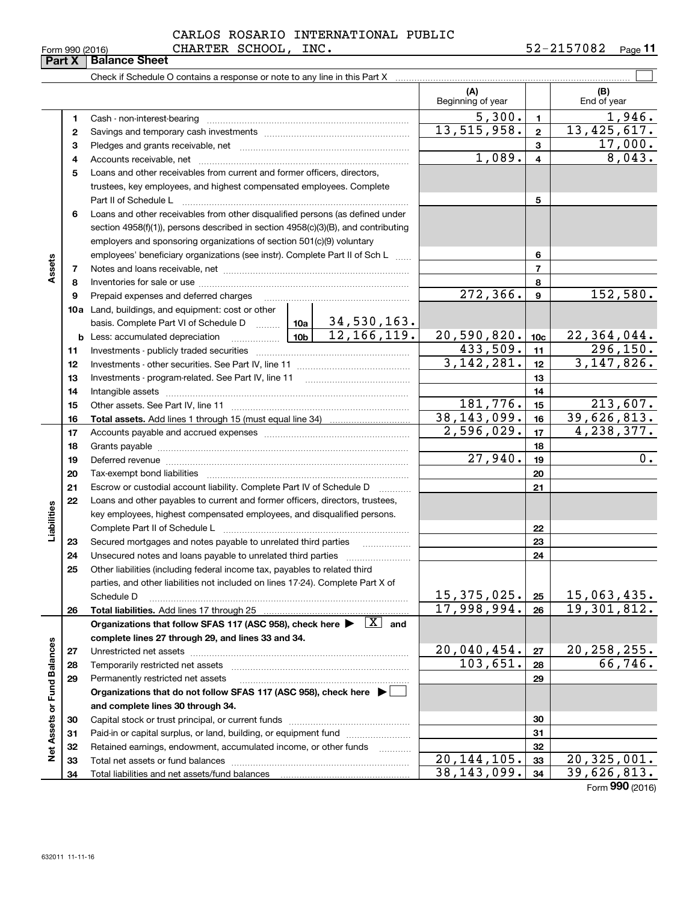## Form 990 (2016) CHARTER SCHOOL, INC. 5 $2\text{--}2157082$  <sub>Page</sub> CARLOS ROSARIO INTERNATIONAL PUBLIC

**11**

|                             | нап х | <b>Dalafice Street</b>                                                                                                                                                            |  |                          |                          |                         |                                   |
|-----------------------------|-------|-----------------------------------------------------------------------------------------------------------------------------------------------------------------------------------|--|--------------------------|--------------------------|-------------------------|-----------------------------------|
|                             |       |                                                                                                                                                                                   |  |                          |                          |                         |                                   |
|                             |       |                                                                                                                                                                                   |  |                          | (A)<br>Beginning of year |                         | (B)<br>End of year                |
|                             | 1     | Cash - non-interest-bearing                                                                                                                                                       |  |                          | 5,300.                   | $\mathbf{1}$            | 1,946.                            |
|                             | 2     |                                                                                                                                                                                   |  |                          | 13,515,958.              | $\overline{2}$          | 13,425,617.                       |
|                             | з     |                                                                                                                                                                                   |  |                          |                          | 3                       | 17,000.                           |
|                             | 4     |                                                                                                                                                                                   |  |                          | 1,089.                   | $\overline{\mathbf{4}}$ | 8,043.                            |
|                             | 5     | Loans and other receivables from current and former officers, directors,                                                                                                          |  |                          |                          |                         |                                   |
|                             |       | trustees, key employees, and highest compensated employees. Complete                                                                                                              |  |                          |                          |                         |                                   |
|                             |       | Part II of Schedule L                                                                                                                                                             |  |                          |                          | 5                       |                                   |
|                             | 6     | Loans and other receivables from other disqualified persons (as defined under                                                                                                     |  |                          |                          |                         |                                   |
|                             |       | section 4958(f)(1)), persons described in section 4958(c)(3)(B), and contributing                                                                                                 |  |                          |                          |                         |                                   |
|                             |       | employers and sponsoring organizations of section 501(c)(9) voluntary                                                                                                             |  |                          |                          |                         |                                   |
|                             |       | employees' beneficiary organizations (see instr). Complete Part II of Sch L                                                                                                       |  |                          |                          | 6                       |                                   |
| Assets                      | 7     |                                                                                                                                                                                   |  |                          |                          | $\overline{7}$          |                                   |
|                             | 8     |                                                                                                                                                                                   |  |                          |                          | 8                       |                                   |
|                             | 9     | Prepaid expenses and deferred charges                                                                                                                                             |  |                          | 272, 366.                | 9                       | 152,580.                          |
|                             |       | 10a Land, buildings, and equipment: cost or other                                                                                                                                 |  |                          |                          |                         |                                   |
|                             |       | basis. Complete Part VI of Schedule D  10a 34,530,163.                                                                                                                            |  |                          |                          |                         |                                   |
|                             |       | <u>  10b</u> 10b<br><b>b</b> Less: accumulated depreciation                                                                                                                       |  |                          | 20,590,820.              | 10 <sub>c</sub>         | 22,364,044.                       |
|                             | 11    |                                                                                                                                                                                   |  |                          | 433,509.                 | 11                      | 296, 150.                         |
|                             | 12    |                                                                                                                                                                                   |  |                          | 3,142,281.               | 12                      | 3, 147, 826.                      |
|                             | 13    |                                                                                                                                                                                   |  |                          |                          | 13                      |                                   |
|                             | 14    |                                                                                                                                                                                   |  |                          |                          | 14                      |                                   |
|                             | 15    |                                                                                                                                                                                   |  |                          | 181,776.                 | 15                      | 213,607.                          |
|                             | 16    |                                                                                                                                                                                   |  |                          | 38, 143, 099.            | 16                      | 39,626,813.                       |
|                             | 17    |                                                                                                                                                                                   |  |                          | 2,596,029.               | 17                      | 4,238,377.                        |
|                             | 18    |                                                                                                                                                                                   |  | 18                       |                          |                         |                                   |
|                             | 19    |                                                                                                                                                                                   |  | 27,940.                  | 19                       | 0.                      |                                   |
|                             | 20    |                                                                                                                                                                                   |  |                          |                          | 20                      |                                   |
|                             | 21    | Escrow or custodial account liability. Complete Part IV of Schedule D                                                                                                             |  | $\overline{\phantom{a}}$ |                          | 21                      |                                   |
|                             | 22    | Loans and other payables to current and former officers, directors, trustees,                                                                                                     |  |                          |                          |                         |                                   |
|                             |       | key employees, highest compensated employees, and disqualified persons.                                                                                                           |  |                          |                          |                         |                                   |
| Liabilities                 |       | Complete Part II of Schedule L                                                                                                                                                    |  |                          |                          | 22                      |                                   |
|                             | 23    | Secured mortgages and notes payable to unrelated third parties                                                                                                                    |  |                          |                          | 23                      |                                   |
|                             | 24    |                                                                                                                                                                                   |  |                          |                          | 24                      |                                   |
|                             | 25    | Other liabilities (including federal income tax, payables to related third                                                                                                        |  |                          |                          |                         |                                   |
|                             |       | parties, and other liabilities not included on lines 17-24). Complete Part X of                                                                                                   |  |                          | 15, 375, 025.            |                         |                                   |
|                             |       | Schedule D                                                                                                                                                                        |  |                          | 17,998,994.              | 25                      | <u>15,063,435.</u><br>19,301,812. |
|                             | 26    | <b>Total liabilities.</b> Add lines 17 through 25<br>Organizations that follow SFAS 117 (ASC 958), check here $\blacktriangleright \begin{array}{c} \boxed{X} \\ \end{array}$ and |  |                          |                          | 26                      |                                   |
|                             |       | complete lines 27 through 29, and lines 33 and 34.                                                                                                                                |  |                          |                          |                         |                                   |
|                             | 27    | Unrestricted net assets                                                                                                                                                           |  |                          | 20,040,454.              | 27                      | 20, 258, 255.                     |
|                             | 28    | Temporarily restricted net assets                                                                                                                                                 |  |                          | 103,651.                 | 28                      | 66,746.                           |
|                             | 29    | Permanently restricted net assets                                                                                                                                                 |  |                          |                          | 29                      |                                   |
|                             |       | Organizations that do not follow SFAS 117 (ASC 958), check here ▶ □                                                                                                               |  |                          |                          |                         |                                   |
|                             |       | and complete lines 30 through 34.                                                                                                                                                 |  |                          |                          |                         |                                   |
|                             | 30    | Capital stock or trust principal, or current funds                                                                                                                                |  |                          |                          | 30                      |                                   |
| Net Assets or Fund Balances | 31    | Paid-in or capital surplus, or land, building, or equipment fund                                                                                                                  |  |                          |                          | 31                      |                                   |
|                             | 32    | Retained earnings, endowment, accumulated income, or other funds                                                                                                                  |  | .                        |                          | 32                      |                                   |
|                             | วว    | Total not accote or fund halances                                                                                                                                                 |  |                          | 20 144 105.              | 22                      | 20, 325, 001                      |

Retained earnings, endowment, accumulated income, or other funds we have all the Total net assets or fund balances ~~~~~~~~~~~~~~~~~~~~~~

Total liabilities and net assets/fund balances

Form (2016) **990**

 **323334**

20,144,105. 20,325,001. 38,143,099. 39,626,813.

# **Part X Balance Sheet**<br>**Part X Bala**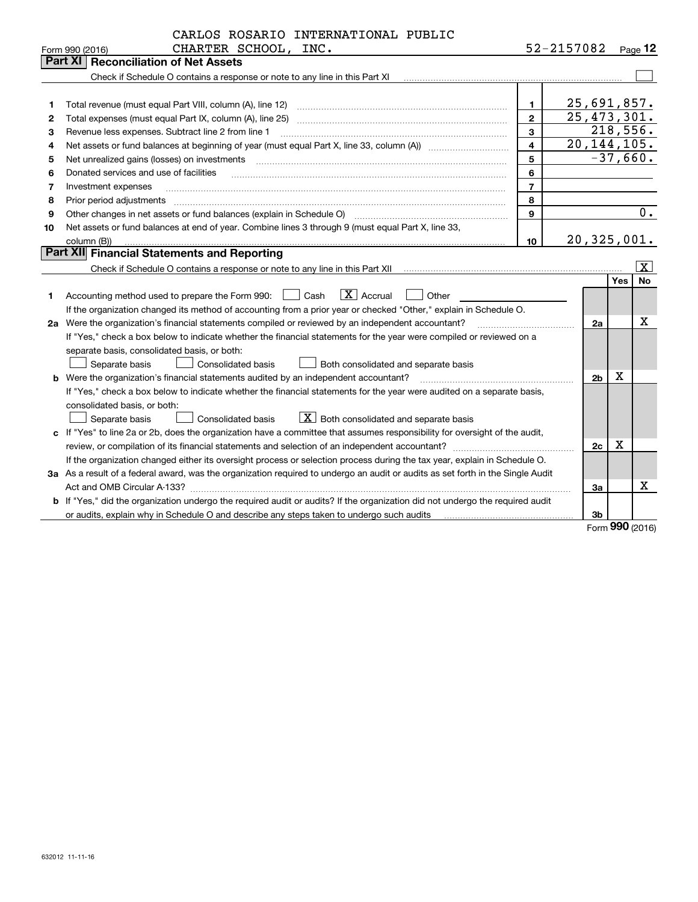| 52-2157082<br>Page $12$<br>Form 990 (2016)<br>Part XI   Reconciliation of Net Assets<br>Check if Schedule O contains a response or note to any line in this Part XI<br>25,691,857.<br>1<br>1<br>25, 473, 301.<br>$\mathbf{2}$<br>Total expenses (must equal Part IX, column (A), line 25)<br>2<br>218,556.<br>3<br>з<br>Revenue less expenses. Subtract line 2 from line 1<br>20, 144, 105.<br>$\overline{\mathbf{4}}$<br>4<br>5<br>$-37,660.$<br>Net unrealized gains (losses) on investments<br>5<br>$\overline{a_1, \ldots, a_n, \ldots, a_n, \ldots, a_n, \ldots, a_n, \ldots, a_n, \ldots, a_n, \ldots, a_n, \ldots, a_n, \ldots, a_n, \ldots, a_n, \ldots, a_n, \ldots, a_n, \ldots, a_n, \ldots, a_n, \ldots, a_n, \ldots, a_n, \ldots, a_n, \ldots, a_n, \ldots, a_n, \ldots, a_n, \ldots, a_n, \ldots, a_n, \ldots, a_n, \ldots, a_n, \ldots, a_n, \ldots, a_n, \ldots, a_n, \ldots, a_n, \ldots, a_n, \ldots, a_n, \ld$<br>6<br>Donated services and use of facilities<br>6<br>$\overline{7}$<br>7<br>Investment expenses<br>8<br>8<br>Prior period adjustments<br>Other changes in net assets or fund balances (explain in Schedule O) [11] [12] contraction contraction of the changes in net assets or fund balances (explain in Schedule O)<br>9<br>9<br>Net assets or fund balances at end of year. Combine lines 3 through 9 (must equal Part X, line 33,<br>10<br>20,325,001.<br>10<br>column (B))<br><b>Part XII</b> Financial Statements and Reporting<br>ΙX.<br>Yes<br>$\boxed{\mathbf{X}}$ Accrual<br>Accounting method used to prepare the Form 990: <u>II</u> Cash<br>Other<br>1<br>If the organization changed its method of accounting from a prior year or checked "Other," explain in Schedule O.<br>х<br>2a Were the organization's financial statements compiled or reviewed by an independent accountant?<br>2a<br>If "Yes," check a box below to indicate whether the financial statements for the year were compiled or reviewed on a<br>separate basis, consolidated basis, or both: | CARLOS ROSARIO INTERNATIONAL PUBLIC                                                 |  |  |  |           |  |
|-----------------------------------------------------------------------------------------------------------------------------------------------------------------------------------------------------------------------------------------------------------------------------------------------------------------------------------------------------------------------------------------------------------------------------------------------------------------------------------------------------------------------------------------------------------------------------------------------------------------------------------------------------------------------------------------------------------------------------------------------------------------------------------------------------------------------------------------------------------------------------------------------------------------------------------------------------------------------------------------------------------------------------------------------------------------------------------------------------------------------------------------------------------------------------------------------------------------------------------------------------------------------------------------------------------------------------------------------------------------------------------------------------------------------------------------------------------------------------------------------------------------------------------------------------------------------------------------------------------------------------------------------------------------------------------------------------------------------------------------------------------------------------------------------------------------------------------------------------------------------------------------------------------------------------------------------------------------------------------------------------------------------|-------------------------------------------------------------------------------------|--|--|--|-----------|--|
|                                                                                                                                                                                                                                                                                                                                                                                                                                                                                                                                                                                                                                                                                                                                                                                                                                                                                                                                                                                                                                                                                                                                                                                                                                                                                                                                                                                                                                                                                                                                                                                                                                                                                                                                                                                                                                                                                                                                                                                                                       | CHARTER SCHOOL, INC.                                                                |  |  |  |           |  |
|                                                                                                                                                                                                                                                                                                                                                                                                                                                                                                                                                                                                                                                                                                                                                                                                                                                                                                                                                                                                                                                                                                                                                                                                                                                                                                                                                                                                                                                                                                                                                                                                                                                                                                                                                                                                                                                                                                                                                                                                                       |                                                                                     |  |  |  |           |  |
|                                                                                                                                                                                                                                                                                                                                                                                                                                                                                                                                                                                                                                                                                                                                                                                                                                                                                                                                                                                                                                                                                                                                                                                                                                                                                                                                                                                                                                                                                                                                                                                                                                                                                                                                                                                                                                                                                                                                                                                                                       |                                                                                     |  |  |  |           |  |
|                                                                                                                                                                                                                                                                                                                                                                                                                                                                                                                                                                                                                                                                                                                                                                                                                                                                                                                                                                                                                                                                                                                                                                                                                                                                                                                                                                                                                                                                                                                                                                                                                                                                                                                                                                                                                                                                                                                                                                                                                       |                                                                                     |  |  |  |           |  |
|                                                                                                                                                                                                                                                                                                                                                                                                                                                                                                                                                                                                                                                                                                                                                                                                                                                                                                                                                                                                                                                                                                                                                                                                                                                                                                                                                                                                                                                                                                                                                                                                                                                                                                                                                                                                                                                                                                                                                                                                                       |                                                                                     |  |  |  |           |  |
|                                                                                                                                                                                                                                                                                                                                                                                                                                                                                                                                                                                                                                                                                                                                                                                                                                                                                                                                                                                                                                                                                                                                                                                                                                                                                                                                                                                                                                                                                                                                                                                                                                                                                                                                                                                                                                                                                                                                                                                                                       |                                                                                     |  |  |  |           |  |
|                                                                                                                                                                                                                                                                                                                                                                                                                                                                                                                                                                                                                                                                                                                                                                                                                                                                                                                                                                                                                                                                                                                                                                                                                                                                                                                                                                                                                                                                                                                                                                                                                                                                                                                                                                                                                                                                                                                                                                                                                       |                                                                                     |  |  |  |           |  |
|                                                                                                                                                                                                                                                                                                                                                                                                                                                                                                                                                                                                                                                                                                                                                                                                                                                                                                                                                                                                                                                                                                                                                                                                                                                                                                                                                                                                                                                                                                                                                                                                                                                                                                                                                                                                                                                                                                                                                                                                                       |                                                                                     |  |  |  |           |  |
|                                                                                                                                                                                                                                                                                                                                                                                                                                                                                                                                                                                                                                                                                                                                                                                                                                                                                                                                                                                                                                                                                                                                                                                                                                                                                                                                                                                                                                                                                                                                                                                                                                                                                                                                                                                                                                                                                                                                                                                                                       |                                                                                     |  |  |  |           |  |
|                                                                                                                                                                                                                                                                                                                                                                                                                                                                                                                                                                                                                                                                                                                                                                                                                                                                                                                                                                                                                                                                                                                                                                                                                                                                                                                                                                                                                                                                                                                                                                                                                                                                                                                                                                                                                                                                                                                                                                                                                       |                                                                                     |  |  |  |           |  |
|                                                                                                                                                                                                                                                                                                                                                                                                                                                                                                                                                                                                                                                                                                                                                                                                                                                                                                                                                                                                                                                                                                                                                                                                                                                                                                                                                                                                                                                                                                                                                                                                                                                                                                                                                                                                                                                                                                                                                                                                                       |                                                                                     |  |  |  |           |  |
|                                                                                                                                                                                                                                                                                                                                                                                                                                                                                                                                                                                                                                                                                                                                                                                                                                                                                                                                                                                                                                                                                                                                                                                                                                                                                                                                                                                                                                                                                                                                                                                                                                                                                                                                                                                                                                                                                                                                                                                                                       |                                                                                     |  |  |  |           |  |
|                                                                                                                                                                                                                                                                                                                                                                                                                                                                                                                                                                                                                                                                                                                                                                                                                                                                                                                                                                                                                                                                                                                                                                                                                                                                                                                                                                                                                                                                                                                                                                                                                                                                                                                                                                                                                                                                                                                                                                                                                       |                                                                                     |  |  |  | 0.        |  |
|                                                                                                                                                                                                                                                                                                                                                                                                                                                                                                                                                                                                                                                                                                                                                                                                                                                                                                                                                                                                                                                                                                                                                                                                                                                                                                                                                                                                                                                                                                                                                                                                                                                                                                                                                                                                                                                                                                                                                                                                                       |                                                                                     |  |  |  |           |  |
|                                                                                                                                                                                                                                                                                                                                                                                                                                                                                                                                                                                                                                                                                                                                                                                                                                                                                                                                                                                                                                                                                                                                                                                                                                                                                                                                                                                                                                                                                                                                                                                                                                                                                                                                                                                                                                                                                                                                                                                                                       |                                                                                     |  |  |  |           |  |
|                                                                                                                                                                                                                                                                                                                                                                                                                                                                                                                                                                                                                                                                                                                                                                                                                                                                                                                                                                                                                                                                                                                                                                                                                                                                                                                                                                                                                                                                                                                                                                                                                                                                                                                                                                                                                                                                                                                                                                                                                       |                                                                                     |  |  |  |           |  |
|                                                                                                                                                                                                                                                                                                                                                                                                                                                                                                                                                                                                                                                                                                                                                                                                                                                                                                                                                                                                                                                                                                                                                                                                                                                                                                                                                                                                                                                                                                                                                                                                                                                                                                                                                                                                                                                                                                                                                                                                                       |                                                                                     |  |  |  |           |  |
|                                                                                                                                                                                                                                                                                                                                                                                                                                                                                                                                                                                                                                                                                                                                                                                                                                                                                                                                                                                                                                                                                                                                                                                                                                                                                                                                                                                                                                                                                                                                                                                                                                                                                                                                                                                                                                                                                                                                                                                                                       |                                                                                     |  |  |  | <b>No</b> |  |
|                                                                                                                                                                                                                                                                                                                                                                                                                                                                                                                                                                                                                                                                                                                                                                                                                                                                                                                                                                                                                                                                                                                                                                                                                                                                                                                                                                                                                                                                                                                                                                                                                                                                                                                                                                                                                                                                                                                                                                                                                       |                                                                                     |  |  |  |           |  |
|                                                                                                                                                                                                                                                                                                                                                                                                                                                                                                                                                                                                                                                                                                                                                                                                                                                                                                                                                                                                                                                                                                                                                                                                                                                                                                                                                                                                                                                                                                                                                                                                                                                                                                                                                                                                                                                                                                                                                                                                                       |                                                                                     |  |  |  |           |  |
|                                                                                                                                                                                                                                                                                                                                                                                                                                                                                                                                                                                                                                                                                                                                                                                                                                                                                                                                                                                                                                                                                                                                                                                                                                                                                                                                                                                                                                                                                                                                                                                                                                                                                                                                                                                                                                                                                                                                                                                                                       |                                                                                     |  |  |  |           |  |
|                                                                                                                                                                                                                                                                                                                                                                                                                                                                                                                                                                                                                                                                                                                                                                                                                                                                                                                                                                                                                                                                                                                                                                                                                                                                                                                                                                                                                                                                                                                                                                                                                                                                                                                                                                                                                                                                                                                                                                                                                       |                                                                                     |  |  |  |           |  |
|                                                                                                                                                                                                                                                                                                                                                                                                                                                                                                                                                                                                                                                                                                                                                                                                                                                                                                                                                                                                                                                                                                                                                                                                                                                                                                                                                                                                                                                                                                                                                                                                                                                                                                                                                                                                                                                                                                                                                                                                                       |                                                                                     |  |  |  |           |  |
|                                                                                                                                                                                                                                                                                                                                                                                                                                                                                                                                                                                                                                                                                                                                                                                                                                                                                                                                                                                                                                                                                                                                                                                                                                                                                                                                                                                                                                                                                                                                                                                                                                                                                                                                                                                                                                                                                                                                                                                                                       | Separate basis<br><b>Consolidated basis</b><br>Both consolidated and separate basis |  |  |  |           |  |
| х<br><b>b</b> Were the organization's financial statements audited by an independent accountant?<br>2 <sub>b</sub>                                                                                                                                                                                                                                                                                                                                                                                                                                                                                                                                                                                                                                                                                                                                                                                                                                                                                                                                                                                                                                                                                                                                                                                                                                                                                                                                                                                                                                                                                                                                                                                                                                                                                                                                                                                                                                                                                                    |                                                                                     |  |  |  |           |  |
| If "Yes," check a box below to indicate whether the financial statements for the year were audited on a separate basis,                                                                                                                                                                                                                                                                                                                                                                                                                                                                                                                                                                                                                                                                                                                                                                                                                                                                                                                                                                                                                                                                                                                                                                                                                                                                                                                                                                                                                                                                                                                                                                                                                                                                                                                                                                                                                                                                                               |                                                                                     |  |  |  |           |  |
| consolidated basis, or both:                                                                                                                                                                                                                                                                                                                                                                                                                                                                                                                                                                                                                                                                                                                                                                                                                                                                                                                                                                                                                                                                                                                                                                                                                                                                                                                                                                                                                                                                                                                                                                                                                                                                                                                                                                                                                                                                                                                                                                                          |                                                                                     |  |  |  |           |  |
| $X$ Both consolidated and separate basis<br>Separate basis<br>Consolidated basis                                                                                                                                                                                                                                                                                                                                                                                                                                                                                                                                                                                                                                                                                                                                                                                                                                                                                                                                                                                                                                                                                                                                                                                                                                                                                                                                                                                                                                                                                                                                                                                                                                                                                                                                                                                                                                                                                                                                      |                                                                                     |  |  |  |           |  |
| c If "Yes" to line 2a or 2b, does the organization have a committee that assumes responsibility for oversight of the audit,                                                                                                                                                                                                                                                                                                                                                                                                                                                                                                                                                                                                                                                                                                                                                                                                                                                                                                                                                                                                                                                                                                                                                                                                                                                                                                                                                                                                                                                                                                                                                                                                                                                                                                                                                                                                                                                                                           |                                                                                     |  |  |  |           |  |
| Х<br>2c                                                                                                                                                                                                                                                                                                                                                                                                                                                                                                                                                                                                                                                                                                                                                                                                                                                                                                                                                                                                                                                                                                                                                                                                                                                                                                                                                                                                                                                                                                                                                                                                                                                                                                                                                                                                                                                                                                                                                                                                               |                                                                                     |  |  |  |           |  |
| If the organization changed either its oversight process or selection process during the tax year, explain in Schedule O.                                                                                                                                                                                                                                                                                                                                                                                                                                                                                                                                                                                                                                                                                                                                                                                                                                                                                                                                                                                                                                                                                                                                                                                                                                                                                                                                                                                                                                                                                                                                                                                                                                                                                                                                                                                                                                                                                             |                                                                                     |  |  |  |           |  |
| 3a As a result of a federal award, was the organization required to undergo an audit or audits as set forth in the Single Audit                                                                                                                                                                                                                                                                                                                                                                                                                                                                                                                                                                                                                                                                                                                                                                                                                                                                                                                                                                                                                                                                                                                                                                                                                                                                                                                                                                                                                                                                                                                                                                                                                                                                                                                                                                                                                                                                                       |                                                                                     |  |  |  |           |  |
| х<br>3a                                                                                                                                                                                                                                                                                                                                                                                                                                                                                                                                                                                                                                                                                                                                                                                                                                                                                                                                                                                                                                                                                                                                                                                                                                                                                                                                                                                                                                                                                                                                                                                                                                                                                                                                                                                                                                                                                                                                                                                                               |                                                                                     |  |  |  |           |  |
| b If "Yes," did the organization undergo the required audit or audits? If the organization did not undergo the required audit                                                                                                                                                                                                                                                                                                                                                                                                                                                                                                                                                                                                                                                                                                                                                                                                                                                                                                                                                                                                                                                                                                                                                                                                                                                                                                                                                                                                                                                                                                                                                                                                                                                                                                                                                                                                                                                                                         |                                                                                     |  |  |  |           |  |
| or audits, explain why in Schedule O and describe any steps taken to undergo such audits<br>3b<br>nnn                                                                                                                                                                                                                                                                                                                                                                                                                                                                                                                                                                                                                                                                                                                                                                                                                                                                                                                                                                                                                                                                                                                                                                                                                                                                                                                                                                                                                                                                                                                                                                                                                                                                                                                                                                                                                                                                                                                 |                                                                                     |  |  |  |           |  |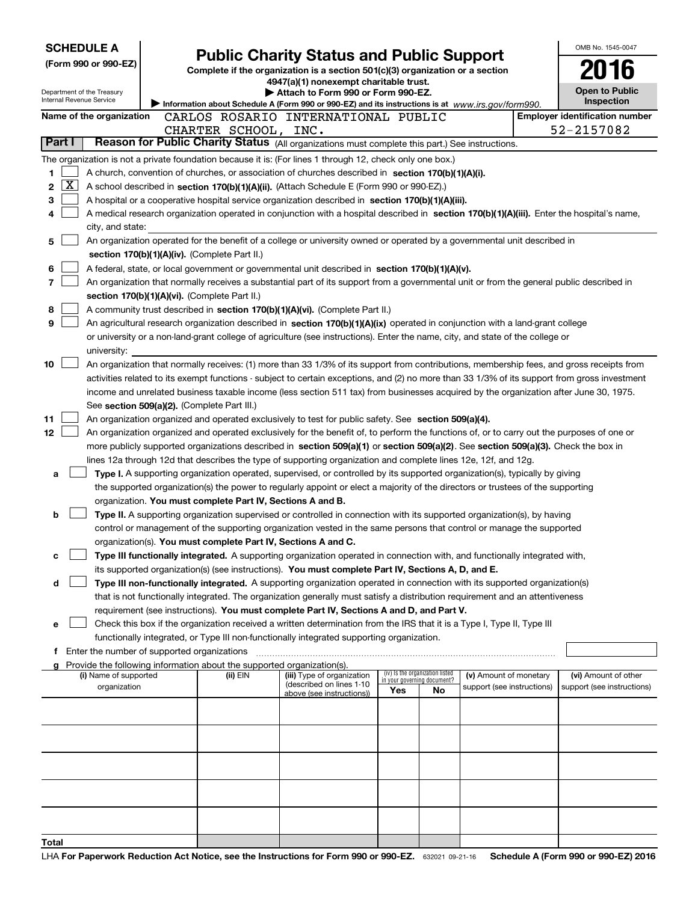| <b>SCHEDULE A</b><br>OMB No. 1545-0047<br><b>Public Charity Status and Public Support</b>                                                                                                                                                            |                                                                                                                                                                                                 |                                                                                                                                          |                                                                |    |                                                      |  |                                                    |  |  |
|------------------------------------------------------------------------------------------------------------------------------------------------------------------------------------------------------------------------------------------------------|-------------------------------------------------------------------------------------------------------------------------------------------------------------------------------------------------|------------------------------------------------------------------------------------------------------------------------------------------|----------------------------------------------------------------|----|------------------------------------------------------|--|----------------------------------------------------|--|--|
| (Form 990 or 990-EZ)                                                                                                                                                                                                                                 |                                                                                                                                                                                                 | Complete if the organization is a section 501(c)(3) organization or a section                                                            |                                                                |    |                                                      |  |                                                    |  |  |
|                                                                                                                                                                                                                                                      |                                                                                                                                                                                                 | 4947(a)(1) nonexempt charitable trust.                                                                                                   |                                                                |    |                                                      |  |                                                    |  |  |
| Department of the Treasury<br>Internal Revenue Service                                                                                                                                                                                               |                                                                                                                                                                                                 | Attach to Form 990 or Form 990-EZ.                                                                                                       |                                                                |    |                                                      |  | <b>Open to Public</b><br>Inspection                |  |  |
| Name of the organization                                                                                                                                                                                                                             |                                                                                                                                                                                                 | Information about Schedule A (Form 990 or 990-EZ) and its instructions is at www.irs.gov/form990.<br>CARLOS ROSARIO INTERNATIONAL PUBLIC |                                                                |    |                                                      |  | <b>Employer identification number</b>              |  |  |
|                                                                                                                                                                                                                                                      | CHARTER SCHOOL, INC.                                                                                                                                                                            |                                                                                                                                          |                                                                |    |                                                      |  | 52-2157082                                         |  |  |
| Part I<br>Reason for Public Charity Status (All organizations must complete this part.) See instructions.                                                                                                                                            |                                                                                                                                                                                                 |                                                                                                                                          |                                                                |    |                                                      |  |                                                    |  |  |
| The organization is not a private foundation because it is: (For lines 1 through 12, check only one box.)                                                                                                                                            |                                                                                                                                                                                                 |                                                                                                                                          |                                                                |    |                                                      |  |                                                    |  |  |
| A church, convention of churches, or association of churches described in section 170(b)(1)(A)(i).<br>1                                                                                                                                              |                                                                                                                                                                                                 |                                                                                                                                          |                                                                |    |                                                      |  |                                                    |  |  |
| $\overline{\text{X}}$<br>2<br>A school described in section 170(b)(1)(A)(ii). (Attach Schedule E (Form 990 or 990-EZ).)                                                                                                                              |                                                                                                                                                                                                 |                                                                                                                                          |                                                                |    |                                                      |  |                                                    |  |  |
| 3<br>A hospital or a cooperative hospital service organization described in section 170(b)(1)(A)(iii).                                                                                                                                               |                                                                                                                                                                                                 |                                                                                                                                          |                                                                |    |                                                      |  |                                                    |  |  |
| A medical research organization operated in conjunction with a hospital described in section 170(b)(1)(A)(iii). Enter the hospital's name,<br>4                                                                                                      |                                                                                                                                                                                                 |                                                                                                                                          |                                                                |    |                                                      |  |                                                    |  |  |
| city, and state:                                                                                                                                                                                                                                     |                                                                                                                                                                                                 |                                                                                                                                          |                                                                |    |                                                      |  |                                                    |  |  |
| An organization operated for the benefit of a college or university owned or operated by a governmental unit described in<br>5                                                                                                                       |                                                                                                                                                                                                 |                                                                                                                                          |                                                                |    |                                                      |  |                                                    |  |  |
| section 170(b)(1)(A)(iv). (Complete Part II.)                                                                                                                                                                                                        |                                                                                                                                                                                                 |                                                                                                                                          |                                                                |    |                                                      |  |                                                    |  |  |
| 6<br>A federal, state, or local government or governmental unit described in section 170(b)(1)(A)(v).                                                                                                                                                |                                                                                                                                                                                                 |                                                                                                                                          |                                                                |    |                                                      |  |                                                    |  |  |
|                                                                                                                                                                                                                                                      | 7<br>An organization that normally receives a substantial part of its support from a governmental unit or from the general public described in<br>section 170(b)(1)(A)(vi). (Complete Part II.) |                                                                                                                                          |                                                                |    |                                                      |  |                                                    |  |  |
| 8                                                                                                                                                                                                                                                    |                                                                                                                                                                                                 |                                                                                                                                          |                                                                |    |                                                      |  |                                                    |  |  |
| A community trust described in section 170(b)(1)(A)(vi). (Complete Part II.)<br>9<br>An agricultural research organization described in section 170(b)(1)(A)(ix) operated in conjunction with a land-grant college                                   |                                                                                                                                                                                                 |                                                                                                                                          |                                                                |    |                                                      |  |                                                    |  |  |
| or university or a non-land-grant college of agriculture (see instructions). Enter the name, city, and state of the college or                                                                                                                       |                                                                                                                                                                                                 |                                                                                                                                          |                                                                |    |                                                      |  |                                                    |  |  |
| university:                                                                                                                                                                                                                                          |                                                                                                                                                                                                 |                                                                                                                                          |                                                                |    |                                                      |  |                                                    |  |  |
| 10<br>An organization that normally receives: (1) more than 33 1/3% of its support from contributions, membership fees, and gross receipts from                                                                                                      |                                                                                                                                                                                                 |                                                                                                                                          |                                                                |    |                                                      |  |                                                    |  |  |
| activities related to its exempt functions - subject to certain exceptions, and (2) no more than 33 1/3% of its support from gross investment                                                                                                        |                                                                                                                                                                                                 |                                                                                                                                          |                                                                |    |                                                      |  |                                                    |  |  |
| income and unrelated business taxable income (less section 511 tax) from businesses acquired by the organization after June 30, 1975.                                                                                                                |                                                                                                                                                                                                 |                                                                                                                                          |                                                                |    |                                                      |  |                                                    |  |  |
|                                                                                                                                                                                                                                                      | See section 509(a)(2). (Complete Part III.)<br>An organization organized and operated exclusively to test for public safety. See section 509(a)(4).                                             |                                                                                                                                          |                                                                |    |                                                      |  |                                                    |  |  |
| 11                                                                                                                                                                                                                                                   |                                                                                                                                                                                                 |                                                                                                                                          |                                                                |    |                                                      |  |                                                    |  |  |
| 12 <sub>2</sub><br>An organization organized and operated exclusively for the benefit of, to perform the functions of, or to carry out the purposes of one or                                                                                        |                                                                                                                                                                                                 |                                                                                                                                          |                                                                |    |                                                      |  |                                                    |  |  |
| more publicly supported organizations described in section 509(a)(1) or section 509(a)(2). See section 509(a)(3). Check the box in<br>lines 12a through 12d that describes the type of supporting organization and complete lines 12e, 12f, and 12g. |                                                                                                                                                                                                 |                                                                                                                                          |                                                                |    |                                                      |  |                                                    |  |  |
| Type I. A supporting organization operated, supervised, or controlled by its supported organization(s), typically by giving<br>a                                                                                                                     |                                                                                                                                                                                                 |                                                                                                                                          |                                                                |    |                                                      |  |                                                    |  |  |
| the supported organization(s) the power to regularly appoint or elect a majority of the directors or trustees of the supporting                                                                                                                      |                                                                                                                                                                                                 |                                                                                                                                          |                                                                |    |                                                      |  |                                                    |  |  |
| organization. You must complete Part IV, Sections A and B.                                                                                                                                                                                           |                                                                                                                                                                                                 |                                                                                                                                          |                                                                |    |                                                      |  |                                                    |  |  |
| Type II. A supporting organization supervised or controlled in connection with its supported organization(s), by having<br>b                                                                                                                         |                                                                                                                                                                                                 |                                                                                                                                          |                                                                |    |                                                      |  |                                                    |  |  |
| control or management of the supporting organization vested in the same persons that control or manage the supported                                                                                                                                 |                                                                                                                                                                                                 |                                                                                                                                          |                                                                |    |                                                      |  |                                                    |  |  |
| organization(s). You must complete Part IV, Sections A and C.                                                                                                                                                                                        |                                                                                                                                                                                                 |                                                                                                                                          |                                                                |    |                                                      |  |                                                    |  |  |
| Type III functionally integrated. A supporting organization operated in connection with, and functionally integrated with,<br>с                                                                                                                      |                                                                                                                                                                                                 |                                                                                                                                          |                                                                |    |                                                      |  |                                                    |  |  |
| its supported organization(s) (see instructions). You must complete Part IV, Sections A, D, and E.                                                                                                                                                   |                                                                                                                                                                                                 |                                                                                                                                          |                                                                |    |                                                      |  |                                                    |  |  |
| Type III non-functionally integrated. A supporting organization operated in connection with its supported organization(s)<br>d                                                                                                                       |                                                                                                                                                                                                 |                                                                                                                                          |                                                                |    |                                                      |  |                                                    |  |  |
| that is not functionally integrated. The organization generally must satisfy a distribution requirement and an attentiveness<br>requirement (see instructions). You must complete Part IV, Sections A and D, and Part V.                             |                                                                                                                                                                                                 |                                                                                                                                          |                                                                |    |                                                      |  |                                                    |  |  |
| Check this box if the organization received a written determination from the IRS that it is a Type I, Type II, Type III<br>е                                                                                                                         |                                                                                                                                                                                                 |                                                                                                                                          |                                                                |    |                                                      |  |                                                    |  |  |
|                                                                                                                                                                                                                                                      | functionally integrated, or Type III non-functionally integrated supporting organization.                                                                                                       |                                                                                                                                          |                                                                |    |                                                      |  |                                                    |  |  |
| f Enter the number of supported organizations                                                                                                                                                                                                        |                                                                                                                                                                                                 |                                                                                                                                          |                                                                |    |                                                      |  |                                                    |  |  |
| Provide the following information about the supported organization(s).                                                                                                                                                                               |                                                                                                                                                                                                 |                                                                                                                                          |                                                                |    |                                                      |  |                                                    |  |  |
| (i) Name of supported<br>organization                                                                                                                                                                                                                | (ii) EIN                                                                                                                                                                                        | (iii) Type of organization<br>(described on lines 1-10                                                                                   | (iv) Is the organization listed<br>in your governing document? |    | (v) Amount of monetary<br>support (see instructions) |  | (vi) Amount of other<br>support (see instructions) |  |  |
|                                                                                                                                                                                                                                                      |                                                                                                                                                                                                 | above (see instructions))                                                                                                                | Yes                                                            | No |                                                      |  |                                                    |  |  |
|                                                                                                                                                                                                                                                      |                                                                                                                                                                                                 |                                                                                                                                          |                                                                |    |                                                      |  |                                                    |  |  |
|                                                                                                                                                                                                                                                      |                                                                                                                                                                                                 |                                                                                                                                          |                                                                |    |                                                      |  |                                                    |  |  |
|                                                                                                                                                                                                                                                      |                                                                                                                                                                                                 |                                                                                                                                          |                                                                |    |                                                      |  |                                                    |  |  |
|                                                                                                                                                                                                                                                      |                                                                                                                                                                                                 |                                                                                                                                          |                                                                |    |                                                      |  |                                                    |  |  |
|                                                                                                                                                                                                                                                      |                                                                                                                                                                                                 |                                                                                                                                          |                                                                |    |                                                      |  |                                                    |  |  |
|                                                                                                                                                                                                                                                      |                                                                                                                                                                                                 |                                                                                                                                          |                                                                |    |                                                      |  |                                                    |  |  |
|                                                                                                                                                                                                                                                      |                                                                                                                                                                                                 |                                                                                                                                          |                                                                |    |                                                      |  |                                                    |  |  |
|                                                                                                                                                                                                                                                      |                                                                                                                                                                                                 |                                                                                                                                          |                                                                |    |                                                      |  |                                                    |  |  |
|                                                                                                                                                                                                                                                      |                                                                                                                                                                                                 |                                                                                                                                          |                                                                |    |                                                      |  |                                                    |  |  |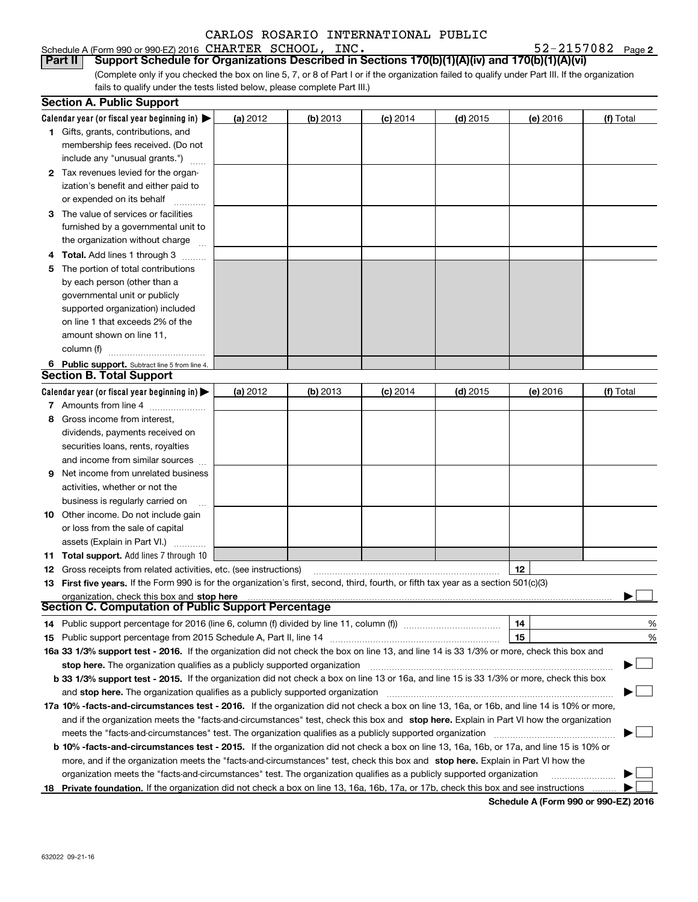Schedule A (Form 990 or 990-EZ) 2016 Page CHARTER SCHOOL, INC. 52-2157082

**2**

(Complete only if you checked the box on line 5, 7, or 8 of Part I or if the organization failed to qualify under Part III. If the organization fails to qualify under the tests listed below, please complete Part III.) **Part II Support Schedule for Organizations Described in Sections 170(b)(1)(A)(iv) and 170(b)(1)(A)(vi)** 

|    | <b>Section A. Public Support</b>                                                                                                               |          |            |            |            |          |           |  |
|----|------------------------------------------------------------------------------------------------------------------------------------------------|----------|------------|------------|------------|----------|-----------|--|
|    | Calendar year (or fiscal year beginning in) $\blacktriangleright$                                                                              | (a) 2012 | $(b)$ 2013 | $(c)$ 2014 | $(d)$ 2015 | (e) 2016 | (f) Total |  |
|    | <b>1</b> Gifts, grants, contributions, and                                                                                                     |          |            |            |            |          |           |  |
|    | membership fees received. (Do not                                                                                                              |          |            |            |            |          |           |  |
|    | include any "unusual grants.")                                                                                                                 |          |            |            |            |          |           |  |
|    | 2 Tax revenues levied for the organ-                                                                                                           |          |            |            |            |          |           |  |
|    | ization's benefit and either paid to                                                                                                           |          |            |            |            |          |           |  |
|    | or expended on its behalf                                                                                                                      |          |            |            |            |          |           |  |
|    | 3 The value of services or facilities                                                                                                          |          |            |            |            |          |           |  |
|    | furnished by a governmental unit to                                                                                                            |          |            |            |            |          |           |  |
|    | the organization without charge                                                                                                                |          |            |            |            |          |           |  |
|    | 4 Total. Add lines 1 through 3                                                                                                                 |          |            |            |            |          |           |  |
| 5. | The portion of total contributions                                                                                                             |          |            |            |            |          |           |  |
|    | by each person (other than a                                                                                                                   |          |            |            |            |          |           |  |
|    | governmental unit or publicly                                                                                                                  |          |            |            |            |          |           |  |
|    | supported organization) included                                                                                                               |          |            |            |            |          |           |  |
|    | on line 1 that exceeds 2% of the                                                                                                               |          |            |            |            |          |           |  |
|    | amount shown on line 11,                                                                                                                       |          |            |            |            |          |           |  |
|    | column (f)                                                                                                                                     |          |            |            |            |          |           |  |
|    | 6 Public support. Subtract line 5 from line 4.                                                                                                 |          |            |            |            |          |           |  |
|    | <b>Section B. Total Support</b>                                                                                                                |          |            |            |            |          |           |  |
|    | Calendar year (or fiscal year beginning in) $\blacktriangleright$                                                                              | (a) 2012 | (b) 2013   | $(c)$ 2014 | $(d)$ 2015 | (e) 2016 | (f) Total |  |
|    | 7 Amounts from line 4                                                                                                                          |          |            |            |            |          |           |  |
|    | 8 Gross income from interest,                                                                                                                  |          |            |            |            |          |           |  |
|    | dividends, payments received on                                                                                                                |          |            |            |            |          |           |  |
|    | securities loans, rents, royalties                                                                                                             |          |            |            |            |          |           |  |
|    | and income from similar sources                                                                                                                |          |            |            |            |          |           |  |
| 9. | Net income from unrelated business                                                                                                             |          |            |            |            |          |           |  |
|    | activities, whether or not the                                                                                                                 |          |            |            |            |          |           |  |
|    | business is regularly carried on                                                                                                               |          |            |            |            |          |           |  |
|    | <b>10</b> Other income. Do not include gain                                                                                                    |          |            |            |            |          |           |  |
|    | or loss from the sale of capital                                                                                                               |          |            |            |            |          |           |  |
|    | assets (Explain in Part VI.) <b>Constant</b>                                                                                                   |          |            |            |            |          |           |  |
|    | <b>11 Total support.</b> Add lines 7 through 10                                                                                                |          |            |            |            |          |           |  |
|    | <b>12</b> Gross receipts from related activities, etc. (see instructions)                                                                      |          |            |            |            | 12       |           |  |
|    | 13 First five years. If the Form 990 is for the organization's first, second, third, fourth, or fifth tax year as a section 501(c)(3)          |          |            |            |            |          |           |  |
|    | organization, check this box and stop here                                                                                                     |          |            |            |            |          |           |  |
|    | Section C. Computation of Public Support Percentage                                                                                            |          |            |            |            |          |           |  |
|    | 14 Public support percentage for 2016 (line 6, column (f) divided by line 11, column (f) <i>marrourcommum</i>                                  |          |            |            |            | 14       | %         |  |
| 15 |                                                                                                                                                |          |            |            |            |          | %         |  |
|    | 16a 33 1/3% support test - 2016. If the organization did not check the box on line 13, and line 14 is 33 1/3% or more, check this box and      |          |            |            |            |          |           |  |
|    | stop here. The organization qualifies as a publicly supported organization                                                                     |          |            |            |            |          | - 1       |  |
|    | b 33 1/3% support test - 2015. If the organization did not check a box on line 13 or 16a, and line 15 is 33 1/3% or more, check this box       |          |            |            |            |          |           |  |
|    | and stop here. The organization qualifies as a publicly supported organization                                                                 |          |            |            |            |          |           |  |
|    | 17a 10% -facts-and-circumstances test - 2016. If the organization did not check a box on line 13, 16a, or 16b, and line 14 is 10% or more,     |          |            |            |            |          |           |  |
|    | and if the organization meets the "facts-and-circumstances" test, check this box and stop here. Explain in Part VI how the organization        |          |            |            |            |          |           |  |
|    | meets the "facts-and-circumstances" test. The organization qualifies as a publicly supported organization                                      |          |            |            |            |          |           |  |
|    | <b>b 10% -facts-and-circumstances test - 2015.</b> If the organization did not check a box on line 13, 16a, 16b, or 17a, and line 15 is 10% or |          |            |            |            |          |           |  |
|    | more, and if the organization meets the "facts-and-circumstances" test, check this box and stop here. Explain in Part VI how the               |          |            |            |            |          |           |  |
|    | organization meets the "facts-and-circumstances" test. The organization qualifies as a publicly supported organization                         |          |            |            |            |          |           |  |
| 18 | Private foundation. If the organization did not check a box on line 13, 16a, 16b, 17a, or 17b, check this box and see instructions             |          |            |            |            |          |           |  |

**Schedule A (Form 990 or 990-EZ) 2016**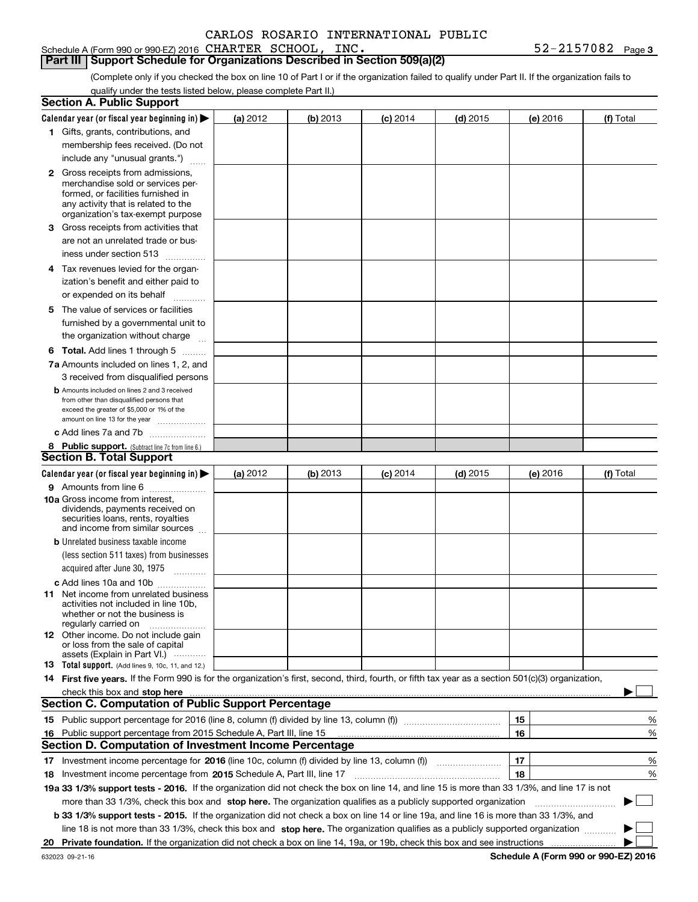Schedule A (Form 990 or 990-EZ) 2016 Page CHARTER SCHOOL, INC. 52-2157082

**3**

## **Part III Support Schedule for Organizations Described in Section 509(a)(2)**

(Complete only if you checked the box on line 10 of Part I or if the organization failed to qualify under Part II. If the organization fails to qualify under the tests listed below, please complete Part II.)

| Calendar year (or fiscal year beginning in) $\blacktriangleright$<br>(b) 2013<br>$(d)$ 2015<br>(a) 2012<br>$(c)$ 2014<br>(e) 2016<br>1 Gifts, grants, contributions, and<br>membership fees received. (Do not<br>include any "unusual grants.")<br><b>2</b> Gross receipts from admissions,<br>merchandise sold or services per-<br>formed, or facilities furnished in<br>any activity that is related to the<br>organization's tax-exempt purpose<br>3 Gross receipts from activities that<br>are not an unrelated trade or bus-<br>iness under section 513<br>4 Tax revenues levied for the organ-<br>ization's benefit and either paid to<br>or expended on its behalf<br>.<br>5 The value of services or facilities<br>furnished by a governmental unit to<br>the organization without charge<br><b>6 Total.</b> Add lines 1 through 5<br>7a Amounts included on lines 1, 2, and<br>3 received from disqualified persons<br><b>b</b> Amounts included on lines 2 and 3 received<br>from other than disqualified persons that<br>exceed the greater of \$5,000 or 1% of the<br>amount on line 13 for the year<br>c Add lines 7a and 7b<br>8 Public support. (Subtract line 7c from line 6.)<br><b>Section B. Total Support</b><br>Calendar year (or fiscal year beginning in) $\blacktriangleright$<br>(b) 2013<br>$(d)$ 2015<br>(a) $2012$<br>$(c)$ 2014<br>(e) 2016<br>9 Amounts from line 6<br><b>10a</b> Gross income from interest,<br>dividends, payments received on<br>securities loans, rents, royalties<br>and income from similar sources<br><b>b</b> Unrelated business taxable income<br>(less section 511 taxes) from businesses<br>acquired after June 30, 1975<br>c Add lines 10a and 10b<br>11 Net income from unrelated business<br>activities not included in line 10b,<br>whether or not the business is<br>regularly carried on<br><b>12</b> Other income. Do not include gain<br>or loss from the sale of capital<br>assets (Explain in Part VI.)<br>13 Total support. (Add lines 9, 10c, 11, and 12.)<br>14 First five years. If the Form 990 is for the organization's first, second, third, fourth, or fifth tax year as a section 501(c)(3) organization,<br>check this box and stop here manufactured and content to the state of the state of the state of the state of the state of the state of the state of the state of the state of the state of the state of the state of the state<br><b>Section C. Computation of Public Support Percentage</b><br>15 | (f) Total           |
|----------------------------------------------------------------------------------------------------------------------------------------------------------------------------------------------------------------------------------------------------------------------------------------------------------------------------------------------------------------------------------------------------------------------------------------------------------------------------------------------------------------------------------------------------------------------------------------------------------------------------------------------------------------------------------------------------------------------------------------------------------------------------------------------------------------------------------------------------------------------------------------------------------------------------------------------------------------------------------------------------------------------------------------------------------------------------------------------------------------------------------------------------------------------------------------------------------------------------------------------------------------------------------------------------------------------------------------------------------------------------------------------------------------------------------------------------------------------------------------------------------------------------------------------------------------------------------------------------------------------------------------------------------------------------------------------------------------------------------------------------------------------------------------------------------------------------------------------------------------------------------------------------------------------------------------------------------------------------------------------------------------------------------------------------------------------------------------------------------------------------------------------------------------------------------------------------------------------------------------------------------------------------------------------------------------------------------------------------------------------------------------------------------------------------------------------------------------------------------------------|---------------------|
|                                                                                                                                                                                                                                                                                                                                                                                                                                                                                                                                                                                                                                                                                                                                                                                                                                                                                                                                                                                                                                                                                                                                                                                                                                                                                                                                                                                                                                                                                                                                                                                                                                                                                                                                                                                                                                                                                                                                                                                                                                                                                                                                                                                                                                                                                                                                                                                                                                                                                              |                     |
|                                                                                                                                                                                                                                                                                                                                                                                                                                                                                                                                                                                                                                                                                                                                                                                                                                                                                                                                                                                                                                                                                                                                                                                                                                                                                                                                                                                                                                                                                                                                                                                                                                                                                                                                                                                                                                                                                                                                                                                                                                                                                                                                                                                                                                                                                                                                                                                                                                                                                              |                     |
|                                                                                                                                                                                                                                                                                                                                                                                                                                                                                                                                                                                                                                                                                                                                                                                                                                                                                                                                                                                                                                                                                                                                                                                                                                                                                                                                                                                                                                                                                                                                                                                                                                                                                                                                                                                                                                                                                                                                                                                                                                                                                                                                                                                                                                                                                                                                                                                                                                                                                              |                     |
|                                                                                                                                                                                                                                                                                                                                                                                                                                                                                                                                                                                                                                                                                                                                                                                                                                                                                                                                                                                                                                                                                                                                                                                                                                                                                                                                                                                                                                                                                                                                                                                                                                                                                                                                                                                                                                                                                                                                                                                                                                                                                                                                                                                                                                                                                                                                                                                                                                                                                              |                     |
|                                                                                                                                                                                                                                                                                                                                                                                                                                                                                                                                                                                                                                                                                                                                                                                                                                                                                                                                                                                                                                                                                                                                                                                                                                                                                                                                                                                                                                                                                                                                                                                                                                                                                                                                                                                                                                                                                                                                                                                                                                                                                                                                                                                                                                                                                                                                                                                                                                                                                              |                     |
|                                                                                                                                                                                                                                                                                                                                                                                                                                                                                                                                                                                                                                                                                                                                                                                                                                                                                                                                                                                                                                                                                                                                                                                                                                                                                                                                                                                                                                                                                                                                                                                                                                                                                                                                                                                                                                                                                                                                                                                                                                                                                                                                                                                                                                                                                                                                                                                                                                                                                              |                     |
|                                                                                                                                                                                                                                                                                                                                                                                                                                                                                                                                                                                                                                                                                                                                                                                                                                                                                                                                                                                                                                                                                                                                                                                                                                                                                                                                                                                                                                                                                                                                                                                                                                                                                                                                                                                                                                                                                                                                                                                                                                                                                                                                                                                                                                                                                                                                                                                                                                                                                              |                     |
|                                                                                                                                                                                                                                                                                                                                                                                                                                                                                                                                                                                                                                                                                                                                                                                                                                                                                                                                                                                                                                                                                                                                                                                                                                                                                                                                                                                                                                                                                                                                                                                                                                                                                                                                                                                                                                                                                                                                                                                                                                                                                                                                                                                                                                                                                                                                                                                                                                                                                              |                     |
|                                                                                                                                                                                                                                                                                                                                                                                                                                                                                                                                                                                                                                                                                                                                                                                                                                                                                                                                                                                                                                                                                                                                                                                                                                                                                                                                                                                                                                                                                                                                                                                                                                                                                                                                                                                                                                                                                                                                                                                                                                                                                                                                                                                                                                                                                                                                                                                                                                                                                              |                     |
|                                                                                                                                                                                                                                                                                                                                                                                                                                                                                                                                                                                                                                                                                                                                                                                                                                                                                                                                                                                                                                                                                                                                                                                                                                                                                                                                                                                                                                                                                                                                                                                                                                                                                                                                                                                                                                                                                                                                                                                                                                                                                                                                                                                                                                                                                                                                                                                                                                                                                              |                     |
|                                                                                                                                                                                                                                                                                                                                                                                                                                                                                                                                                                                                                                                                                                                                                                                                                                                                                                                                                                                                                                                                                                                                                                                                                                                                                                                                                                                                                                                                                                                                                                                                                                                                                                                                                                                                                                                                                                                                                                                                                                                                                                                                                                                                                                                                                                                                                                                                                                                                                              |                     |
|                                                                                                                                                                                                                                                                                                                                                                                                                                                                                                                                                                                                                                                                                                                                                                                                                                                                                                                                                                                                                                                                                                                                                                                                                                                                                                                                                                                                                                                                                                                                                                                                                                                                                                                                                                                                                                                                                                                                                                                                                                                                                                                                                                                                                                                                                                                                                                                                                                                                                              |                     |
|                                                                                                                                                                                                                                                                                                                                                                                                                                                                                                                                                                                                                                                                                                                                                                                                                                                                                                                                                                                                                                                                                                                                                                                                                                                                                                                                                                                                                                                                                                                                                                                                                                                                                                                                                                                                                                                                                                                                                                                                                                                                                                                                                                                                                                                                                                                                                                                                                                                                                              |                     |
|                                                                                                                                                                                                                                                                                                                                                                                                                                                                                                                                                                                                                                                                                                                                                                                                                                                                                                                                                                                                                                                                                                                                                                                                                                                                                                                                                                                                                                                                                                                                                                                                                                                                                                                                                                                                                                                                                                                                                                                                                                                                                                                                                                                                                                                                                                                                                                                                                                                                                              |                     |
|                                                                                                                                                                                                                                                                                                                                                                                                                                                                                                                                                                                                                                                                                                                                                                                                                                                                                                                                                                                                                                                                                                                                                                                                                                                                                                                                                                                                                                                                                                                                                                                                                                                                                                                                                                                                                                                                                                                                                                                                                                                                                                                                                                                                                                                                                                                                                                                                                                                                                              |                     |
|                                                                                                                                                                                                                                                                                                                                                                                                                                                                                                                                                                                                                                                                                                                                                                                                                                                                                                                                                                                                                                                                                                                                                                                                                                                                                                                                                                                                                                                                                                                                                                                                                                                                                                                                                                                                                                                                                                                                                                                                                                                                                                                                                                                                                                                                                                                                                                                                                                                                                              |                     |
|                                                                                                                                                                                                                                                                                                                                                                                                                                                                                                                                                                                                                                                                                                                                                                                                                                                                                                                                                                                                                                                                                                                                                                                                                                                                                                                                                                                                                                                                                                                                                                                                                                                                                                                                                                                                                                                                                                                                                                                                                                                                                                                                                                                                                                                                                                                                                                                                                                                                                              |                     |
|                                                                                                                                                                                                                                                                                                                                                                                                                                                                                                                                                                                                                                                                                                                                                                                                                                                                                                                                                                                                                                                                                                                                                                                                                                                                                                                                                                                                                                                                                                                                                                                                                                                                                                                                                                                                                                                                                                                                                                                                                                                                                                                                                                                                                                                                                                                                                                                                                                                                                              |                     |
|                                                                                                                                                                                                                                                                                                                                                                                                                                                                                                                                                                                                                                                                                                                                                                                                                                                                                                                                                                                                                                                                                                                                                                                                                                                                                                                                                                                                                                                                                                                                                                                                                                                                                                                                                                                                                                                                                                                                                                                                                                                                                                                                                                                                                                                                                                                                                                                                                                                                                              |                     |
|                                                                                                                                                                                                                                                                                                                                                                                                                                                                                                                                                                                                                                                                                                                                                                                                                                                                                                                                                                                                                                                                                                                                                                                                                                                                                                                                                                                                                                                                                                                                                                                                                                                                                                                                                                                                                                                                                                                                                                                                                                                                                                                                                                                                                                                                                                                                                                                                                                                                                              |                     |
|                                                                                                                                                                                                                                                                                                                                                                                                                                                                                                                                                                                                                                                                                                                                                                                                                                                                                                                                                                                                                                                                                                                                                                                                                                                                                                                                                                                                                                                                                                                                                                                                                                                                                                                                                                                                                                                                                                                                                                                                                                                                                                                                                                                                                                                                                                                                                                                                                                                                                              |                     |
|                                                                                                                                                                                                                                                                                                                                                                                                                                                                                                                                                                                                                                                                                                                                                                                                                                                                                                                                                                                                                                                                                                                                                                                                                                                                                                                                                                                                                                                                                                                                                                                                                                                                                                                                                                                                                                                                                                                                                                                                                                                                                                                                                                                                                                                                                                                                                                                                                                                                                              |                     |
|                                                                                                                                                                                                                                                                                                                                                                                                                                                                                                                                                                                                                                                                                                                                                                                                                                                                                                                                                                                                                                                                                                                                                                                                                                                                                                                                                                                                                                                                                                                                                                                                                                                                                                                                                                                                                                                                                                                                                                                                                                                                                                                                                                                                                                                                                                                                                                                                                                                                                              |                     |
|                                                                                                                                                                                                                                                                                                                                                                                                                                                                                                                                                                                                                                                                                                                                                                                                                                                                                                                                                                                                                                                                                                                                                                                                                                                                                                                                                                                                                                                                                                                                                                                                                                                                                                                                                                                                                                                                                                                                                                                                                                                                                                                                                                                                                                                                                                                                                                                                                                                                                              |                     |
|                                                                                                                                                                                                                                                                                                                                                                                                                                                                                                                                                                                                                                                                                                                                                                                                                                                                                                                                                                                                                                                                                                                                                                                                                                                                                                                                                                                                                                                                                                                                                                                                                                                                                                                                                                                                                                                                                                                                                                                                                                                                                                                                                                                                                                                                                                                                                                                                                                                                                              |                     |
|                                                                                                                                                                                                                                                                                                                                                                                                                                                                                                                                                                                                                                                                                                                                                                                                                                                                                                                                                                                                                                                                                                                                                                                                                                                                                                                                                                                                                                                                                                                                                                                                                                                                                                                                                                                                                                                                                                                                                                                                                                                                                                                                                                                                                                                                                                                                                                                                                                                                                              |                     |
|                                                                                                                                                                                                                                                                                                                                                                                                                                                                                                                                                                                                                                                                                                                                                                                                                                                                                                                                                                                                                                                                                                                                                                                                                                                                                                                                                                                                                                                                                                                                                                                                                                                                                                                                                                                                                                                                                                                                                                                                                                                                                                                                                                                                                                                                                                                                                                                                                                                                                              |                     |
|                                                                                                                                                                                                                                                                                                                                                                                                                                                                                                                                                                                                                                                                                                                                                                                                                                                                                                                                                                                                                                                                                                                                                                                                                                                                                                                                                                                                                                                                                                                                                                                                                                                                                                                                                                                                                                                                                                                                                                                                                                                                                                                                                                                                                                                                                                                                                                                                                                                                                              | (f) Total           |
|                                                                                                                                                                                                                                                                                                                                                                                                                                                                                                                                                                                                                                                                                                                                                                                                                                                                                                                                                                                                                                                                                                                                                                                                                                                                                                                                                                                                                                                                                                                                                                                                                                                                                                                                                                                                                                                                                                                                                                                                                                                                                                                                                                                                                                                                                                                                                                                                                                                                                              |                     |
|                                                                                                                                                                                                                                                                                                                                                                                                                                                                                                                                                                                                                                                                                                                                                                                                                                                                                                                                                                                                                                                                                                                                                                                                                                                                                                                                                                                                                                                                                                                                                                                                                                                                                                                                                                                                                                                                                                                                                                                                                                                                                                                                                                                                                                                                                                                                                                                                                                                                                              |                     |
|                                                                                                                                                                                                                                                                                                                                                                                                                                                                                                                                                                                                                                                                                                                                                                                                                                                                                                                                                                                                                                                                                                                                                                                                                                                                                                                                                                                                                                                                                                                                                                                                                                                                                                                                                                                                                                                                                                                                                                                                                                                                                                                                                                                                                                                                                                                                                                                                                                                                                              |                     |
|                                                                                                                                                                                                                                                                                                                                                                                                                                                                                                                                                                                                                                                                                                                                                                                                                                                                                                                                                                                                                                                                                                                                                                                                                                                                                                                                                                                                                                                                                                                                                                                                                                                                                                                                                                                                                                                                                                                                                                                                                                                                                                                                                                                                                                                                                                                                                                                                                                                                                              |                     |
|                                                                                                                                                                                                                                                                                                                                                                                                                                                                                                                                                                                                                                                                                                                                                                                                                                                                                                                                                                                                                                                                                                                                                                                                                                                                                                                                                                                                                                                                                                                                                                                                                                                                                                                                                                                                                                                                                                                                                                                                                                                                                                                                                                                                                                                                                                                                                                                                                                                                                              |                     |
|                                                                                                                                                                                                                                                                                                                                                                                                                                                                                                                                                                                                                                                                                                                                                                                                                                                                                                                                                                                                                                                                                                                                                                                                                                                                                                                                                                                                                                                                                                                                                                                                                                                                                                                                                                                                                                                                                                                                                                                                                                                                                                                                                                                                                                                                                                                                                                                                                                                                                              |                     |
|                                                                                                                                                                                                                                                                                                                                                                                                                                                                                                                                                                                                                                                                                                                                                                                                                                                                                                                                                                                                                                                                                                                                                                                                                                                                                                                                                                                                                                                                                                                                                                                                                                                                                                                                                                                                                                                                                                                                                                                                                                                                                                                                                                                                                                                                                                                                                                                                                                                                                              |                     |
|                                                                                                                                                                                                                                                                                                                                                                                                                                                                                                                                                                                                                                                                                                                                                                                                                                                                                                                                                                                                                                                                                                                                                                                                                                                                                                                                                                                                                                                                                                                                                                                                                                                                                                                                                                                                                                                                                                                                                                                                                                                                                                                                                                                                                                                                                                                                                                                                                                                                                              |                     |
|                                                                                                                                                                                                                                                                                                                                                                                                                                                                                                                                                                                                                                                                                                                                                                                                                                                                                                                                                                                                                                                                                                                                                                                                                                                                                                                                                                                                                                                                                                                                                                                                                                                                                                                                                                                                                                                                                                                                                                                                                                                                                                                                                                                                                                                                                                                                                                                                                                                                                              |                     |
|                                                                                                                                                                                                                                                                                                                                                                                                                                                                                                                                                                                                                                                                                                                                                                                                                                                                                                                                                                                                                                                                                                                                                                                                                                                                                                                                                                                                                                                                                                                                                                                                                                                                                                                                                                                                                                                                                                                                                                                                                                                                                                                                                                                                                                                                                                                                                                                                                                                                                              |                     |
|                                                                                                                                                                                                                                                                                                                                                                                                                                                                                                                                                                                                                                                                                                                                                                                                                                                                                                                                                                                                                                                                                                                                                                                                                                                                                                                                                                                                                                                                                                                                                                                                                                                                                                                                                                                                                                                                                                                                                                                                                                                                                                                                                                                                                                                                                                                                                                                                                                                                                              |                     |
|                                                                                                                                                                                                                                                                                                                                                                                                                                                                                                                                                                                                                                                                                                                                                                                                                                                                                                                                                                                                                                                                                                                                                                                                                                                                                                                                                                                                                                                                                                                                                                                                                                                                                                                                                                                                                                                                                                                                                                                                                                                                                                                                                                                                                                                                                                                                                                                                                                                                                              |                     |
|                                                                                                                                                                                                                                                                                                                                                                                                                                                                                                                                                                                                                                                                                                                                                                                                                                                                                                                                                                                                                                                                                                                                                                                                                                                                                                                                                                                                                                                                                                                                                                                                                                                                                                                                                                                                                                                                                                                                                                                                                                                                                                                                                                                                                                                                                                                                                                                                                                                                                              |                     |
|                                                                                                                                                                                                                                                                                                                                                                                                                                                                                                                                                                                                                                                                                                                                                                                                                                                                                                                                                                                                                                                                                                                                                                                                                                                                                                                                                                                                                                                                                                                                                                                                                                                                                                                                                                                                                                                                                                                                                                                                                                                                                                                                                                                                                                                                                                                                                                                                                                                                                              |                     |
|                                                                                                                                                                                                                                                                                                                                                                                                                                                                                                                                                                                                                                                                                                                                                                                                                                                                                                                                                                                                                                                                                                                                                                                                                                                                                                                                                                                                                                                                                                                                                                                                                                                                                                                                                                                                                                                                                                                                                                                                                                                                                                                                                                                                                                                                                                                                                                                                                                                                                              |                     |
|                                                                                                                                                                                                                                                                                                                                                                                                                                                                                                                                                                                                                                                                                                                                                                                                                                                                                                                                                                                                                                                                                                                                                                                                                                                                                                                                                                                                                                                                                                                                                                                                                                                                                                                                                                                                                                                                                                                                                                                                                                                                                                                                                                                                                                                                                                                                                                                                                                                                                              |                     |
|                                                                                                                                                                                                                                                                                                                                                                                                                                                                                                                                                                                                                                                                                                                                                                                                                                                                                                                                                                                                                                                                                                                                                                                                                                                                                                                                                                                                                                                                                                                                                                                                                                                                                                                                                                                                                                                                                                                                                                                                                                                                                                                                                                                                                                                                                                                                                                                                                                                                                              |                     |
|                                                                                                                                                                                                                                                                                                                                                                                                                                                                                                                                                                                                                                                                                                                                                                                                                                                                                                                                                                                                                                                                                                                                                                                                                                                                                                                                                                                                                                                                                                                                                                                                                                                                                                                                                                                                                                                                                                                                                                                                                                                                                                                                                                                                                                                                                                                                                                                                                                                                                              |                     |
|                                                                                                                                                                                                                                                                                                                                                                                                                                                                                                                                                                                                                                                                                                                                                                                                                                                                                                                                                                                                                                                                                                                                                                                                                                                                                                                                                                                                                                                                                                                                                                                                                                                                                                                                                                                                                                                                                                                                                                                                                                                                                                                                                                                                                                                                                                                                                                                                                                                                                              |                     |
| 16<br>Public support percentage from 2015 Schedule A, Part III, line 15<br>16                                                                                                                                                                                                                                                                                                                                                                                                                                                                                                                                                                                                                                                                                                                                                                                                                                                                                                                                                                                                                                                                                                                                                                                                                                                                                                                                                                                                                                                                                                                                                                                                                                                                                                                                                                                                                                                                                                                                                                                                                                                                                                                                                                                                                                                                                                                                                                                                                | %                   |
| <b>Section D. Computation of Investment Income Percentage</b>                                                                                                                                                                                                                                                                                                                                                                                                                                                                                                                                                                                                                                                                                                                                                                                                                                                                                                                                                                                                                                                                                                                                                                                                                                                                                                                                                                                                                                                                                                                                                                                                                                                                                                                                                                                                                                                                                                                                                                                                                                                                                                                                                                                                                                                                                                                                                                                                                                | %                   |
| 17<br>17 Investment income percentage for 2016 (line 10c, column (f) divided by line 13, column (f))                                                                                                                                                                                                                                                                                                                                                                                                                                                                                                                                                                                                                                                                                                                                                                                                                                                                                                                                                                                                                                                                                                                                                                                                                                                                                                                                                                                                                                                                                                                                                                                                                                                                                                                                                                                                                                                                                                                                                                                                                                                                                                                                                                                                                                                                                                                                                                                         |                     |
| 18<br>18 Investment income percentage from 2015 Schedule A, Part III, line 17                                                                                                                                                                                                                                                                                                                                                                                                                                                                                                                                                                                                                                                                                                                                                                                                                                                                                                                                                                                                                                                                                                                                                                                                                                                                                                                                                                                                                                                                                                                                                                                                                                                                                                                                                                                                                                                                                                                                                                                                                                                                                                                                                                                                                                                                                                                                                                                                                | %                   |
| 19a 33 1/3% support tests - 2016. If the organization did not check the box on line 14, and line 15 is more than 33 1/3%, and line 17 is not                                                                                                                                                                                                                                                                                                                                                                                                                                                                                                                                                                                                                                                                                                                                                                                                                                                                                                                                                                                                                                                                                                                                                                                                                                                                                                                                                                                                                                                                                                                                                                                                                                                                                                                                                                                                                                                                                                                                                                                                                                                                                                                                                                                                                                                                                                                                                 | %                   |
| more than 33 1/3%, check this box and stop here. The organization qualifies as a publicly supported organization                                                                                                                                                                                                                                                                                                                                                                                                                                                                                                                                                                                                                                                                                                                                                                                                                                                                                                                                                                                                                                                                                                                                                                                                                                                                                                                                                                                                                                                                                                                                                                                                                                                                                                                                                                                                                                                                                                                                                                                                                                                                                                                                                                                                                                                                                                                                                                             |                     |
| b 33 1/3% support tests - 2015. If the organization did not check a box on line 14 or line 19a, and line 16 is more than 33 1/3%, and                                                                                                                                                                                                                                                                                                                                                                                                                                                                                                                                                                                                                                                                                                                                                                                                                                                                                                                                                                                                                                                                                                                                                                                                                                                                                                                                                                                                                                                                                                                                                                                                                                                                                                                                                                                                                                                                                                                                                                                                                                                                                                                                                                                                                                                                                                                                                        | $\mathbb{R}^n$<br>▶ |
| line 18 is not more than 33 1/3%, check this box and stop here. The organization qualifies as a publicly supported organization                                                                                                                                                                                                                                                                                                                                                                                                                                                                                                                                                                                                                                                                                                                                                                                                                                                                                                                                                                                                                                                                                                                                                                                                                                                                                                                                                                                                                                                                                                                                                                                                                                                                                                                                                                                                                                                                                                                                                                                                                                                                                                                                                                                                                                                                                                                                                              |                     |
| 20                                                                                                                                                                                                                                                                                                                                                                                                                                                                                                                                                                                                                                                                                                                                                                                                                                                                                                                                                                                                                                                                                                                                                                                                                                                                                                                                                                                                                                                                                                                                                                                                                                                                                                                                                                                                                                                                                                                                                                                                                                                                                                                                                                                                                                                                                                                                                                                                                                                                                           |                     |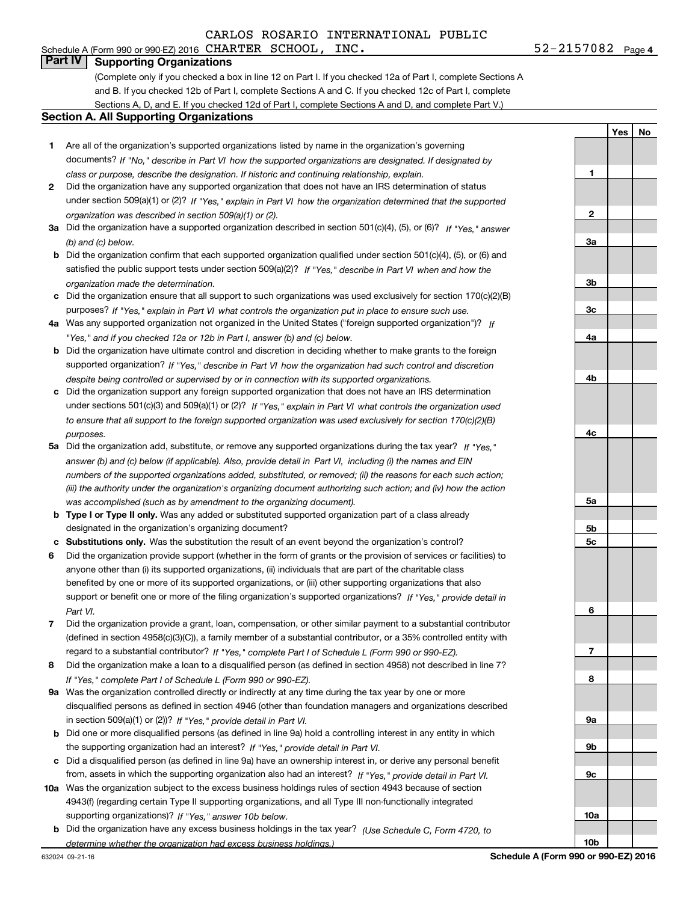# **Part IV Supporting Organizations**

(Complete only if you checked a box in line 12 on Part I. If you checked 12a of Part I, complete Sections A and B. If you checked 12b of Part I, complete Sections A and C. If you checked 12c of Part I, complete Sections A, D, and E. If you checked 12d of Part I, complete Sections A and D, and complete Part V.)

### **Section A. All Supporting Organizations**

- **1** Are all of the organization's supported organizations listed by name in the organization's governing documents? If "No," describe in Part VI how the supported organizations are designated. If designated by *class or purpose, describe the designation. If historic and continuing relationship, explain.*
- **2** Did the organization have any supported organization that does not have an IRS determination of status under section 509(a)(1) or (2)? If "Yes," explain in Part VI how the organization determined that the supported *organization was described in section 509(a)(1) or (2).*
- **3a** Did the organization have a supported organization described in section 501(c)(4), (5), or (6)? If "Yes," answer *(b) and (c) below.*
- **b** Did the organization confirm that each supported organization qualified under section 501(c)(4), (5), or (6) and satisfied the public support tests under section 509(a)(2)? If "Yes," describe in Part VI when and how the *organization made the determination.*
- **c**Did the organization ensure that all support to such organizations was used exclusively for section 170(c)(2)(B) purposes? If "Yes," explain in Part VI what controls the organization put in place to ensure such use.
- **4a***If* Was any supported organization not organized in the United States ("foreign supported organization")? *"Yes," and if you checked 12a or 12b in Part I, answer (b) and (c) below.*
- **b** Did the organization have ultimate control and discretion in deciding whether to make grants to the foreign supported organization? If "Yes," describe in Part VI how the organization had such control and discretion *despite being controlled or supervised by or in connection with its supported organizations.*
- **c** Did the organization support any foreign supported organization that does not have an IRS determination under sections 501(c)(3) and 509(a)(1) or (2)? If "Yes," explain in Part VI what controls the organization used *to ensure that all support to the foreign supported organization was used exclusively for section 170(c)(2)(B) purposes.*
- **5a***If "Yes,"* Did the organization add, substitute, or remove any supported organizations during the tax year? answer (b) and (c) below (if applicable). Also, provide detail in Part VI, including (i) the names and EIN *numbers of the supported organizations added, substituted, or removed; (ii) the reasons for each such action; (iii) the authority under the organization's organizing document authorizing such action; and (iv) how the action was accomplished (such as by amendment to the organizing document).*
- **b** Type I or Type II only. Was any added or substituted supported organization part of a class already designated in the organization's organizing document?
- **cSubstitutions only.**  Was the substitution the result of an event beyond the organization's control?
- **6** Did the organization provide support (whether in the form of grants or the provision of services or facilities) to *If "Yes," provide detail in* support or benefit one or more of the filing organization's supported organizations? anyone other than (i) its supported organizations, (ii) individuals that are part of the charitable class benefited by one or more of its supported organizations, or (iii) other supporting organizations that also *Part VI.*
- **7**Did the organization provide a grant, loan, compensation, or other similar payment to a substantial contributor *If "Yes," complete Part I of Schedule L (Form 990 or 990-EZ).* regard to a substantial contributor? (defined in section 4958(c)(3)(C)), a family member of a substantial contributor, or a 35% controlled entity with
- **8** Did the organization make a loan to a disqualified person (as defined in section 4958) not described in line 7? *If "Yes," complete Part I of Schedule L (Form 990 or 990-EZ).*
- **9a** Was the organization controlled directly or indirectly at any time during the tax year by one or more in section 509(a)(1) or (2))? If "Yes," *provide detail in Part VI.* disqualified persons as defined in section 4946 (other than foundation managers and organizations described
- **b** Did one or more disqualified persons (as defined in line 9a) hold a controlling interest in any entity in which the supporting organization had an interest? If "Yes," provide detail in Part VI.
- **c**Did a disqualified person (as defined in line 9a) have an ownership interest in, or derive any personal benefit from, assets in which the supporting organization also had an interest? If "Yes," provide detail in Part VI.
- **10a** Was the organization subject to the excess business holdings rules of section 4943 because of section supporting organizations)? If "Yes," answer 10b below. 4943(f) (regarding certain Type II supporting organizations, and all Type III non-functionally integrated
- **b** Did the organization have any excess business holdings in the tax year? (Use Schedule C, Form 4720, to *determine whether the organization had excess business holdings.)*

632024 09-21-16

**Schedule A (Form 990 or 990-EZ) 2016**

**1**

**2**

**3a**

**3b**

**3c**

**4a**

**4b**

**4c**

**5a**

**5b5c**

**6**

**7**

**8**

**9a**

**9b**

**9c**

**10a**

**10b**

**Yes**

**No**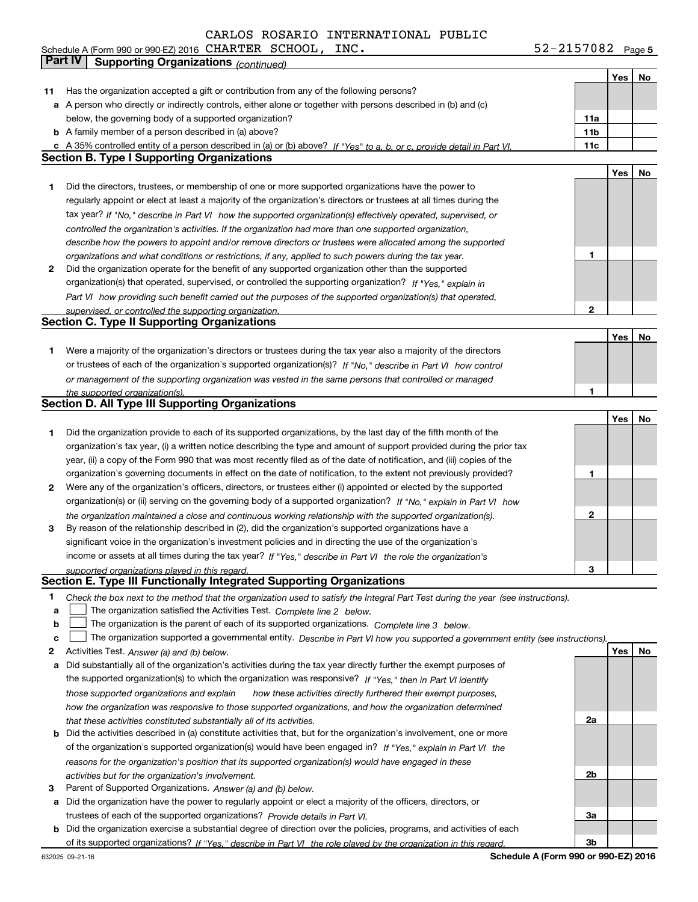Schedule A (Form 990 or 990-EZ) 2016 Page CHARTER SCHOOL, INC. 52-2157082

**5**

|    | <b>Part IV</b><br><b>Supporting Organizations (continued)</b>                                                                     |                 |     |     |
|----|-----------------------------------------------------------------------------------------------------------------------------------|-----------------|-----|-----|
|    |                                                                                                                                   |                 | Yes | No. |
| 11 | Has the organization accepted a gift or contribution from any of the following persons?                                           |                 |     |     |
|    | a A person who directly or indirectly controls, either alone or together with persons described in (b) and (c)                    |                 |     |     |
|    | below, the governing body of a supported organization?                                                                            | 11a             |     |     |
|    | <b>b</b> A family member of a person described in (a) above?                                                                      | 11 <sub>b</sub> |     |     |
|    | c A 35% controlled entity of a person described in (a) or (b) above? If "Yes" to a, b, or c, provide detail in Part VI.           | 11c             |     |     |
|    | <b>Section B. Type I Supporting Organizations</b>                                                                                 |                 |     |     |
|    |                                                                                                                                   |                 | Yes | No  |
| 1  | Did the directors, trustees, or membership of one or more supported organizations have the power to                               |                 |     |     |
|    | regularly appoint or elect at least a majority of the organization's directors or trustees at all times during the                |                 |     |     |
|    | tax year? If "No," describe in Part VI how the supported organization(s) effectively operated, supervised, or                     |                 |     |     |
|    | controlled the organization's activities. If the organization had more than one supported organization,                           |                 |     |     |
|    | describe how the powers to appoint and/or remove directors or trustees were allocated among the supported                         |                 |     |     |
|    | organizations and what conditions or restrictions, if any, applied to such powers during the tax year.                            | 1               |     |     |
| 2  | Did the organization operate for the benefit of any supported organization other than the supported                               |                 |     |     |
|    | organization(s) that operated, supervised, or controlled the supporting organization? If "Yes," explain in                        |                 |     |     |
|    | Part VI how providing such benefit carried out the purposes of the supported organization(s) that operated,                       |                 |     |     |
|    | supervised, or controlled the supporting organization.                                                                            | 2               |     |     |
|    | <b>Section C. Type II Supporting Organizations</b>                                                                                |                 |     |     |
|    |                                                                                                                                   |                 | Yes | No  |
| 1  | Were a majority of the organization's directors or trustees during the tax year also a majority of the directors                  |                 |     |     |
|    | or trustees of each of the organization's supported organization(s)? If "No," describe in Part VI how control                     |                 |     |     |
|    | or management of the supporting organization was vested in the same persons that controlled or managed                            |                 |     |     |
|    | the supported organization(s).<br><b>Section D. All Type III Supporting Organizations</b>                                         | 1               |     |     |
|    |                                                                                                                                   |                 | Yes | No  |
|    | Did the organization provide to each of its supported organizations, by the last day of the fifth month of the                    |                 |     |     |
| 1  | organization's tax year, (i) a written notice describing the type and amount of support provided during the prior tax             |                 |     |     |
|    | year, (ii) a copy of the Form 990 that was most recently filed as of the date of notification, and (iii) copies of the            |                 |     |     |
|    | organization's governing documents in effect on the date of notification, to the extent not previously provided?                  | 1               |     |     |
| 2  | Were any of the organization's officers, directors, or trustees either (i) appointed or elected by the supported                  |                 |     |     |
|    | organization(s) or (ii) serving on the governing body of a supported organization? If "No," explain in Part VI how                |                 |     |     |
|    | the organization maintained a close and continuous working relationship with the supported organization(s).                       | 2               |     |     |
| 3  | By reason of the relationship described in (2), did the organization's supported organizations have a                             |                 |     |     |
|    | significant voice in the organization's investment policies and in directing the use of the organization's                        |                 |     |     |
|    | income or assets at all times during the tax year? If "Yes," describe in Part VI the role the organization's                      |                 |     |     |
|    | supported organizations played in this regard.                                                                                    | 3               |     |     |
|    | Section E. Type III Functionally Integrated Supporting Organizations                                                              |                 |     |     |
| 1  | Check the box next to the method that the organization used to satisfy the Integral Part Test during the year (see instructions). |                 |     |     |
| a  | The organization satisfied the Activities Test. Complete line 2 below.                                                            |                 |     |     |
| b  | The organization is the parent of each of its supported organizations. Complete line 3 below.                                     |                 |     |     |
| c  | The organization supported a governmental entity. Describe in Part VI how you supported a government entity (see instructions).   |                 |     |     |
| 2  | Activities Test. Answer (a) and (b) below.                                                                                        |                 | Yes | No  |
| а  | Did substantially all of the organization's activities during the tax year directly further the exempt purposes of                |                 |     |     |
|    | the supported organization(s) to which the organization was responsive? If "Yes," then in Part VI identify                        |                 |     |     |
|    | those supported organizations and explain<br>how these activities directly furthered their exempt purposes,                       |                 |     |     |
|    | how the organization was responsive to those supported organizations, and how the organization determined                         |                 |     |     |
|    | that these activities constituted substantially all of its activities.                                                            | 2a              |     |     |
| b  | Did the activities described in (a) constitute activities that, but for the organization's involvement, one or more               |                 |     |     |
|    | of the organization's supported organization(s) would have been engaged in? If "Yes," explain in Part VI the                      |                 |     |     |
|    | reasons for the organization's position that its supported organization(s) would have engaged in these                            |                 |     |     |
|    | activities but for the organization's involvement.                                                                                | 2b              |     |     |
| з  | Parent of Supported Organizations. Answer (a) and (b) below.                                                                      |                 |     |     |
| a  | Did the organization have the power to regularly appoint or elect a majority of the officers, directors, or                       |                 |     |     |
|    | trustees of each of the supported organizations? Provide details in Part VI.                                                      | За              |     |     |
| b  | Did the organization exercise a substantial degree of direction over the policies, programs, and activities of each               |                 |     |     |
|    | of its supported organizations? If "Yes." describe in Part VI the role played by the organization in this regard.                 | 3b              |     |     |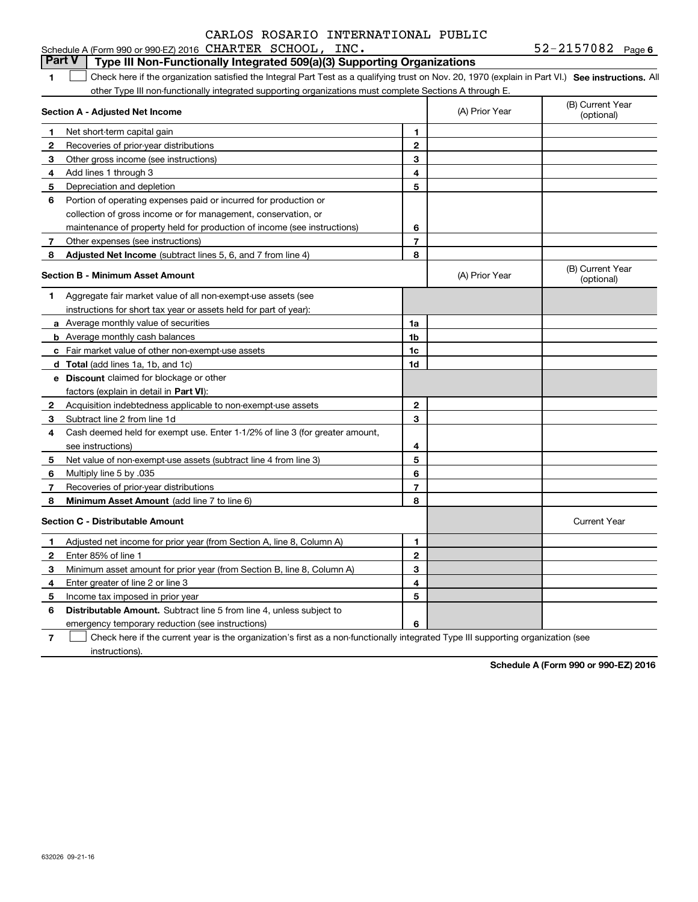| Schedule A (Form 990 or 990-EZ) 2016 $\,$ CHARTER $\,$ SCHOOL , |  | INC. | $52 - 2157082$ Page 6 |
|-----------------------------------------------------------------|--|------|-----------------------|
|-----------------------------------------------------------------|--|------|-----------------------|

#### **1SEP 10. See instructions.** All antegral Part Test as a qualifying trust on Nov. 20, 1970 (explain in Part VI.) See instructions. All **Section A - Adjusted Net Income 123** Other gross income (see instructions) **4**Add lines 1 through 3 **56** Portion of operating expenses paid or incurred for production or **78** Adjusted Net Income (subtract lines 5, 6, and 7 from line 4) **8 8 1234567Section B - Minimum Asset Amount 1**Aggregate fair market value of all non-exempt-use assets (see **2**Acquisition indebtedness applicable to non-exempt-use assets **3** Subtract line 2 from line 1d **4**Cash deemed held for exempt use. Enter 1-1/2% of line 3 (for greater amount, **5** Net value of non-exempt-use assets (subtract line 4 from line 3) **678a** Average monthly value of securities **b** Average monthly cash balances **c**Fair market value of other non-exempt-use assets **dTotal**  (add lines 1a, 1b, and 1c) **eDiscount** claimed for blockage or other **1a1b1c1d 2345678**factors (explain in detail in **Part VI**): **Minimum Asset Amount**  (add line 7 to line 6) **Section C - Distributable Amount 123456123456Distributable Amount.** Subtract line 5 from line 4, unless subject to other Type III non-functionally integrated supporting organizations must complete Sections A through E. (B) Current Year (optional)(A) Prior Year Net short-term capital gain Recoveries of prior-year distributions Depreciation and depletion collection of gross income or for management, conservation, or maintenance of property held for production of income (see instructions) Other expenses (see instructions) (B) Current Year (optional)(A) Prior Year instructions for short tax year or assets held for part of year): see instructions) Multiply line 5 by .035 Recoveries of prior-year distributions Current Year Adjusted net income for prior year (from Section A, line 8, Column A) Enter 85% of line 1 Minimum asset amount for prior year (from Section B, line 8, Column A) Enter greater of line 2 or line 3 Income tax imposed in prior year emergency temporary reduction (see instructions) **Part V Type III Non-Functionally Integrated 509(a)(3) Supporting Organizations**   $\mathcal{L}^{\text{max}}$

**7**Check here if the current year is the organization's first as a non-functionally integrated Type III supporting organization (see instructions). $\mathcal{L}^{\text{max}}$ 

**Schedule A (Form 990 or 990-EZ) 2016**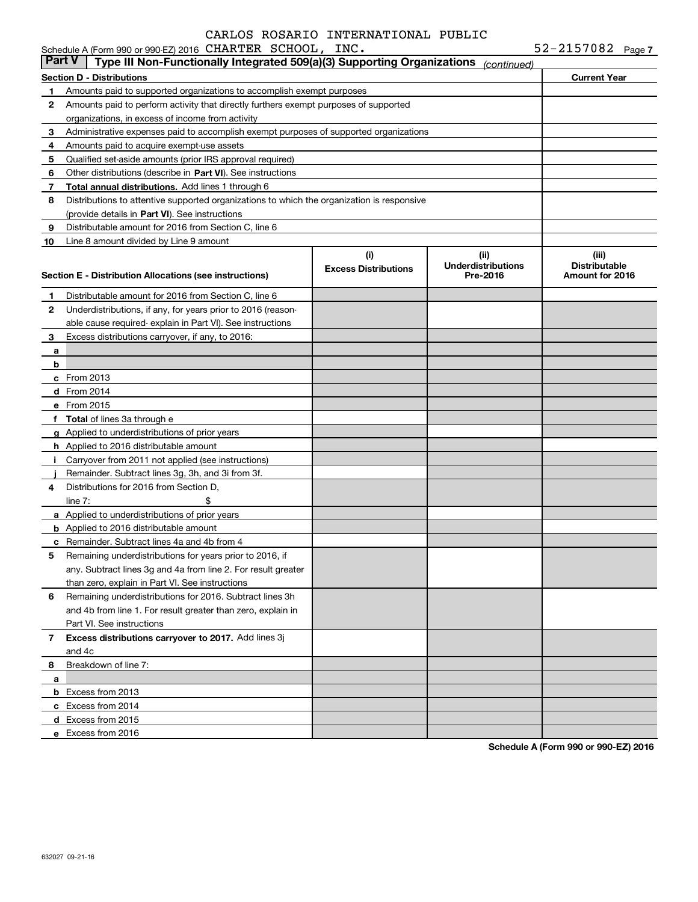|        | Schedule A (Form 990 or 990-EZ) 2016 CHARTER SCHOOL, INC.                                  |                                    |                                               | $52 - 2157082$ Page 7                            |  |
|--------|--------------------------------------------------------------------------------------------|------------------------------------|-----------------------------------------------|--------------------------------------------------|--|
| Part V | Type III Non-Functionally Integrated 509(a)(3) Supporting Organizations                    |                                    | (continued)                                   |                                                  |  |
|        | <b>Section D - Distributions</b>                                                           |                                    |                                               | <b>Current Year</b>                              |  |
| 1      | Amounts paid to supported organizations to accomplish exempt purposes                      |                                    |                                               |                                                  |  |
| 2      | Amounts paid to perform activity that directly furthers exempt purposes of supported       |                                    |                                               |                                                  |  |
|        | organizations, in excess of income from activity                                           |                                    |                                               |                                                  |  |
| 3      | Administrative expenses paid to accomplish exempt purposes of supported organizations      |                                    |                                               |                                                  |  |
| 4      | Amounts paid to acquire exempt-use assets                                                  |                                    |                                               |                                                  |  |
| 5      | Qualified set-aside amounts (prior IRS approval required)                                  |                                    |                                               |                                                  |  |
| 6      | Other distributions (describe in Part VI). See instructions                                |                                    |                                               |                                                  |  |
| 7      | Total annual distributions. Add lines 1 through 6                                          |                                    |                                               |                                                  |  |
| 8      | Distributions to attentive supported organizations to which the organization is responsive |                                    |                                               |                                                  |  |
|        | (provide details in Part VI). See instructions                                             |                                    |                                               |                                                  |  |
| 9      | Distributable amount for 2016 from Section C, line 6                                       |                                    |                                               |                                                  |  |
| 10     | Line 8 amount divided by Line 9 amount                                                     |                                    |                                               |                                                  |  |
|        | Section E - Distribution Allocations (see instructions)                                    | (i)<br><b>Excess Distributions</b> | (ii)<br><b>Underdistributions</b><br>Pre-2016 | (iii)<br><b>Distributable</b><br>Amount for 2016 |  |
| 1      | Distributable amount for 2016 from Section C, line 6                                       |                                    |                                               |                                                  |  |
| 2      | Underdistributions, if any, for years prior to 2016 (reason-                               |                                    |                                               |                                                  |  |
|        | able cause required- explain in Part VI). See instructions                                 |                                    |                                               |                                                  |  |
| 3      | Excess distributions carryover, if any, to 2016:                                           |                                    |                                               |                                                  |  |
| a      |                                                                                            |                                    |                                               |                                                  |  |
| b      |                                                                                            |                                    |                                               |                                                  |  |
|        | c From 2013                                                                                |                                    |                                               |                                                  |  |
|        | d From 2014                                                                                |                                    |                                               |                                                  |  |
|        | e From 2015                                                                                |                                    |                                               |                                                  |  |
|        | f Total of lines 3a through e                                                              |                                    |                                               |                                                  |  |
|        | g Applied to underdistributions of prior years                                             |                                    |                                               |                                                  |  |
|        | <b>h</b> Applied to 2016 distributable amount                                              |                                    |                                               |                                                  |  |
|        | Carryover from 2011 not applied (see instructions)                                         |                                    |                                               |                                                  |  |
|        | Remainder. Subtract lines 3g, 3h, and 3i from 3f.                                          |                                    |                                               |                                                  |  |
| 4      | Distributions for 2016 from Section D.                                                     |                                    |                                               |                                                  |  |
|        | \$<br>line $7:$                                                                            |                                    |                                               |                                                  |  |
|        | a Applied to underdistributions of prior years                                             |                                    |                                               |                                                  |  |
|        | <b>b</b> Applied to 2016 distributable amount                                              |                                    |                                               |                                                  |  |
|        | <b>c</b> Remainder. Subtract lines 4a and 4b from 4                                        |                                    |                                               |                                                  |  |
|        | Remaining underdistributions for years prior to 2016, if                                   |                                    |                                               |                                                  |  |
|        | any. Subtract lines 3g and 4a from line 2. For result greater                              |                                    |                                               |                                                  |  |
|        | than zero, explain in Part VI. See instructions                                            |                                    |                                               |                                                  |  |
| 6      | Remaining underdistributions for 2016. Subtract lines 3h                                   |                                    |                                               |                                                  |  |
|        | and 4b from line 1. For result greater than zero, explain in                               |                                    |                                               |                                                  |  |
|        | Part VI. See instructions                                                                  |                                    |                                               |                                                  |  |
| 7      | Excess distributions carryover to 2017. Add lines 3j                                       |                                    |                                               |                                                  |  |
|        | and 4c                                                                                     |                                    |                                               |                                                  |  |
| 8      | Breakdown of line 7:                                                                       |                                    |                                               |                                                  |  |
| а      |                                                                                            |                                    |                                               |                                                  |  |
|        | <b>b</b> Excess from 2013                                                                  |                                    |                                               |                                                  |  |
|        | c Excess from 2014                                                                         |                                    |                                               |                                                  |  |
|        | d Excess from 2015                                                                         |                                    |                                               |                                                  |  |
|        | e Excess from 2016                                                                         |                                    |                                               |                                                  |  |

**Schedule A (Form 990 or 990-EZ) 2016**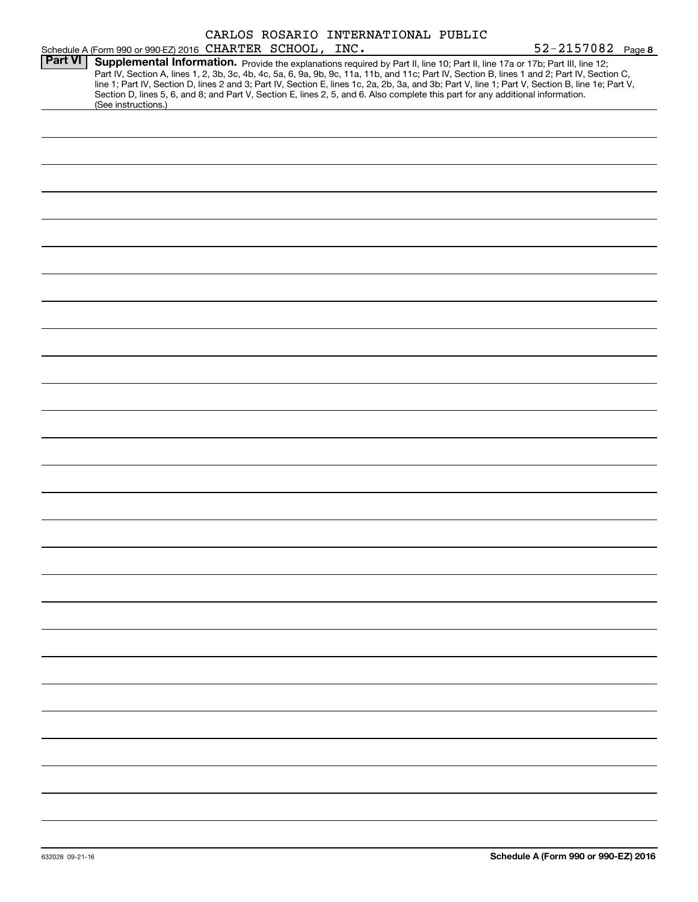|                |                                                                                                                                                                                                                                                                                         |  | CARLOS ROSARIO INTERNATIONAL PUBLIC |                                                                                                                                                                                                                                                                                                  |
|----------------|-----------------------------------------------------------------------------------------------------------------------------------------------------------------------------------------------------------------------------------------------------------------------------------------|--|-------------------------------------|--------------------------------------------------------------------------------------------------------------------------------------------------------------------------------------------------------------------------------------------------------------------------------------------------|
|                | Schedule A (Form 990 or 990-EZ) 2016 CHARTER SCHOOL, INC.                                                                                                                                                                                                                               |  |                                     | 52-2157082 Page 8                                                                                                                                                                                                                                                                                |
| <b>Part VI</b> | Supplemental Information. Provide the explanations required by Part II, line 10; Part II, line 17a or 17b; Part III, line 12;<br>Section D, lines 5, 6, and 8; and Part V, Section E, lines 2, 5, and 6. Also complete this part for any additional information.<br>(See instructions.) |  |                                     | Part IV, Section A, lines 1, 2, 3b, 3c, 4b, 4c, 5a, 6, 9a, 9b, 9c, 11a, 11b, and 11c; Part IV, Section B, lines 1 and 2; Part IV, Section C,<br>line 1; Part IV, Section D, lines 2 and 3; Part IV, Section E, lines 1c, 2a, 2b, 3a, and 3b; Part V, line 1; Part V, Section B, line 1e; Part V, |
|                |                                                                                                                                                                                                                                                                                         |  |                                     |                                                                                                                                                                                                                                                                                                  |
|                |                                                                                                                                                                                                                                                                                         |  |                                     |                                                                                                                                                                                                                                                                                                  |
|                |                                                                                                                                                                                                                                                                                         |  |                                     |                                                                                                                                                                                                                                                                                                  |
|                |                                                                                                                                                                                                                                                                                         |  |                                     |                                                                                                                                                                                                                                                                                                  |
|                |                                                                                                                                                                                                                                                                                         |  |                                     |                                                                                                                                                                                                                                                                                                  |
|                |                                                                                                                                                                                                                                                                                         |  |                                     |                                                                                                                                                                                                                                                                                                  |
|                |                                                                                                                                                                                                                                                                                         |  |                                     |                                                                                                                                                                                                                                                                                                  |
|                |                                                                                                                                                                                                                                                                                         |  |                                     |                                                                                                                                                                                                                                                                                                  |
|                |                                                                                                                                                                                                                                                                                         |  |                                     |                                                                                                                                                                                                                                                                                                  |
|                |                                                                                                                                                                                                                                                                                         |  |                                     |                                                                                                                                                                                                                                                                                                  |
|                |                                                                                                                                                                                                                                                                                         |  |                                     |                                                                                                                                                                                                                                                                                                  |
|                |                                                                                                                                                                                                                                                                                         |  |                                     |                                                                                                                                                                                                                                                                                                  |
|                |                                                                                                                                                                                                                                                                                         |  |                                     |                                                                                                                                                                                                                                                                                                  |
|                |                                                                                                                                                                                                                                                                                         |  |                                     |                                                                                                                                                                                                                                                                                                  |
|                |                                                                                                                                                                                                                                                                                         |  |                                     |                                                                                                                                                                                                                                                                                                  |
|                |                                                                                                                                                                                                                                                                                         |  |                                     |                                                                                                                                                                                                                                                                                                  |
|                |                                                                                                                                                                                                                                                                                         |  |                                     |                                                                                                                                                                                                                                                                                                  |
|                |                                                                                                                                                                                                                                                                                         |  |                                     |                                                                                                                                                                                                                                                                                                  |
|                |                                                                                                                                                                                                                                                                                         |  |                                     |                                                                                                                                                                                                                                                                                                  |
|                |                                                                                                                                                                                                                                                                                         |  |                                     |                                                                                                                                                                                                                                                                                                  |
|                |                                                                                                                                                                                                                                                                                         |  |                                     |                                                                                                                                                                                                                                                                                                  |
|                |                                                                                                                                                                                                                                                                                         |  |                                     |                                                                                                                                                                                                                                                                                                  |
|                |                                                                                                                                                                                                                                                                                         |  |                                     |                                                                                                                                                                                                                                                                                                  |
|                |                                                                                                                                                                                                                                                                                         |  |                                     |                                                                                                                                                                                                                                                                                                  |
|                |                                                                                                                                                                                                                                                                                         |  |                                     |                                                                                                                                                                                                                                                                                                  |
|                |                                                                                                                                                                                                                                                                                         |  |                                     |                                                                                                                                                                                                                                                                                                  |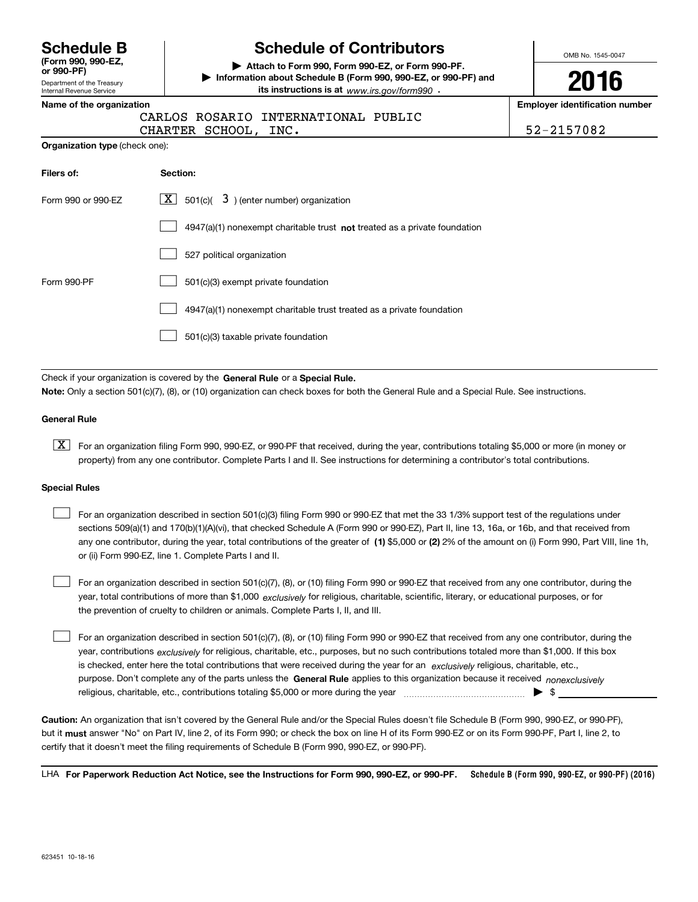**(Form 990, 990-EZ,**

Department of the Treasury Internal Revenue Service **or 990-PF)**

# **Schedule B Schedule of Contributors**

**| Attach to Form 990, Form 990-EZ, or Form 990-PF. | Information about Schedule B (Form 990, 990-EZ, or 990-PF) and its instructions is at** www.irs.gov/form990  $\cdot$ 

OMB No. 1545-0047

**2016**

**Name of the organization Employer identification number**

|  | CARLOS ROSARIO INTERNATIONAL PUBLIC |  |
|--|-------------------------------------|--|

CHARTER SCHOOL, INC. 52-2157082

| 52-2157082 |  |  |  |
|------------|--|--|--|

| Filers of:         | Section:                                                                    |
|--------------------|-----------------------------------------------------------------------------|
| Form 990 or 990-EZ | $\lfloor x \rfloor$ 501(c)( 3) (enter number) organization                  |
|                    | $4947(a)(1)$ nonexempt charitable trust not treated as a private foundation |
|                    | 527 political organization                                                  |
| Form 990-PF        | 501(c)(3) exempt private foundation                                         |
|                    | 4947(a)(1) nonexempt charitable trust treated as a private foundation       |
|                    | 501(c)(3) taxable private foundation                                        |

Check if your organization is covered by the **General Rule** or a **Special Rule. Note:**  Only a section 501(c)(7), (8), or (10) organization can check boxes for both the General Rule and a Special Rule. See instructions.

#### **General Rule**

 $\boxed{\textbf{X}}$  For an organization filing Form 990, 990-EZ, or 990-PF that received, during the year, contributions totaling \$5,000 or more (in money or property) from any one contributor. Complete Parts I and II. See instructions for determining a contributor's total contributions.

#### **Special Rules**

 $\mathcal{L}^{\text{max}}$ 

any one contributor, during the year, total contributions of the greater of  $\,$  (1) \$5,000 or (2) 2% of the amount on (i) Form 990, Part VIII, line 1h, For an organization described in section 501(c)(3) filing Form 990 or 990-EZ that met the 33 1/3% support test of the regulations under sections 509(a)(1) and 170(b)(1)(A)(vi), that checked Schedule A (Form 990 or 990-EZ), Part II, line 13, 16a, or 16b, and that received from or (ii) Form 990-EZ, line 1. Complete Parts I and II.  $\mathcal{L}^{\text{max}}$ 

year, total contributions of more than \$1,000 *exclusively* for religious, charitable, scientific, literary, or educational purposes, or for For an organization described in section 501(c)(7), (8), or (10) filing Form 990 or 990-EZ that received from any one contributor, during the the prevention of cruelty to children or animals. Complete Parts I, II, and III.  $\mathcal{L}^{\text{max}}$ 

purpose. Don't complete any of the parts unless the **General Rule** applies to this organization because it received *nonexclusively* year, contributions <sub>exclusively</sub> for religious, charitable, etc., purposes, but no such contributions totaled more than \$1,000. If this box is checked, enter here the total contributions that were received during the year for an  $\;$ exclusively religious, charitable, etc., For an organization described in section 501(c)(7), (8), or (10) filing Form 990 or 990-EZ that received from any one contributor, during the religious, charitable, etc., contributions totaling \$5,000 or more during the year  $\ldots$  $\ldots$  $\ldots$  $\ldots$  $\ldots$  $\ldots$ 

**Caution:**  An organization that isn't covered by the General Rule and/or the Special Rules doesn't file Schedule B (Form 990, 990-EZ, or 990-PF),  **must** but it answer "No" on Part IV, line 2, of its Form 990; or check the box on line H of its Form 990-EZ or on its Form 990-PF, Part I, line 2, to certify that it doesn't meet the filing requirements of Schedule B (Form 990, 990-EZ, or 990-PF).

**Schedule B (Form 990, 990-EZ, or 990-PF) (2016) For Paperwork Reduction Act Notice, see the Instructions for Form 990, 990-EZ, or 990-PF.** LHA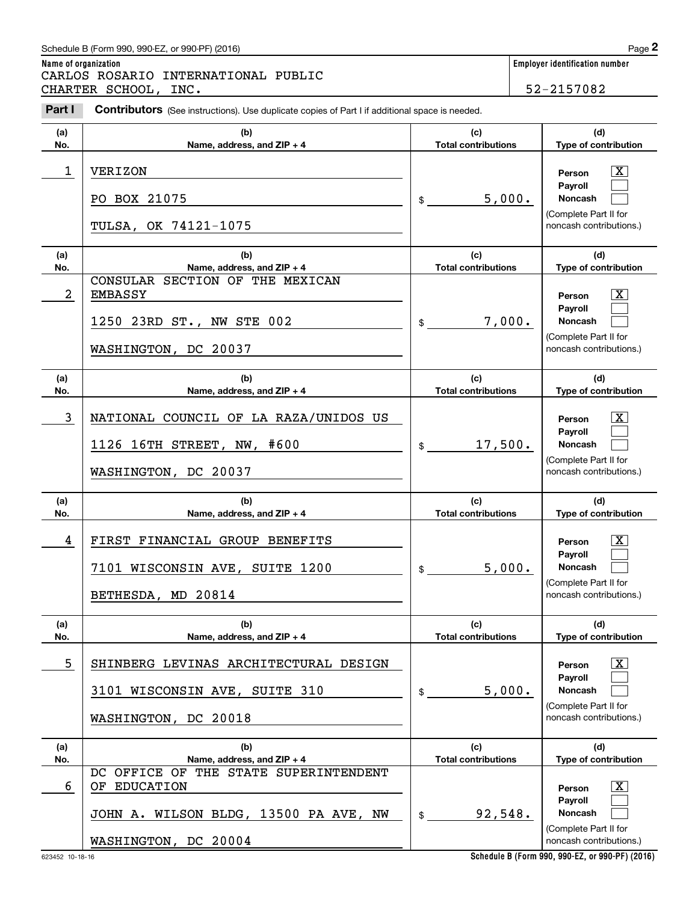### Schedule B (Form 990, 990-EZ, or 990-PF) (2016)  $Page$  2

**Name of organization Employer identification number** Chedule B (Form 990, 990-EZ, or 990-PF) (2016)<br> **2Part I 2Part I Contributors** (See instructions). Use duplicate copies of Part I if additional space is needed.<br> **2Part I Contributors** (See instructions). Use duplica CARLOS ROSARIO INTERNATIONAL PUBLIC CHARTER SCHOOL, INC. Sandback and the set of the set of the set of the set of the set of the set of the set of the set of the set of the set of the set of the set of the set of the set of the set of the set of the set of t

**Contributors** (See instructions). Use duplicate copies of Part I if additional space is needed.

**(a)No.(b)Name, address, and ZIP + 4 (c)Total contributions (d)Type of contribution PersonPayrollNoncash (a)No.(b)Name, address, and ZIP + 4 (c)Total contributions (d)Type of contribution PersonPayrollNoncash (a)No.(b)Name, address, and ZIP + 4 (c)Total contributions (d) Type of contribution PersonPayrollNoncash (a)No.(b)Name, address, and ZIP + 4 (c) Total contributions (d)Type of contribution PersonPayrollNoncash (a)No.(b)Name, address, and ZIP + 4 (c)Total contributions (d)Type of contribution PersonPayrollNoncash (a)No.(b)Name, address, and ZIP + 4 (c)Total contributions (d)Type of contribution PersonPayroll**\$(Complete Part II for noncash contributions.) \$(Complete Part II for noncash contributions.) \$(Complete Part II for noncash contributions.) \$(Complete Part II for noncash contributions.) \$(Complete Part II for noncash contributions.)  $\lceil \text{X} \rceil$  $\mathcal{L}^{\text{max}}$  $\mathcal{L}^{\text{max}}$  $|X|$  $\mathcal{L}^{\text{max}}$  $\mathcal{L}^{\text{max}}$  $\lceil \text{X} \rceil$  $\mathcal{L}^{\text{max}}$  $\mathcal{L}^{\text{max}}$  $\lceil \text{X} \rceil$  $\mathcal{L}^{\text{max}}$  $\mathcal{L}^{\text{max}}$  $|X|$  $\mathcal{L}^{\text{max}}$  $\mathcal{L}^{\text{max}}$  $|X|$  $\mathcal{L}^{\text{max}}$ 1 X VERIZON 5,000. PO BOX 21075 TULSA, OK 74121-1075 2 X EMBASSY 7,000. CONSULAR SECTION OF THE MEXICAN 1250 23RD ST., NW STE 002 WASHINGTON, DC 20037 3 X NATIONAL COUNCIL OF LA RAZA/UNIDOS US 17,500. 1126 16TH STREET, NW, #600 WASHINGTON, DC 20037 4 FIRST FINANCIAL GROUP BENEFITS THE RESERVIT OF Person TX 5,000. 7101 WISCONSIN AVE, SUITE 1200 BETHESDA, MD 20814 5 X SHINBERG LEVINAS ARCHITECTURAL DESIGN 5,000. 3101 WISCONSIN AVE, SUITE 310 WASHINGTON, DC 20018 6 OF EDUCATION NAMEL SERVICES AND RESOLUTION AND RESOLUTION AND RESOLUTION OF SALE SERVICES AND RESOLUTION OF SALE SERVICES AND RESOLUTION OF SALE SERVICES AND RESOLUTION OF SALE SERVICES AND RESOLUTION OF SALE SERVICES AN DC OFFICE OF THE STATE SUPERINTENDENT

JOHN A. WILSON BLDG, 13500 PA AVE, NW

WASHINGTON, DC 20004

**Schedule B (Form 990, 990-EZ, or 990-PF) (2016)**

92,548.

 $\mathbf{s}$ 

**Noncash**

(Complete Part II for noncash contributions.)

 $\mathcal{L}^{\text{max}}$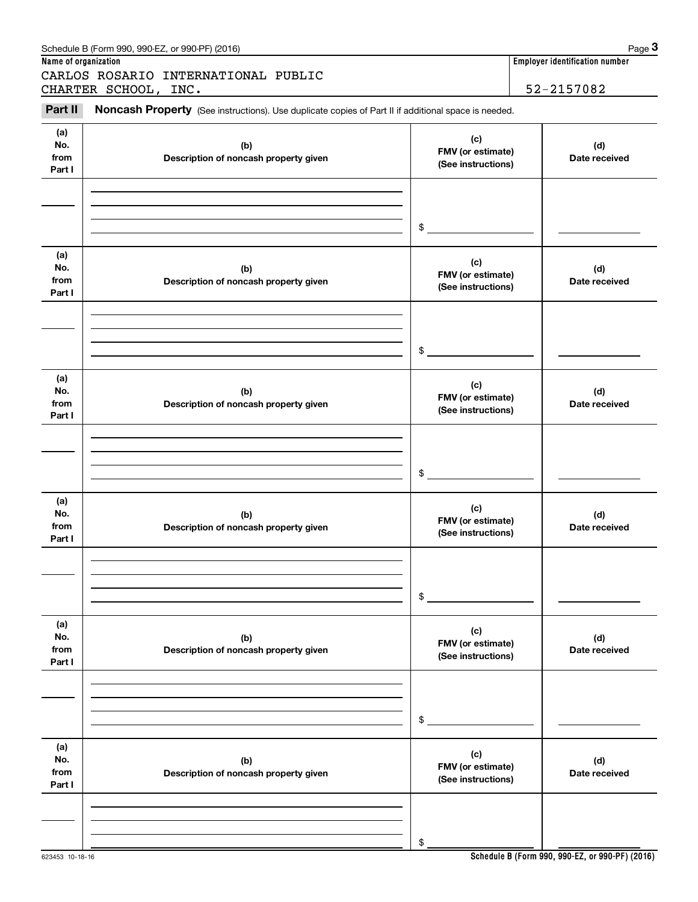|                              | Schedule B (Form 990, 990-EZ, or 990-PF) (2016)                                                     |                                                | Page 3                         |
|------------------------------|-----------------------------------------------------------------------------------------------------|------------------------------------------------|--------------------------------|
| Name of organization         | CARLOS ROSARIO INTERNATIONAL PUBLIC                                                                 |                                                | Employer identification number |
|                              | CHARTER SCHOOL, INC.                                                                                |                                                | 52-2157082                     |
| Part II                      | Noncash Property (See instructions). Use duplicate copies of Part II if additional space is needed. |                                                |                                |
| (a)<br>No.<br>from<br>Part I | (b)<br>Description of noncash property given                                                        | (c)<br>FMV (or estimate)<br>(See instructions) | (d)<br>Date received           |
|                              |                                                                                                     | \$                                             |                                |
| (a)<br>No.<br>from<br>Part I | (b)<br>Description of noncash property given                                                        | (c)<br>FMV (or estimate)<br>(See instructions) | (d)<br>Date received           |
|                              |                                                                                                     | \$                                             |                                |
| (a)<br>No.<br>from<br>Part I | (b)<br>Description of noncash property given                                                        | (c)<br>FMV (or estimate)<br>(See instructions) | (d)<br>Date received           |
|                              |                                                                                                     | \$                                             |                                |
| (a)<br>No.<br>from<br>Part I | (b)<br>Description of noncash property given                                                        | (c)<br>FMV (or estimate)<br>(See instructions) | (d)<br>Date received           |
|                              |                                                                                                     | \$                                             |                                |
| (a)<br>No.<br>from<br>Part I | (b)<br>Description of noncash property given                                                        | (c)<br>FMV (or estimate)<br>(See instructions) | (d)<br>Date received           |
|                              |                                                                                                     | \$                                             |                                |
| (a)<br>No.<br>from<br>Part I | (b)<br>Description of noncash property given                                                        | (c)<br>FMV (or estimate)<br>(See instructions) | (d)<br>Date received           |
|                              |                                                                                                     | \$                                             |                                |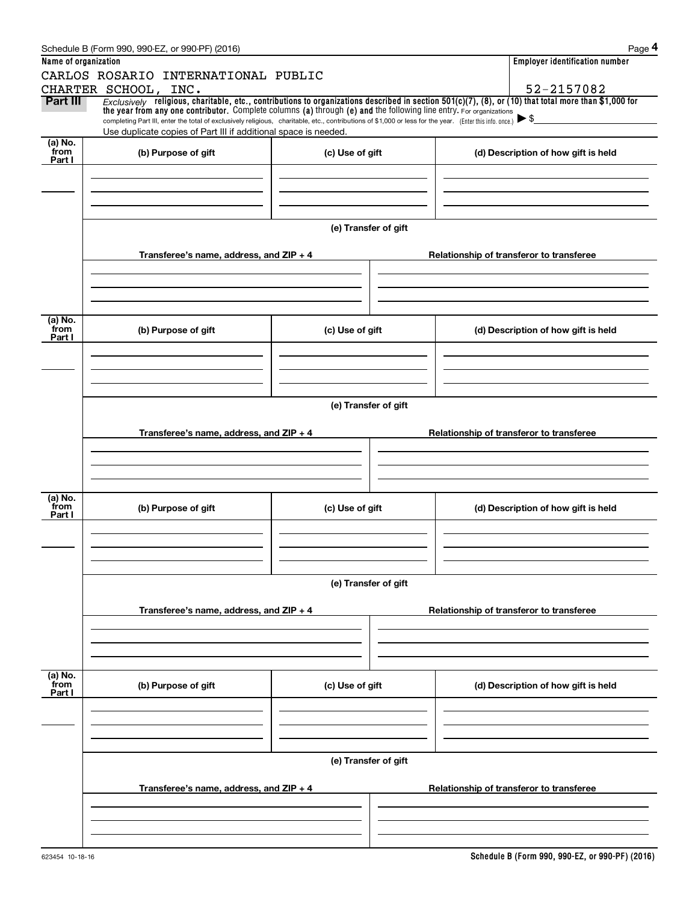|                      | Schedule B (Form 990, 990-EZ, or 990-PF) (2016)                                                                                                                                                                                                      |                      | Page 4                                                                                                                                                                 |
|----------------------|------------------------------------------------------------------------------------------------------------------------------------------------------------------------------------------------------------------------------------------------------|----------------------|------------------------------------------------------------------------------------------------------------------------------------------------------------------------|
| Name of organization |                                                                                                                                                                                                                                                      |                      | <b>Employer identification number</b>                                                                                                                                  |
|                      | CARLOS ROSARIO INTERNATIONAL PUBLIC                                                                                                                                                                                                                  |                      |                                                                                                                                                                        |
| Part III             | CHARTER SCHOOL, INC.                                                                                                                                                                                                                                 |                      | 52-2157082<br>Exclusively religious, charitable, etc., contributions to organizations described in section $501(c)(7)$ , (8), or (10) that total more than \$1,000 for |
|                      | the year from any one contributor. Complete columns (a) through (e) and the following line entry. For organizations                                                                                                                                  |                      |                                                                                                                                                                        |
|                      | completing Part III, enter the total of exclusively religious, charitable, etc., contributions of \$1,000 or less for the year. (Enter this info. once.) $\blacktriangleright$ \$<br>Use duplicate copies of Part III if additional space is needed. |                      |                                                                                                                                                                        |
| (a) No.              |                                                                                                                                                                                                                                                      |                      |                                                                                                                                                                        |
| from<br>Part I       | (b) Purpose of gift                                                                                                                                                                                                                                  | (c) Use of gift      | (d) Description of how gift is held                                                                                                                                    |
|                      |                                                                                                                                                                                                                                                      |                      |                                                                                                                                                                        |
|                      |                                                                                                                                                                                                                                                      |                      |                                                                                                                                                                        |
|                      |                                                                                                                                                                                                                                                      |                      |                                                                                                                                                                        |
|                      |                                                                                                                                                                                                                                                      |                      |                                                                                                                                                                        |
|                      |                                                                                                                                                                                                                                                      | (e) Transfer of gift |                                                                                                                                                                        |
|                      | Transferee's name, address, and ZIP + 4                                                                                                                                                                                                              |                      | Relationship of transferor to transferee                                                                                                                               |
|                      |                                                                                                                                                                                                                                                      |                      |                                                                                                                                                                        |
|                      |                                                                                                                                                                                                                                                      |                      |                                                                                                                                                                        |
|                      |                                                                                                                                                                                                                                                      |                      |                                                                                                                                                                        |
| (a) No.              |                                                                                                                                                                                                                                                      |                      |                                                                                                                                                                        |
| from<br>Part I       | (b) Purpose of gift                                                                                                                                                                                                                                  | (c) Use of gift      | (d) Description of how gift is held                                                                                                                                    |
|                      |                                                                                                                                                                                                                                                      |                      |                                                                                                                                                                        |
|                      |                                                                                                                                                                                                                                                      |                      |                                                                                                                                                                        |
|                      |                                                                                                                                                                                                                                                      |                      |                                                                                                                                                                        |
|                      |                                                                                                                                                                                                                                                      |                      |                                                                                                                                                                        |
|                      |                                                                                                                                                                                                                                                      | (e) Transfer of gift |                                                                                                                                                                        |
|                      | Transferee's name, address, and $ZIP + 4$                                                                                                                                                                                                            |                      | Relationship of transferor to transferee                                                                                                                               |
|                      |                                                                                                                                                                                                                                                      |                      |                                                                                                                                                                        |
|                      |                                                                                                                                                                                                                                                      |                      |                                                                                                                                                                        |
|                      |                                                                                                                                                                                                                                                      |                      |                                                                                                                                                                        |
|                      |                                                                                                                                                                                                                                                      |                      |                                                                                                                                                                        |
| (a) No.<br>from      | (b) Purpose of gift                                                                                                                                                                                                                                  | (c) Use of gift      | (d) Description of how gift is held                                                                                                                                    |
| Part I               |                                                                                                                                                                                                                                                      |                      |                                                                                                                                                                        |
|                      |                                                                                                                                                                                                                                                      |                      |                                                                                                                                                                        |
|                      |                                                                                                                                                                                                                                                      |                      |                                                                                                                                                                        |
|                      |                                                                                                                                                                                                                                                      |                      |                                                                                                                                                                        |
|                      |                                                                                                                                                                                                                                                      | (e) Transfer of gift |                                                                                                                                                                        |
|                      |                                                                                                                                                                                                                                                      |                      |                                                                                                                                                                        |
|                      | Transferee's name, address, and ZIP + 4                                                                                                                                                                                                              |                      | Relationship of transferor to transferee                                                                                                                               |
|                      |                                                                                                                                                                                                                                                      |                      |                                                                                                                                                                        |
|                      |                                                                                                                                                                                                                                                      |                      |                                                                                                                                                                        |
|                      |                                                                                                                                                                                                                                                      |                      |                                                                                                                                                                        |
| (a) No.<br>from      | (b) Purpose of gift                                                                                                                                                                                                                                  | (c) Use of gift      | (d) Description of how gift is held                                                                                                                                    |
| Part I               |                                                                                                                                                                                                                                                      |                      |                                                                                                                                                                        |
|                      |                                                                                                                                                                                                                                                      |                      |                                                                                                                                                                        |
|                      |                                                                                                                                                                                                                                                      |                      |                                                                                                                                                                        |
|                      |                                                                                                                                                                                                                                                      |                      |                                                                                                                                                                        |
|                      |                                                                                                                                                                                                                                                      | (e) Transfer of gift |                                                                                                                                                                        |
|                      |                                                                                                                                                                                                                                                      |                      |                                                                                                                                                                        |
|                      | Transferee's name, address, and ZIP + 4                                                                                                                                                                                                              |                      | Relationship of transferor to transferee                                                                                                                               |
|                      |                                                                                                                                                                                                                                                      |                      |                                                                                                                                                                        |
|                      |                                                                                                                                                                                                                                                      |                      |                                                                                                                                                                        |
|                      |                                                                                                                                                                                                                                                      |                      |                                                                                                                                                                        |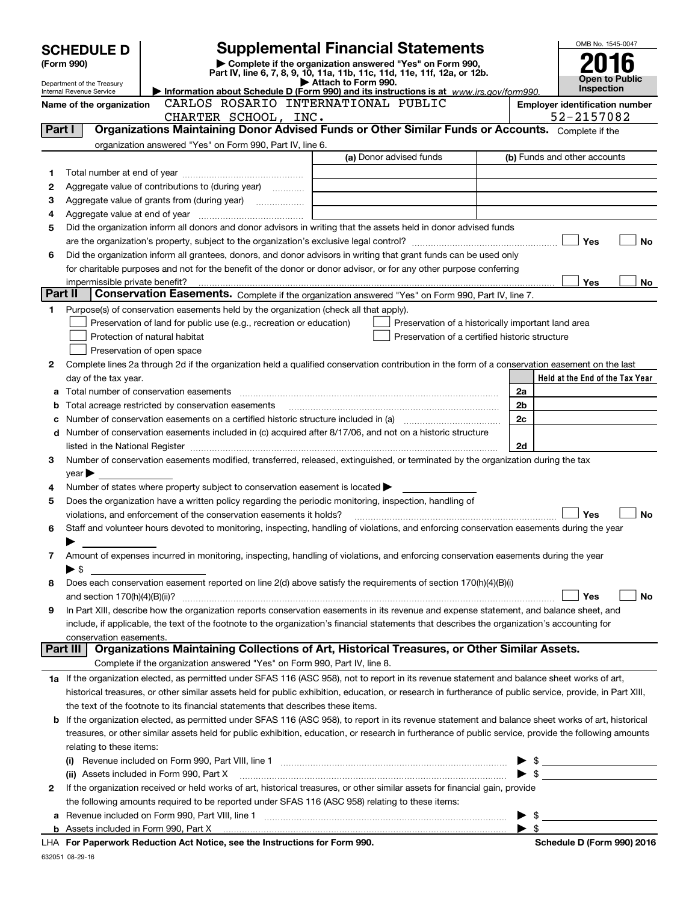|         | <b>SCHEDULE D</b>                                             |                                                                                                                                                                                                             | <b>Supplemental Financial Statements</b>                                                        |                          | OMB No. 1545-0047                                                                                                                                                                                                                                                                                                   |
|---------|---------------------------------------------------------------|-------------------------------------------------------------------------------------------------------------------------------------------------------------------------------------------------------------|-------------------------------------------------------------------------------------------------|--------------------------|---------------------------------------------------------------------------------------------------------------------------------------------------------------------------------------------------------------------------------------------------------------------------------------------------------------------|
|         | (Form 990)                                                    |                                                                                                                                                                                                             | Complete if the organization answered "Yes" on Form 990,                                        |                          |                                                                                                                                                                                                                                                                                                                     |
|         |                                                               |                                                                                                                                                                                                             | Part IV, line 6, 7, 8, 9, 10, 11a, 11b, 11c, 11d, 11e, 11f, 12a, or 12b.<br>Attach to Form 990. |                          | <b>Open to Public</b>                                                                                                                                                                                                                                                                                               |
|         | Department of the Treasury<br><b>Internal Revenue Service</b> |                                                                                                                                                                                                             | Information about Schedule D (Form 990) and its instructions is at www.irs.gov/form990.         |                          | <b>Inspection</b>                                                                                                                                                                                                                                                                                                   |
|         | Name of the organization                                      | CARLOS ROSARIO INTERNATIONAL PUBLIC                                                                                                                                                                         |                                                                                                 |                          | <b>Employer identification number</b>                                                                                                                                                                                                                                                                               |
|         |                                                               | CHARTER SCHOOL, INC.<br>Organizations Maintaining Donor Advised Funds or Other Similar Funds or Accounts. Complete if the                                                                                   |                                                                                                 |                          | 52-2157082                                                                                                                                                                                                                                                                                                          |
| Part I  |                                                               |                                                                                                                                                                                                             |                                                                                                 |                          |                                                                                                                                                                                                                                                                                                                     |
|         |                                                               | organization answered "Yes" on Form 990, Part IV, line 6.                                                                                                                                                   | (a) Donor advised funds                                                                         |                          | (b) Funds and other accounts                                                                                                                                                                                                                                                                                        |
| 1       |                                                               |                                                                                                                                                                                                             |                                                                                                 |                          |                                                                                                                                                                                                                                                                                                                     |
| 2       |                                                               | Aggregate value of contributions to (during year)                                                                                                                                                           |                                                                                                 |                          |                                                                                                                                                                                                                                                                                                                     |
| з       |                                                               |                                                                                                                                                                                                             |                                                                                                 |                          |                                                                                                                                                                                                                                                                                                                     |
| 4       |                                                               |                                                                                                                                                                                                             |                                                                                                 |                          |                                                                                                                                                                                                                                                                                                                     |
| 5       |                                                               | Did the organization inform all donors and donor advisors in writing that the assets held in donor advised funds                                                                                            |                                                                                                 |                          |                                                                                                                                                                                                                                                                                                                     |
|         |                                                               |                                                                                                                                                                                                             |                                                                                                 |                          | Yes<br><b>No</b>                                                                                                                                                                                                                                                                                                    |
| 6       |                                                               | Did the organization inform all grantees, donors, and donor advisors in writing that grant funds can be used only                                                                                           |                                                                                                 |                          |                                                                                                                                                                                                                                                                                                                     |
|         |                                                               | for charitable purposes and not for the benefit of the donor or donor advisor, or for any other purpose conferring                                                                                          |                                                                                                 |                          |                                                                                                                                                                                                                                                                                                                     |
| Part II |                                                               |                                                                                                                                                                                                             |                                                                                                 |                          | Yes<br>No                                                                                                                                                                                                                                                                                                           |
|         |                                                               | Conservation Easements. Complete if the organization answered "Yes" on Form 990, Part IV, line 7.                                                                                                           |                                                                                                 |                          |                                                                                                                                                                                                                                                                                                                     |
| 1       |                                                               | Purpose(s) of conservation easements held by the organization (check all that apply).<br>Preservation of land for public use (e.g., recreation or education)                                                | Preservation of a historically important land area                                              |                          |                                                                                                                                                                                                                                                                                                                     |
|         |                                                               | Protection of natural habitat                                                                                                                                                                               | Preservation of a certified historic structure                                                  |                          |                                                                                                                                                                                                                                                                                                                     |
|         |                                                               | Preservation of open space                                                                                                                                                                                  |                                                                                                 |                          |                                                                                                                                                                                                                                                                                                                     |
| 2       |                                                               | Complete lines 2a through 2d if the organization held a qualified conservation contribution in the form of a conservation easement on the last                                                              |                                                                                                 |                          |                                                                                                                                                                                                                                                                                                                     |
|         | day of the tax year.                                          |                                                                                                                                                                                                             |                                                                                                 |                          | Held at the End of the Tax Year                                                                                                                                                                                                                                                                                     |
| а       |                                                               |                                                                                                                                                                                                             |                                                                                                 | 2a                       |                                                                                                                                                                                                                                                                                                                     |
| b       |                                                               |                                                                                                                                                                                                             |                                                                                                 | 2 <sub>b</sub>           |                                                                                                                                                                                                                                                                                                                     |
| c       |                                                               | Number of conservation easements on a certified historic structure included in (a) manufacture included in (a)                                                                                              |                                                                                                 | 2c                       |                                                                                                                                                                                                                                                                                                                     |
| d       |                                                               | Number of conservation easements included in (c) acquired after 8/17/06, and not on a historic structure                                                                                                    |                                                                                                 |                          |                                                                                                                                                                                                                                                                                                                     |
|         |                                                               | listed in the National Register [111] [12] The Management of the National Process of Arthur Management of the N                                                                                             |                                                                                                 | 2d                       |                                                                                                                                                                                                                                                                                                                     |
| 3       |                                                               | Number of conservation easements modified, transferred, released, extinguished, or terminated by the organization during the tax                                                                            |                                                                                                 |                          |                                                                                                                                                                                                                                                                                                                     |
|         | $year \blacktriangleright$                                    |                                                                                                                                                                                                             |                                                                                                 |                          |                                                                                                                                                                                                                                                                                                                     |
| 4<br>5  |                                                               | Number of states where property subject to conservation easement is located $\blacktriangleright$<br>Does the organization have a written policy regarding the periodic monitoring, inspection, handling of |                                                                                                 |                          |                                                                                                                                                                                                                                                                                                                     |
|         |                                                               | violations, and enforcement of the conservation easements it holds?                                                                                                                                         |                                                                                                 |                          | Yes<br><b>No</b>                                                                                                                                                                                                                                                                                                    |
| 6       |                                                               | Staff and volunteer hours devoted to monitoring, inspecting, handling of violations, and enforcing conservation easements during the year                                                                   |                                                                                                 |                          |                                                                                                                                                                                                                                                                                                                     |
|         |                                                               |                                                                                                                                                                                                             |                                                                                                 |                          |                                                                                                                                                                                                                                                                                                                     |
| 7       |                                                               | Amount of expenses incurred in monitoring, inspecting, handling of violations, and enforcing conservation easements during the year                                                                         |                                                                                                 |                          |                                                                                                                                                                                                                                                                                                                     |
|         | $\blacktriangleright$ \$                                      |                                                                                                                                                                                                             |                                                                                                 |                          |                                                                                                                                                                                                                                                                                                                     |
| 8       |                                                               | Does each conservation easement reported on line 2(d) above satisfy the requirements of section 170(h)(4)(B)(i)                                                                                             |                                                                                                 |                          |                                                                                                                                                                                                                                                                                                                     |
|         | and section 170(h)(4)(B)(ii)?                                 |                                                                                                                                                                                                             |                                                                                                 |                          | Yes<br>No                                                                                                                                                                                                                                                                                                           |
| 9       |                                                               | In Part XIII, describe how the organization reports conservation easements in its revenue and expense statement, and balance sheet, and                                                                     |                                                                                                 |                          |                                                                                                                                                                                                                                                                                                                     |
|         | conservation easements.                                       | include, if applicable, the text of the footnote to the organization's financial statements that describes the organization's accounting for                                                                |                                                                                                 |                          |                                                                                                                                                                                                                                                                                                                     |
|         | Part III                                                      | Organizations Maintaining Collections of Art, Historical Treasures, or Other Similar Assets.                                                                                                                |                                                                                                 |                          |                                                                                                                                                                                                                                                                                                                     |
|         |                                                               | Complete if the organization answered "Yes" on Form 990, Part IV, line 8.                                                                                                                                   |                                                                                                 |                          |                                                                                                                                                                                                                                                                                                                     |
|         |                                                               | 1a If the organization elected, as permitted under SFAS 116 (ASC 958), not to report in its revenue statement and balance sheet works of art,                                                               |                                                                                                 |                          |                                                                                                                                                                                                                                                                                                                     |
|         |                                                               | historical treasures, or other similar assets held for public exhibition, education, or research in furtherance of public service, provide, in Part XIII,                                                   |                                                                                                 |                          |                                                                                                                                                                                                                                                                                                                     |
|         |                                                               | the text of the footnote to its financial statements that describes these items.                                                                                                                            |                                                                                                 |                          |                                                                                                                                                                                                                                                                                                                     |
|         |                                                               | <b>b</b> If the organization elected, as permitted under SFAS 116 (ASC 958), to report in its revenue statement and balance sheet works of art, historical                                                  |                                                                                                 |                          |                                                                                                                                                                                                                                                                                                                     |
|         |                                                               | treasures, or other similar assets held for public exhibition, education, or research in furtherance of public service, provide the following amounts                                                       |                                                                                                 |                          |                                                                                                                                                                                                                                                                                                                     |
|         | relating to these items:                                      |                                                                                                                                                                                                             |                                                                                                 |                          |                                                                                                                                                                                                                                                                                                                     |
|         |                                                               |                                                                                                                                                                                                             |                                                                                                 |                          | $\frac{1}{2}$ $\frac{1}{2}$ $\frac{1}{2}$ $\frac{1}{2}$ $\frac{1}{2}$ $\frac{1}{2}$ $\frac{1}{2}$ $\frac{1}{2}$ $\frac{1}{2}$ $\frac{1}{2}$ $\frac{1}{2}$ $\frac{1}{2}$ $\frac{1}{2}$ $\frac{1}{2}$ $\frac{1}{2}$ $\frac{1}{2}$ $\frac{1}{2}$ $\frac{1}{2}$ $\frac{1}{2}$ $\frac{1}{2}$ $\frac{1}{2}$ $\frac{1}{2}$ |
|         |                                                               | (ii) Assets included in Form 990, Part X<br>If the organization received or held works of art, historical treasures, or other similar assets for financial gain, provide                                    |                                                                                                 | $\blacktriangleright$ \$ |                                                                                                                                                                                                                                                                                                                     |
| 2       |                                                               | the following amounts required to be reported under SFAS 116 (ASC 958) relating to these items:                                                                                                             |                                                                                                 |                          |                                                                                                                                                                                                                                                                                                                     |
| а       |                                                               |                                                                                                                                                                                                             |                                                                                                 | - \$                     |                                                                                                                                                                                                                                                                                                                     |
|         |                                                               |                                                                                                                                                                                                             |                                                                                                 | $\blacktriangleright$ \$ |                                                                                                                                                                                                                                                                                                                     |
|         |                                                               |                                                                                                                                                                                                             |                                                                                                 |                          |                                                                                                                                                                                                                                                                                                                     |

**For Paperwork Reduction Act Notice, see the Instructions for Form 990. Schedule D (Form 990) 2016** LHA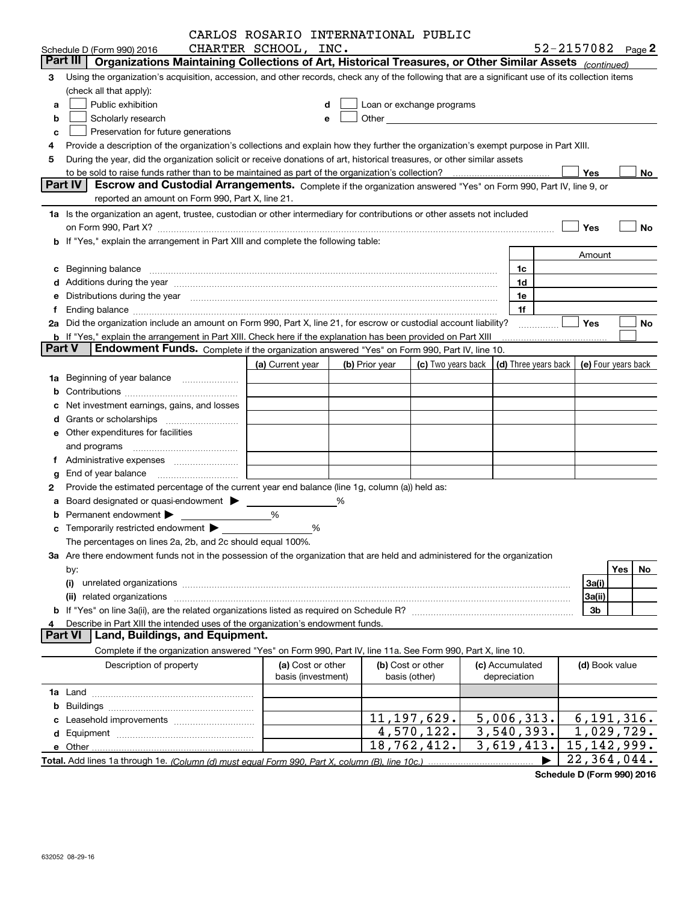|        | CARLOS ROSARIO INTERNATIONAL PUBLIC                                                                                                                                                                                                                                                                                  |                    |   |                |                                                                                                                                                                                                                               |              |                 |                                            |           |
|--------|----------------------------------------------------------------------------------------------------------------------------------------------------------------------------------------------------------------------------------------------------------------------------------------------------------------------|--------------------|---|----------------|-------------------------------------------------------------------------------------------------------------------------------------------------------------------------------------------------------------------------------|--------------|-----------------|--------------------------------------------|-----------|
|        | CHARTER SCHOOL, INC.<br>Schedule D (Form 990) 2016                                                                                                                                                                                                                                                                   |                    |   |                |                                                                                                                                                                                                                               |              |                 | 52-2157082 $_{Page}$ 2                     |           |
|        | Part III<br>Organizations Maintaining Collections of Art, Historical Treasures, or Other Similar Assets (continued)                                                                                                                                                                                                  |                    |   |                |                                                                                                                                                                                                                               |              |                 |                                            |           |
| 3      | Using the organization's acquisition, accession, and other records, check any of the following that are a significant use of its collection items                                                                                                                                                                    |                    |   |                |                                                                                                                                                                                                                               |              |                 |                                            |           |
|        | (check all that apply):                                                                                                                                                                                                                                                                                              |                    |   |                |                                                                                                                                                                                                                               |              |                 |                                            |           |
| a      | Public exhibition                                                                                                                                                                                                                                                                                                    |                    | d |                | Loan or exchange programs                                                                                                                                                                                                     |              |                 |                                            |           |
| b      | Scholarly research                                                                                                                                                                                                                                                                                                   |                    |   |                | Other and the contract of the contract of the contract of the contract of the contract of the contract of the contract of the contract of the contract of the contract of the contract of the contract of the contract of the |              |                 |                                            |           |
| с      | Preservation for future generations                                                                                                                                                                                                                                                                                  |                    |   |                |                                                                                                                                                                                                                               |              |                 |                                            |           |
|        | Provide a description of the organization's collections and explain how they further the organization's exempt purpose in Part XIII.                                                                                                                                                                                 |                    |   |                |                                                                                                                                                                                                                               |              |                 |                                            |           |
| 5      | During the year, did the organization solicit or receive donations of art, historical treasures, or other similar assets                                                                                                                                                                                             |                    |   |                |                                                                                                                                                                                                                               |              |                 |                                            |           |
|        | to be sold to raise funds rather than to be maintained as part of the organization's collection?                                                                                                                                                                                                                     |                    |   |                |                                                                                                                                                                                                                               | . <u>.</u> . |                 | Yes                                        | No        |
|        | <b>Part IV</b><br>Escrow and Custodial Arrangements. Complete if the organization answered "Yes" on Form 990, Part IV, line 9, or                                                                                                                                                                                    |                    |   |                |                                                                                                                                                                                                                               |              |                 |                                            |           |
|        | reported an amount on Form 990, Part X, line 21.                                                                                                                                                                                                                                                                     |                    |   |                |                                                                                                                                                                                                                               |              |                 |                                            |           |
|        | 1a Is the organization an agent, trustee, custodian or other intermediary for contributions or other assets not included                                                                                                                                                                                             |                    |   |                |                                                                                                                                                                                                                               |              |                 |                                            |           |
|        |                                                                                                                                                                                                                                                                                                                      |                    |   |                |                                                                                                                                                                                                                               |              |                 | Yes                                        | No        |
|        | on Form 990, Part X? [11] matter contracts and contracts and contracts are contracted and contracts are contracted and contract and contract of the contract of the contract of the contract of the contract of the contract o<br>b If "Yes," explain the arrangement in Part XIII and complete the following table: |                    |   |                |                                                                                                                                                                                                                               |              |                 |                                            |           |
|        |                                                                                                                                                                                                                                                                                                                      |                    |   |                |                                                                                                                                                                                                                               |              |                 |                                            |           |
|        |                                                                                                                                                                                                                                                                                                                      |                    |   |                |                                                                                                                                                                                                                               |              |                 | Amount                                     |           |
|        | c Beginning balance measurements and the state of the state of the state of the state of the state of the state of the state of the state of the state of the state of the state of the state of the state of the state of the                                                                                       |                    |   |                |                                                                                                                                                                                                                               |              | 1c              |                                            |           |
|        | d Additions during the year measurement contains and a state of the year measurement of the year measurement of                                                                                                                                                                                                      |                    |   |                |                                                                                                                                                                                                                               |              | 1d              |                                            |           |
| е      | Distributions during the year manufactured and an according to the state of the state of the state of the state of the state of the state of the state of the state of the state of the state of the state of the state of the                                                                                       |                    |   |                |                                                                                                                                                                                                                               |              | 1e              |                                            |           |
| f      |                                                                                                                                                                                                                                                                                                                      |                    |   |                |                                                                                                                                                                                                                               |              | 1f              |                                            |           |
|        | 2a Did the organization include an amount on Form 990, Part X, line 21, for escrow or custodial account liability?                                                                                                                                                                                                   |                    |   |                |                                                                                                                                                                                                                               |              |                 | Yes                                        | No        |
|        | <b>b</b> If "Yes," explain the arrangement in Part XIII. Check here if the explanation has been provided on Part XIII                                                                                                                                                                                                |                    |   |                |                                                                                                                                                                                                                               |              |                 |                                            |           |
| Part V | Endowment Funds. Complete if the organization answered "Yes" on Form 990, Part IV, line 10.                                                                                                                                                                                                                          |                    |   |                |                                                                                                                                                                                                                               |              |                 |                                            |           |
|        |                                                                                                                                                                                                                                                                                                                      | (a) Current year   |   | (b) Prior year | (c) Two years back                                                                                                                                                                                                            |              |                 | (d) Three years back   (e) Four years back |           |
|        | <b>1a</b> Beginning of year balance                                                                                                                                                                                                                                                                                  |                    |   |                |                                                                                                                                                                                                                               |              |                 |                                            |           |
|        |                                                                                                                                                                                                                                                                                                                      |                    |   |                |                                                                                                                                                                                                                               |              |                 |                                            |           |
| с      | Net investment earnings, gains, and losses                                                                                                                                                                                                                                                                           |                    |   |                |                                                                                                                                                                                                                               |              |                 |                                            |           |
| d      | Grants or scholarships <i>manually contained</i>                                                                                                                                                                                                                                                                     |                    |   |                |                                                                                                                                                                                                                               |              |                 |                                            |           |
|        | e Other expenditures for facilities                                                                                                                                                                                                                                                                                  |                    |   |                |                                                                                                                                                                                                                               |              |                 |                                            |           |
|        |                                                                                                                                                                                                                                                                                                                      |                    |   |                |                                                                                                                                                                                                                               |              |                 |                                            |           |
|        |                                                                                                                                                                                                                                                                                                                      |                    |   |                |                                                                                                                                                                                                                               |              |                 |                                            |           |
| g      |                                                                                                                                                                                                                                                                                                                      |                    |   |                |                                                                                                                                                                                                                               |              |                 |                                            |           |
| 2      | Provide the estimated percentage of the current year end balance (line 1g, column (a)) held as:                                                                                                                                                                                                                      |                    |   |                |                                                                                                                                                                                                                               |              |                 |                                            |           |
| а      | Board designated or quasi-endowment                                                                                                                                                                                                                                                                                  |                    | % |                |                                                                                                                                                                                                                               |              |                 |                                            |           |
|        | Permanent endowment >                                                                                                                                                                                                                                                                                                | %                  |   |                |                                                                                                                                                                                                                               |              |                 |                                            |           |
|        | <b>c</b> Temporarily restricted endowment $\blacktriangleright$                                                                                                                                                                                                                                                      | %                  |   |                |                                                                                                                                                                                                                               |              |                 |                                            |           |
|        | The percentages on lines 2a, 2b, and 2c should equal 100%.                                                                                                                                                                                                                                                           |                    |   |                |                                                                                                                                                                                                                               |              |                 |                                            |           |
|        | 3a Are there endowment funds not in the possession of the organization that are held and administered for the organization                                                                                                                                                                                           |                    |   |                |                                                                                                                                                                                                                               |              |                 |                                            |           |
|        | by:                                                                                                                                                                                                                                                                                                                  |                    |   |                |                                                                                                                                                                                                                               |              |                 |                                            | Yes<br>No |
|        | (i)                                                                                                                                                                                                                                                                                                                  |                    |   |                |                                                                                                                                                                                                                               |              |                 | 3a(i)                                      |           |
|        |                                                                                                                                                                                                                                                                                                                      |                    |   |                |                                                                                                                                                                                                                               |              |                 | 3a(ii)                                     |           |
|        |                                                                                                                                                                                                                                                                                                                      |                    |   |                |                                                                                                                                                                                                                               |              |                 | 3b                                         |           |
| 4      | Describe in Part XIII the intended uses of the organization's endowment funds.                                                                                                                                                                                                                                       |                    |   |                |                                                                                                                                                                                                                               |              |                 |                                            |           |
|        | Land, Buildings, and Equipment.<br><b>Part VI</b>                                                                                                                                                                                                                                                                    |                    |   |                |                                                                                                                                                                                                                               |              |                 |                                            |           |
|        | Complete if the organization answered "Yes" on Form 990, Part IV, line 11a. See Form 990, Part X, line 10.                                                                                                                                                                                                           |                    |   |                |                                                                                                                                                                                                                               |              |                 |                                            |           |
|        | Description of property                                                                                                                                                                                                                                                                                              | (a) Cost or other  |   |                | (b) Cost or other                                                                                                                                                                                                             |              | (c) Accumulated |                                            |           |
|        |                                                                                                                                                                                                                                                                                                                      | basis (investment) |   |                | basis (other)                                                                                                                                                                                                                 |              | depreciation    | (d) Book value                             |           |
|        |                                                                                                                                                                                                                                                                                                                      |                    |   |                |                                                                                                                                                                                                                               |              |                 |                                            |           |
|        |                                                                                                                                                                                                                                                                                                                      |                    |   |                |                                                                                                                                                                                                                               |              |                 |                                            |           |
| b      |                                                                                                                                                                                                                                                                                                                      |                    |   |                |                                                                                                                                                                                                                               |              | 5,006,313.      |                                            |           |
| c      |                                                                                                                                                                                                                                                                                                                      |                    |   |                | 11, 197, 629.                                                                                                                                                                                                                 |              |                 | 6, 191, 316.                               |           |
| d      |                                                                                                                                                                                                                                                                                                                      |                    |   |                | 4,570,122.                                                                                                                                                                                                                    |              | 3,540,393.      | 1,029,729.                                 |           |
|        |                                                                                                                                                                                                                                                                                                                      |                    |   |                | 18,762,412.                                                                                                                                                                                                                   |              | 3,619,413.      | 15, 142, 999.                              |           |
|        |                                                                                                                                                                                                                                                                                                                      |                    |   |                |                                                                                                                                                                                                                               |              |                 | 22,364,044.                                |           |

**Schedule D (Form 990) 2016**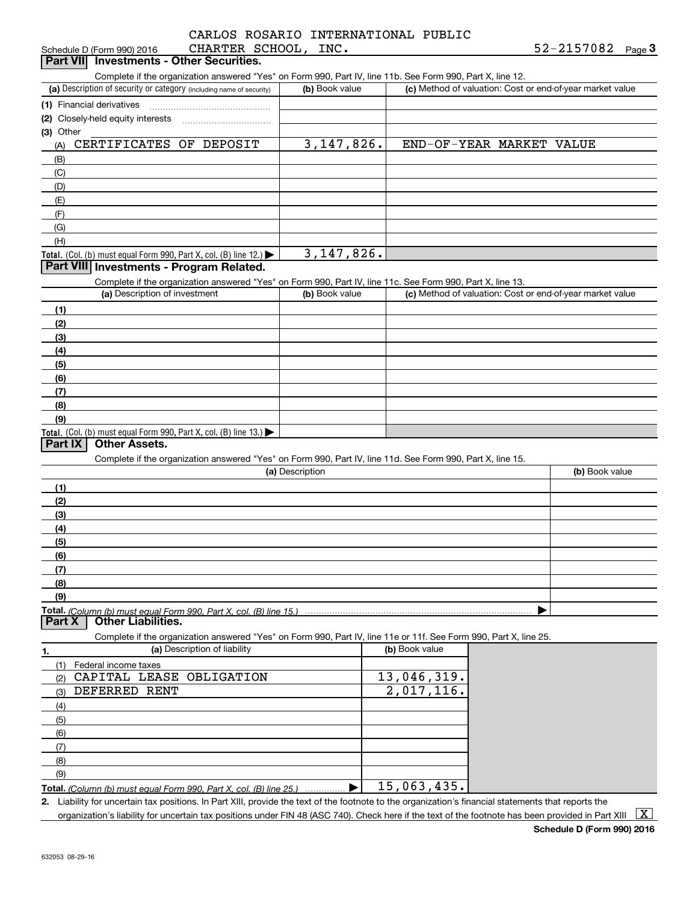| <b>Dart VII</b> Investments - Other Securities |                                     |      |            |      |
|------------------------------------------------|-------------------------------------|------|------------|------|
| Schedule D (Form 990) 2016                     | CHARTER SCHOOL, T                   | INC. | 52-2157082 | Page |
|                                                | CARLOS ROSARIO INTERNATIONAL PUBLIC |      |            |      |

| Complete if the organization answered "Yes" on Form 990, Part IV, line 11b. See Form 990, Part X, line 12.                                                       |                 |                |                          |                                                           |
|------------------------------------------------------------------------------------------------------------------------------------------------------------------|-----------------|----------------|--------------------------|-----------------------------------------------------------|
| (a) Description of security or category (including name of security)                                                                                             | (b) Book value  |                |                          | (c) Method of valuation: Cost or end-of-year market value |
| (1) Financial derivatives                                                                                                                                        |                 |                |                          |                                                           |
| (2) Closely-held equity interests                                                                                                                                |                 |                |                          |                                                           |
| (3) Other                                                                                                                                                        |                 |                |                          |                                                           |
| CERTIFICATES OF DEPOSIT<br>(A)                                                                                                                                   | 3, 147, 826.    |                | END-OF-YEAR MARKET VALUE |                                                           |
| (B)                                                                                                                                                              |                 |                |                          |                                                           |
| (C)                                                                                                                                                              |                 |                |                          |                                                           |
| (D)                                                                                                                                                              |                 |                |                          |                                                           |
| (E)                                                                                                                                                              |                 |                |                          |                                                           |
| (F)                                                                                                                                                              |                 |                |                          |                                                           |
| (G)                                                                                                                                                              |                 |                |                          |                                                           |
| (H)                                                                                                                                                              |                 |                |                          |                                                           |
| Total. (Col. (b) must equal Form 990, Part X, col. (B) line 12.) $\blacktriangleright$                                                                           | 3, 147, 826.    |                |                          |                                                           |
| Part VIII Investments - Program Related.                                                                                                                         |                 |                |                          |                                                           |
| Complete if the organization answered "Yes" on Form 990, Part IV, line 11c. See Form 990, Part X, line 13.                                                       |                 |                |                          |                                                           |
| (a) Description of investment                                                                                                                                    | (b) Book value  |                |                          | (c) Method of valuation: Cost or end-of-year market value |
| (1)                                                                                                                                                              |                 |                |                          |                                                           |
| (2)                                                                                                                                                              |                 |                |                          |                                                           |
| (3)                                                                                                                                                              |                 |                |                          |                                                           |
| (4)                                                                                                                                                              |                 |                |                          |                                                           |
| (5)                                                                                                                                                              |                 |                |                          |                                                           |
| (6)                                                                                                                                                              |                 |                |                          |                                                           |
| (7)                                                                                                                                                              |                 |                |                          |                                                           |
| (8)                                                                                                                                                              |                 |                |                          |                                                           |
|                                                                                                                                                                  |                 |                |                          |                                                           |
|                                                                                                                                                                  |                 |                |                          |                                                           |
|                                                                                                                                                                  |                 |                |                          |                                                           |
| (9)<br>Total. (Col. (b) must equal Form 990, Part X, col. (B) line 13.)                                                                                          |                 |                |                          |                                                           |
| Part IX<br><b>Other Assets.</b>                                                                                                                                  |                 |                |                          |                                                           |
| Complete if the organization answered "Yes" on Form 990, Part IV, line 11d. See Form 990, Part X, line 15.                                                       |                 |                |                          |                                                           |
|                                                                                                                                                                  | (a) Description |                |                          | (b) Book value                                            |
| (1)                                                                                                                                                              |                 |                |                          |                                                           |
| (2)                                                                                                                                                              |                 |                |                          |                                                           |
| (3)                                                                                                                                                              |                 |                |                          |                                                           |
|                                                                                                                                                                  |                 |                |                          |                                                           |
|                                                                                                                                                                  |                 |                |                          |                                                           |
|                                                                                                                                                                  |                 |                |                          |                                                           |
|                                                                                                                                                                  |                 |                |                          |                                                           |
|                                                                                                                                                                  |                 |                |                          |                                                           |
|                                                                                                                                                                  |                 |                |                          |                                                           |
|                                                                                                                                                                  |                 |                |                          |                                                           |
| <b>Other Liabilities.</b>                                                                                                                                        |                 |                |                          |                                                           |
| Complete if the organization answered "Yes" on Form 990, Part IV, line 11e or 11f. See Form 990, Part X, line 25.                                                |                 |                |                          |                                                           |
| (a) Description of liability                                                                                                                                     |                 | (b) Book value |                          |                                                           |
| Federal income taxes                                                                                                                                             |                 |                |                          |                                                           |
| CAPITAL LEASE OBLIGATION                                                                                                                                         |                 | 13,046,319.    |                          |                                                           |
| DEFERRED RENT                                                                                                                                                    |                 | 2,017,116.     |                          |                                                           |
|                                                                                                                                                                  |                 |                |                          |                                                           |
|                                                                                                                                                                  |                 |                |                          |                                                           |
|                                                                                                                                                                  |                 |                |                          |                                                           |
| (4)<br>(5)<br>(6)<br>(7)<br>(8)<br>(9)<br>Total. (Column (b) must equal Form 990. Part X. col. (B) line 15.)<br>Part X<br>(1)<br>(2)<br>(3)<br>(4)<br>(5)<br>(6) |                 |                |                          |                                                           |
|                                                                                                                                                                  |                 |                |                          |                                                           |
| (7)<br>(8)<br>(9)                                                                                                                                                |                 |                |                          |                                                           |

organization's liability for uncertain tax positions under FIN 48 (ASC 740). Check here if the text of the footnote has been provided in Part XIII  $~\boxed{\rm X}$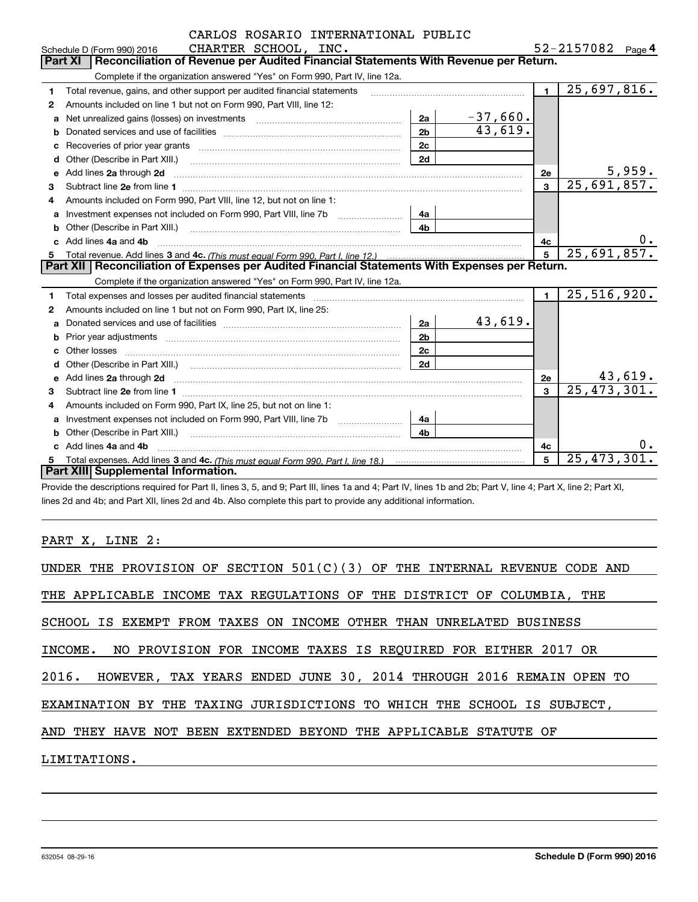|    | CARLOS ROSARIO INTERNATIONAL PUBLIC                                                                                                                                                                                                 |                |            |                |                           |       |
|----|-------------------------------------------------------------------------------------------------------------------------------------------------------------------------------------------------------------------------------------|----------------|------------|----------------|---------------------------|-------|
|    | CHARTER SCHOOL, INC.<br>Schedule D (Form 990) 2016                                                                                                                                                                                  |                |            |                | 52-2157082 Page 4         |       |
|    | Reconciliation of Revenue per Audited Financial Statements With Revenue per Return.<br><b>Part XI</b>                                                                                                                               |                |            |                |                           |       |
|    | Complete if the organization answered "Yes" on Form 990, Part IV, line 12a.                                                                                                                                                         |                |            |                |                           |       |
| 1  | Total revenue, gains, and other support per audited financial statements                                                                                                                                                            |                |            | $\blacksquare$ | 25,697,816.               |       |
| 2  | Amounts included on line 1 but not on Form 990, Part VIII, line 12:                                                                                                                                                                 |                |            |                |                           |       |
| a  | Net unrealized gains (losses) on investments [11] matter contracts and the unrealized gains (losses) on investments                                                                                                                 | 2a             | $-37,660.$ |                |                           |       |
|    |                                                                                                                                                                                                                                     | 2 <sub>b</sub> | 43,619.    |                |                           |       |
|    |                                                                                                                                                                                                                                     | 2c             |            |                |                           |       |
| d  | Other (Describe in Part XIII.) <b>Construction Contract Construction</b> Chemical Construction Chemical Chemical Chemical Chemical Chemical Chemical Chemical Chemical Chemical Chemical Chemical Chemical Chemical Chemical Chemic | 2d             |            |                |                           |       |
| е  | Add lines 2a through 2d                                                                                                                                                                                                             |                |            | <b>2e</b>      | 5,959.                    |       |
| 3  | Subtract line 2e from line 1                                                                                                                                                                                                        |                |            | 3              | $\overline{25,691,857}$ . |       |
| 4  | Amounts included on Form 990, Part VIII, line 12, but not on line 1:                                                                                                                                                                |                |            |                |                           |       |
| a  |                                                                                                                                                                                                                                     | 4a             |            |                |                           |       |
|    |                                                                                                                                                                                                                                     | 4 <sub>b</sub> |            |                |                           |       |
| c. | Add lines 4a and 4b                                                                                                                                                                                                                 |                |            | 4c             |                           | $0$ . |
| 5  |                                                                                                                                                                                                                                     |                |            | 5              | 25,691,857.               |       |
|    | Part XII   Reconciliation of Expenses per Audited Financial Statements With Expenses per Return.                                                                                                                                    |                |            |                |                           |       |
|    | Complete if the organization answered "Yes" on Form 990, Part IV, line 12a.                                                                                                                                                         |                |            |                |                           |       |
| 1  |                                                                                                                                                                                                                                     |                |            | $\mathbf{1}$   | 25,516,920.               |       |
| 2  | Amounts included on line 1 but not on Form 990, Part IX, line 25:                                                                                                                                                                   |                |            |                |                           |       |
| a  |                                                                                                                                                                                                                                     | 2a             | 43,619.    |                |                           |       |
|    |                                                                                                                                                                                                                                     | 2 <sub>b</sub> |            |                |                           |       |
|    |                                                                                                                                                                                                                                     | 2c             |            |                |                           |       |
| d  |                                                                                                                                                                                                                                     | 2d             |            |                |                           |       |
| е  | Add lines 2a through 2d <b>contract and a contract and a contract a</b> contract a contract and a contract a contract a                                                                                                             |                |            | 2e             | 43,619.                   |       |
| 3  |                                                                                                                                                                                                                                     |                |            | 3              | 25,473,301.               |       |
| 4  | Amounts included on Form 990, Part IX, line 25, but not on line 1:                                                                                                                                                                  |                |            |                |                           |       |
| a  |                                                                                                                                                                                                                                     | 4a             |            |                |                           |       |
| b  | Other (Describe in Part XIII.) (2000) (2000) (2000) (2010) (2010) (2010) (2010) (2010) (2010) (2010) (2010) (20                                                                                                                     | 4 <sub>h</sub> |            |                |                           |       |
|    | Add lines 4a and 4b                                                                                                                                                                                                                 |                |            | 4c             |                           |       |
| 5  |                                                                                                                                                                                                                                     |                |            | 5              | 25, 473, 301.             |       |
|    | Part XIII Supplemental Information.                                                                                                                                                                                                 |                |            |                |                           |       |

Provide the descriptions required for Part II, lines 3, 5, and 9; Part III, lines 1a and 4; Part IV, lines 1b and 2b; Part V, line 4; Part X, line 2; Part XI, lines 2d and 4b; and Part XII, lines 2d and 4b. Also complete this part to provide any additional information.

## PART X, LINE 2: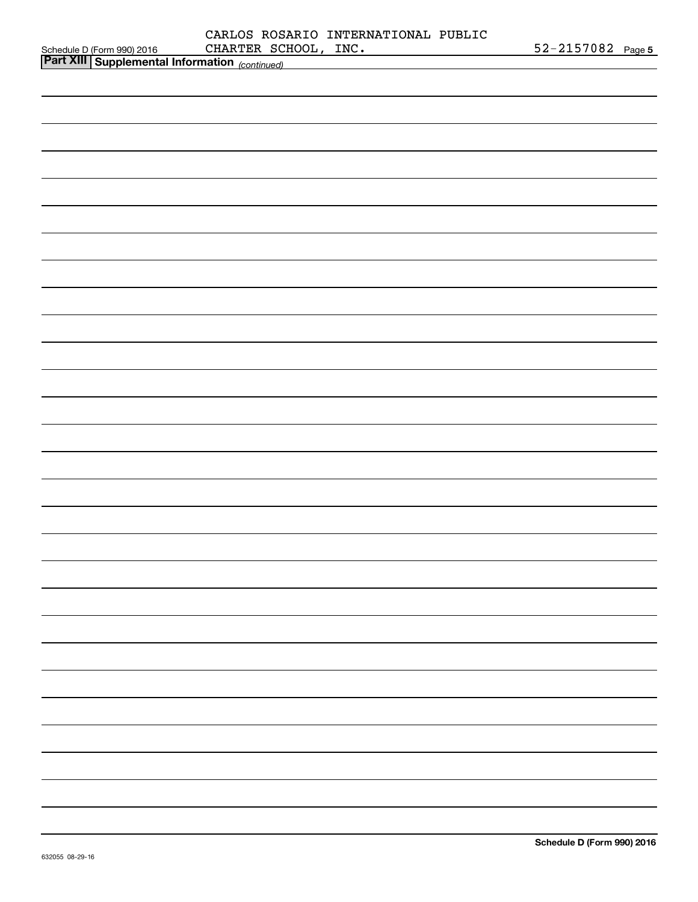|                                                                                                              | CARLOS ROSARIO INTERNATIONAL PUBLIC<br>CHARTER SCHOOL, INC. | 52-2157082 Page 5 |  |
|--------------------------------------------------------------------------------------------------------------|-------------------------------------------------------------|-------------------|--|
| Schedule D (Form 990) 2016 CHARTER SCHOOL, INC.<br>Part XIII Supplemental Information <sub>(continued)</sub> |                                                             |                   |  |
|                                                                                                              |                                                             |                   |  |
|                                                                                                              |                                                             |                   |  |
|                                                                                                              |                                                             |                   |  |
|                                                                                                              |                                                             |                   |  |
|                                                                                                              |                                                             |                   |  |
|                                                                                                              |                                                             |                   |  |
|                                                                                                              |                                                             |                   |  |
|                                                                                                              |                                                             |                   |  |
|                                                                                                              |                                                             |                   |  |
|                                                                                                              |                                                             |                   |  |
|                                                                                                              |                                                             |                   |  |
|                                                                                                              |                                                             |                   |  |
|                                                                                                              |                                                             |                   |  |
|                                                                                                              |                                                             |                   |  |
|                                                                                                              |                                                             |                   |  |
|                                                                                                              |                                                             |                   |  |
|                                                                                                              |                                                             |                   |  |
|                                                                                                              |                                                             |                   |  |
|                                                                                                              |                                                             |                   |  |
|                                                                                                              |                                                             |                   |  |
|                                                                                                              |                                                             |                   |  |
|                                                                                                              |                                                             |                   |  |
|                                                                                                              |                                                             |                   |  |
|                                                                                                              |                                                             |                   |  |
|                                                                                                              |                                                             |                   |  |
|                                                                                                              |                                                             |                   |  |
|                                                                                                              |                                                             |                   |  |
|                                                                                                              |                                                             |                   |  |
|                                                                                                              |                                                             |                   |  |
|                                                                                                              |                                                             |                   |  |
|                                                                                                              |                                                             |                   |  |
|                                                                                                              |                                                             |                   |  |
|                                                                                                              |                                                             |                   |  |
|                                                                                                              |                                                             |                   |  |
|                                                                                                              |                                                             |                   |  |
|                                                                                                              |                                                             |                   |  |
|                                                                                                              |                                                             |                   |  |
|                                                                                                              |                                                             |                   |  |
|                                                                                                              |                                                             |                   |  |
|                                                                                                              |                                                             |                   |  |
|                                                                                                              |                                                             |                   |  |
|                                                                                                              |                                                             |                   |  |
|                                                                                                              |                                                             |                   |  |
|                                                                                                              |                                                             |                   |  |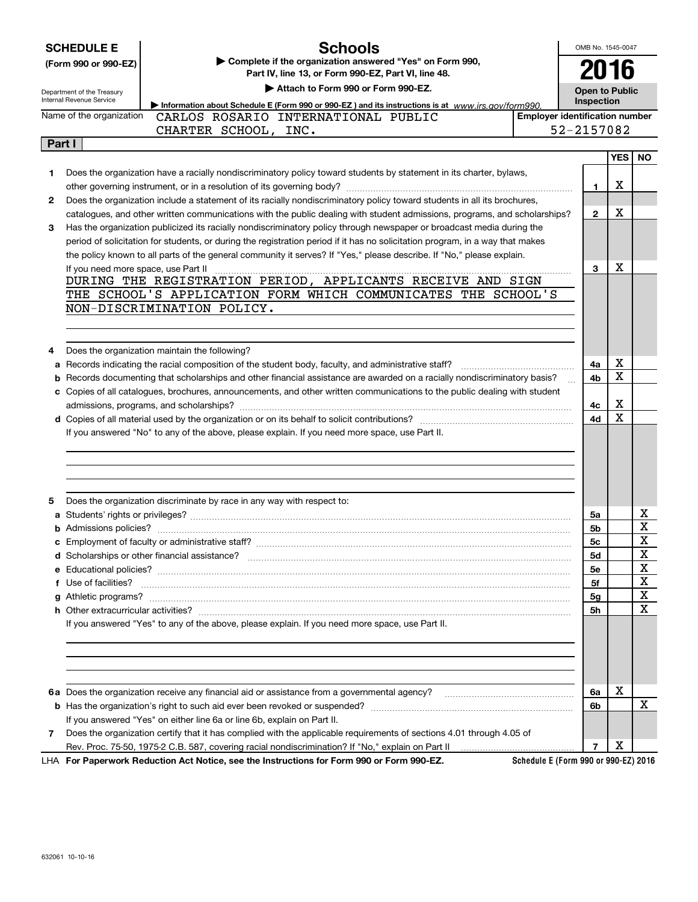|        | <b>SCHEDULE E</b>                                             | <b>Schools</b>                                                                                                                                                                                                                                        | OMB No. 1545-0047     |                                       |           |  |  |  |
|--------|---------------------------------------------------------------|-------------------------------------------------------------------------------------------------------------------------------------------------------------------------------------------------------------------------------------------------------|-----------------------|---------------------------------------|-----------|--|--|--|
|        | (Form 990 or 990-EZ)                                          | Complete if the organization answered "Yes" on Form 990,                                                                                                                                                                                              | 2016                  |                                       |           |  |  |  |
|        |                                                               | Part IV, line 13, or Form 990-EZ, Part VI, line 48.                                                                                                                                                                                                   |                       |                                       |           |  |  |  |
|        | Department of the Treasury<br><b>Internal Revenue Service</b> | Attach to Form 990 or Form 990-EZ.                                                                                                                                                                                                                    | <b>Open to Public</b> |                                       |           |  |  |  |
|        |                                                               | Information about Schedule E (Form 990 or 990-EZ) and its instructions is at www.irs.gov/form990.                                                                                                                                                     |                       | Inspection                            |           |  |  |  |
|        | Name of the organization                                      | CARLOS ROSARIO INTERNATIONAL PUBLIC                                                                                                                                                                                                                   |                       | <b>Employer identification number</b> |           |  |  |  |
|        |                                                               | CHARTER SCHOOL, INC.                                                                                                                                                                                                                                  | 52-2157082            |                                       |           |  |  |  |
| Part I |                                                               |                                                                                                                                                                                                                                                       |                       |                                       |           |  |  |  |
|        |                                                               |                                                                                                                                                                                                                                                       |                       | YES                                   | <b>NO</b> |  |  |  |
| 1      |                                                               | Does the organization have a racially nondiscriminatory policy toward students by statement in its charter, bylaws,                                                                                                                                   |                       | X                                     |           |  |  |  |
| 2      |                                                               |                                                                                                                                                                                                                                                       | 1                     |                                       |           |  |  |  |
|        |                                                               | Does the organization include a statement of its racially nondiscriminatory policy toward students in all its brochures,<br>catalogues, and other written communications with the public dealing with student admissions, programs, and scholarships? | $\mathbf{2}$          | X                                     |           |  |  |  |
| 3      |                                                               | Has the organization publicized its racially nondiscriminatory policy through newspaper or broadcast media during the                                                                                                                                 |                       |                                       |           |  |  |  |
|        |                                                               | period of solicitation for students, or during the registration period if it has no solicitation program, in a way that makes                                                                                                                         |                       |                                       |           |  |  |  |
|        |                                                               | the policy known to all parts of the general community it serves? If "Yes," please describe. If "No," please explain.                                                                                                                                 |                       |                                       |           |  |  |  |
|        | If you need more space, use Part II                           |                                                                                                                                                                                                                                                       | 3                     | х                                     |           |  |  |  |
|        |                                                               | DURING THE REGISTRATION PERIOD, APPLICANTS RECEIVE AND SIGN                                                                                                                                                                                           |                       |                                       |           |  |  |  |
|        |                                                               | THE SCHOOL'S APPLICATION FORM WHICH COMMUNICATES THE SCHOOL'S                                                                                                                                                                                         |                       |                                       |           |  |  |  |
|        |                                                               | NON-DISCRIMINATION POLICY.                                                                                                                                                                                                                            |                       |                                       |           |  |  |  |
|        |                                                               |                                                                                                                                                                                                                                                       |                       |                                       |           |  |  |  |
|        |                                                               |                                                                                                                                                                                                                                                       |                       |                                       |           |  |  |  |
| 4      |                                                               | Does the organization maintain the following?                                                                                                                                                                                                         |                       |                                       |           |  |  |  |
| а      |                                                               | Records indicating the racial composition of the student body, faculty, and administrative staff?                                                                                                                                                     | 4a                    | х                                     |           |  |  |  |
| b      |                                                               | Records documenting that scholarships and other financial assistance are awarded on a racially nondiscriminatory basis?                                                                                                                               | 4b                    | X                                     |           |  |  |  |
|        |                                                               | c Copies of all catalogues, brochures, announcements, and other written communications to the public dealing with student                                                                                                                             |                       |                                       |           |  |  |  |
|        |                                                               |                                                                                                                                                                                                                                                       | 4с                    | X                                     |           |  |  |  |
|        |                                                               |                                                                                                                                                                                                                                                       | 4d                    | X                                     |           |  |  |  |
|        |                                                               | If you answered "No" to any of the above, please explain. If you need more space, use Part II.                                                                                                                                                        |                       |                                       |           |  |  |  |
|        |                                                               |                                                                                                                                                                                                                                                       |                       |                                       |           |  |  |  |
|        |                                                               |                                                                                                                                                                                                                                                       |                       |                                       |           |  |  |  |
|        |                                                               |                                                                                                                                                                                                                                                       |                       |                                       |           |  |  |  |
| 5      |                                                               | Does the organization discriminate by race in any way with respect to:                                                                                                                                                                                |                       |                                       |           |  |  |  |
|        |                                                               |                                                                                                                                                                                                                                                       | 5a                    |                                       | х         |  |  |  |
|        |                                                               |                                                                                                                                                                                                                                                       | 5b                    |                                       | X         |  |  |  |
|        |                                                               | <b>c</b> Employment of faculty or administrative staff?                                                                                                                                                                                               | 5c                    |                                       | X         |  |  |  |
|        |                                                               |                                                                                                                                                                                                                                                       | 5d                    |                                       | X         |  |  |  |
|        |                                                               |                                                                                                                                                                                                                                                       | 5е                    |                                       | х         |  |  |  |
|        | f Use of facilities?                                          |                                                                                                                                                                                                                                                       | 5f                    |                                       | X         |  |  |  |
|        |                                                               |                                                                                                                                                                                                                                                       | 5g                    |                                       | X         |  |  |  |
|        |                                                               |                                                                                                                                                                                                                                                       | 5h                    |                                       | X         |  |  |  |
|        |                                                               | If you answered "Yes" to any of the above, please explain. If you need more space, use Part II.                                                                                                                                                       |                       |                                       |           |  |  |  |
|        |                                                               |                                                                                                                                                                                                                                                       |                       |                                       |           |  |  |  |
|        |                                                               |                                                                                                                                                                                                                                                       |                       |                                       |           |  |  |  |
|        |                                                               |                                                                                                                                                                                                                                                       |                       |                                       |           |  |  |  |
|        |                                                               |                                                                                                                                                                                                                                                       |                       |                                       |           |  |  |  |
|        |                                                               | 6a Does the organization receive any financial aid or assistance from a governmental agency?                                                                                                                                                          | 6a                    | X                                     |           |  |  |  |
|        |                                                               |                                                                                                                                                                                                                                                       | 6b                    |                                       | x         |  |  |  |
|        |                                                               | If you answered "Yes" on either line 6a or line 6b, explain on Part II.                                                                                                                                                                               |                       |                                       |           |  |  |  |
| 7      |                                                               | Does the organization certify that it has complied with the applicable requirements of sections 4.01 through 4.05 of                                                                                                                                  |                       | X                                     |           |  |  |  |
|        |                                                               |                                                                                                                                                                                                                                                       | $\overline{7}$        |                                       |           |  |  |  |

**For Paperwork Reduction Act Notice, see the Instructions for Form 990 or Form 990-EZ.** LHA

**Schedule E (Form 990 or 990-EZ) 2016**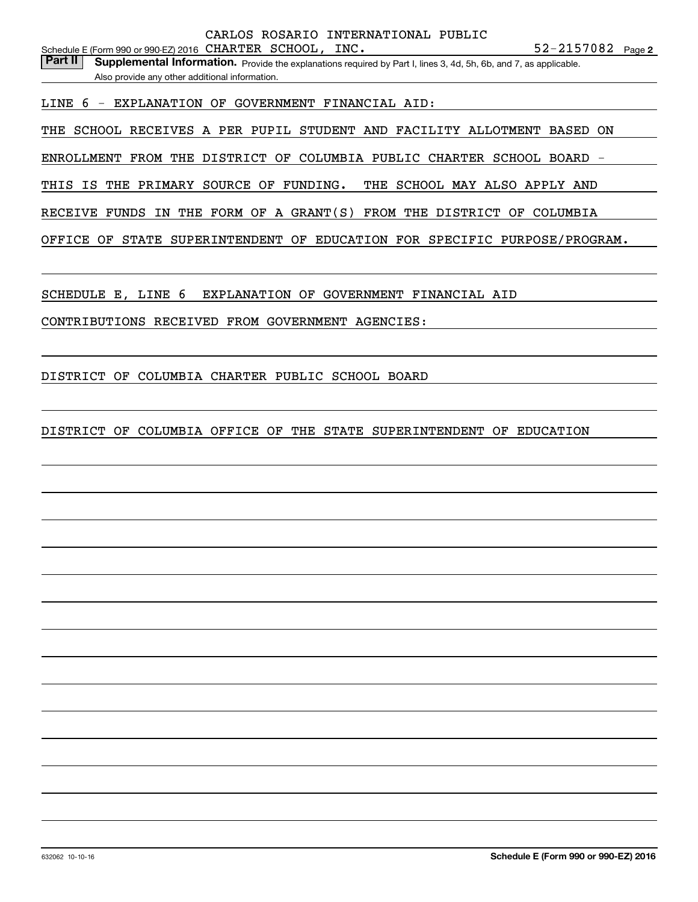Part II | Supplemental Information. Provide the explanations required by Part I, lines 3, 4d, 5h, 6b, and 7, as applicable. Also provide any other additional information.

LINE 6 - EXPLANATION OF GOVERNMENT FINANCIAL AID:

THE SCHOOL RECEIVES A PER PUPIL STUDENT AND FACILITY ALLOTMENT BASED ON

ENROLLMENT FROM THE DISTRICT OF COLUMBIA PUBLIC CHARTER SCHOOL BOARD -

THIS IS THE PRIMARY SOURCE OF FUNDING. THE SCHOOL MAY ALSO APPLY AND

RECEIVE FUNDS IN THE FORM OF A GRANT(S) FROM THE DISTRICT OF COLUMBIA

OFFICE OF STATE SUPERINTENDENT OF EDUCATION FOR SPECIFIC PURPOSE/PROGRAM.

SCHEDULE E, LINE 6 EXPLANATION OF GOVERNMENT FINANCIAL AID

CONTRIBUTIONS RECEIVED FROM GOVERNMENT AGENCIES:

DISTRICT OF COLUMBIA CHARTER PUBLIC SCHOOL BOARD

DISTRICT OF COLUMBIA OFFICE OF THE STATE SUPERINTENDENT OF EDUCATION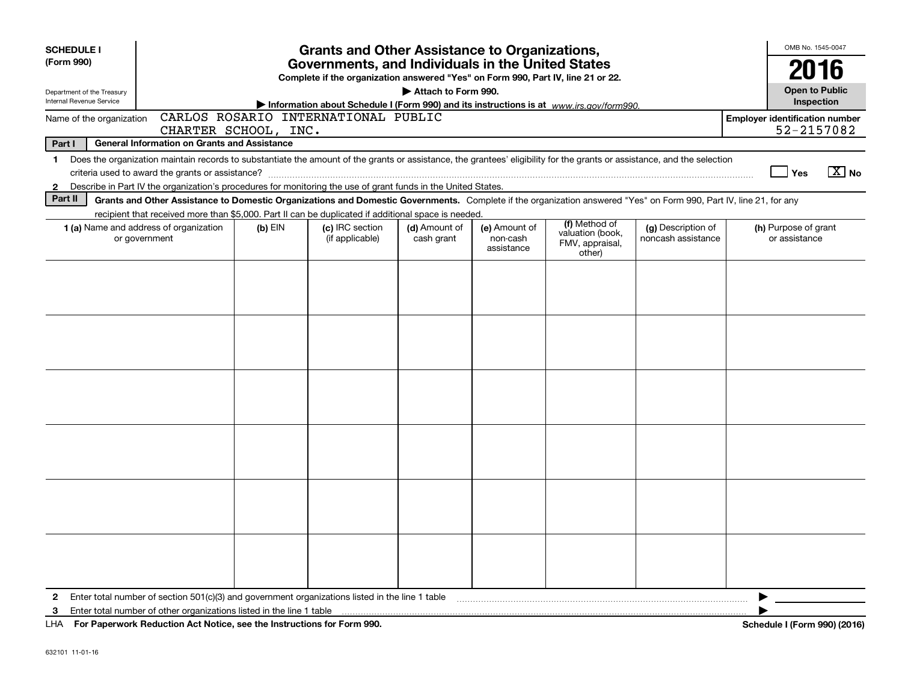| <b>SCHEDULE I</b>                                      |                                                                                                                                                                                                                                                                                                                           |                      | <b>Grants and Other Assistance to Organizations,</b>                                                                                  |                             |                                         |                                                                                         |                                          | OMB No. 1545-0047                                   |
|--------------------------------------------------------|---------------------------------------------------------------------------------------------------------------------------------------------------------------------------------------------------------------------------------------------------------------------------------------------------------------------------|----------------------|---------------------------------------------------------------------------------------------------------------------------------------|-----------------------------|-----------------------------------------|-----------------------------------------------------------------------------------------|------------------------------------------|-----------------------------------------------------|
| (Form 990)                                             |                                                                                                                                                                                                                                                                                                                           |                      | Governments, and Individuals in the United States<br>Complete if the organization answered "Yes" on Form 990, Part IV, line 21 or 22. |                             |                                         |                                                                                         |                                          | 2016                                                |
| Department of the Treasury<br>Internal Revenue Service |                                                                                                                                                                                                                                                                                                                           |                      |                                                                                                                                       | Attach to Form 990.         |                                         | Information about Schedule I (Form 990) and its instructions is at www.irs.gov/form990. |                                          | <b>Open to Public</b><br>Inspection                 |
| Name of the organization                               |                                                                                                                                                                                                                                                                                                                           | CHARTER SCHOOL, INC. | CARLOS ROSARIO INTERNATIONAL PUBLIC                                                                                                   |                             |                                         |                                                                                         |                                          | <b>Employer identification number</b><br>52-2157082 |
| Part I                                                 | <b>General Information on Grants and Assistance</b>                                                                                                                                                                                                                                                                       |                      |                                                                                                                                       |                             |                                         |                                                                                         |                                          |                                                     |
| $\mathbf 1$<br>$\mathbf{2}$                            | Does the organization maintain records to substantiate the amount of the grants or assistance, the grantees' eligibility for the grants or assistance, and the selection<br>Describe in Part IV the organization's procedures for monitoring the use of grant funds in the United States.                                 |                      |                                                                                                                                       |                             |                                         |                                                                                         |                                          | $X$ No<br>Yes                                       |
| Part II                                                | Grants and Other Assistance to Domestic Organizations and Domestic Governments. Complete if the organization answered "Yes" on Form 990, Part IV, line 21, for any<br>recipient that received more than \$5,000. Part II can be duplicated if additional space is needed.                                                 |                      |                                                                                                                                       |                             |                                         |                                                                                         |                                          |                                                     |
|                                                        | <b>1 (a)</b> Name and address of organization<br>or government                                                                                                                                                                                                                                                            | $(b)$ EIN            | (c) IRC section<br>(if applicable)                                                                                                    | (d) Amount of<br>cash grant | (e) Amount of<br>non-cash<br>assistance | (f) Method of<br>valuation (book,<br>FMV, appraisal,<br>other)                          | (g) Description of<br>noncash assistance | (h) Purpose of grant<br>or assistance               |
|                                                        |                                                                                                                                                                                                                                                                                                                           |                      |                                                                                                                                       |                             |                                         |                                                                                         |                                          |                                                     |
|                                                        |                                                                                                                                                                                                                                                                                                                           |                      |                                                                                                                                       |                             |                                         |                                                                                         |                                          |                                                     |
|                                                        |                                                                                                                                                                                                                                                                                                                           |                      |                                                                                                                                       |                             |                                         |                                                                                         |                                          |                                                     |
|                                                        |                                                                                                                                                                                                                                                                                                                           |                      |                                                                                                                                       |                             |                                         |                                                                                         |                                          |                                                     |
|                                                        |                                                                                                                                                                                                                                                                                                                           |                      |                                                                                                                                       |                             |                                         |                                                                                         |                                          |                                                     |
|                                                        |                                                                                                                                                                                                                                                                                                                           |                      |                                                                                                                                       |                             |                                         |                                                                                         |                                          |                                                     |
| 2<br>3                                                 | Enter total number of section 501(c)(3) and government organizations listed in the line 1 table manufactured in the manufactured in the state of the finance of the state of the state of the state of the state of the line 1<br>LITA DE LA PRANADA LA PROVINCIA A LA NICATA DEL CALIFICA DE LA CALIFICACIÓN DE LA CALIF |                      |                                                                                                                                       |                             |                                         |                                                                                         |                                          | 1.107000100401                                      |

**For Paperwork Reduction Act Notice, see the Instructions for Form 990. Schedule I (Form 990) (2016)** LHA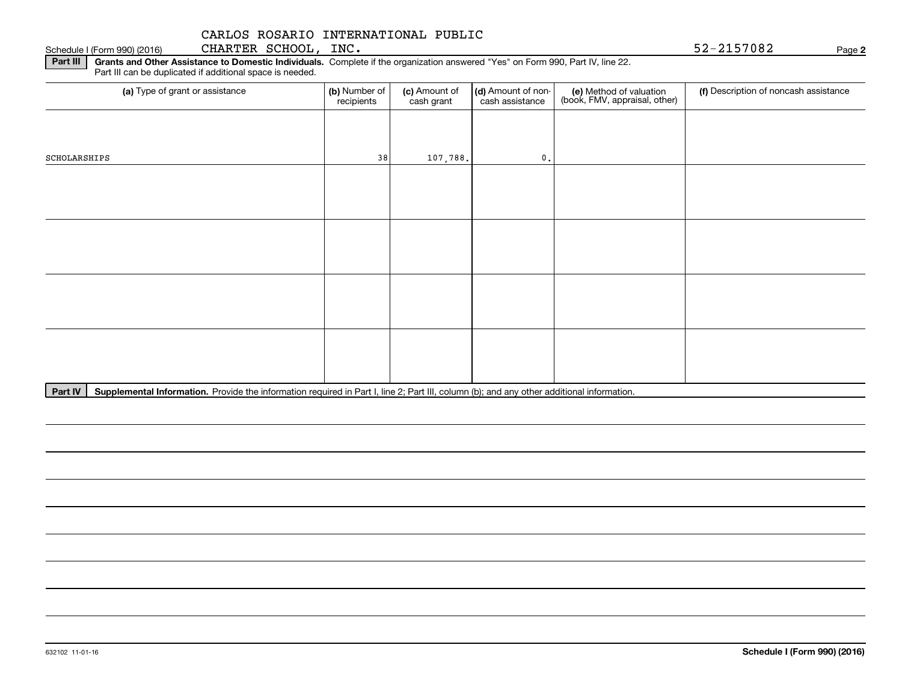Schedule I (Form 990) (2016) CHARTER SCHOOL, INC. 5 2-21570 8 2 Page

**2**

**Part III | Grants and Other Assistance to Domestic Individuals. Complete if the organization answered "Yes" on Form 990, Part IV, line 22.** Part III can be duplicated if additional space is needed.

| (a) Type of grant or assistance | (b) Number of<br>recipients | (c) Amount of<br>cash grant | (d) Amount of non-<br>cash assistance | (e) Method of valuation<br>(book, FMV, appraisal, other) | (f) Description of noncash assistance |
|---------------------------------|-----------------------------|-----------------------------|---------------------------------------|----------------------------------------------------------|---------------------------------------|
|                                 |                             |                             |                                       |                                                          |                                       |
| SCHOLARSHIPS                    | 38                          | 107,788.                    | $\mathbf{0}$ .                        |                                                          |                                       |
|                                 |                             |                             |                                       |                                                          |                                       |
|                                 |                             |                             |                                       |                                                          |                                       |
|                                 |                             |                             |                                       |                                                          |                                       |
|                                 |                             |                             |                                       |                                                          |                                       |
|                                 |                             |                             |                                       |                                                          |                                       |
|                                 |                             |                             |                                       |                                                          |                                       |
|                                 |                             |                             |                                       |                                                          |                                       |
|                                 |                             |                             |                                       |                                                          |                                       |
|                                 |                             |                             |                                       |                                                          |                                       |

Part IV | Supplemental Information. Provide the information required in Part I, line 2; Part III, column (b); and any other additional information.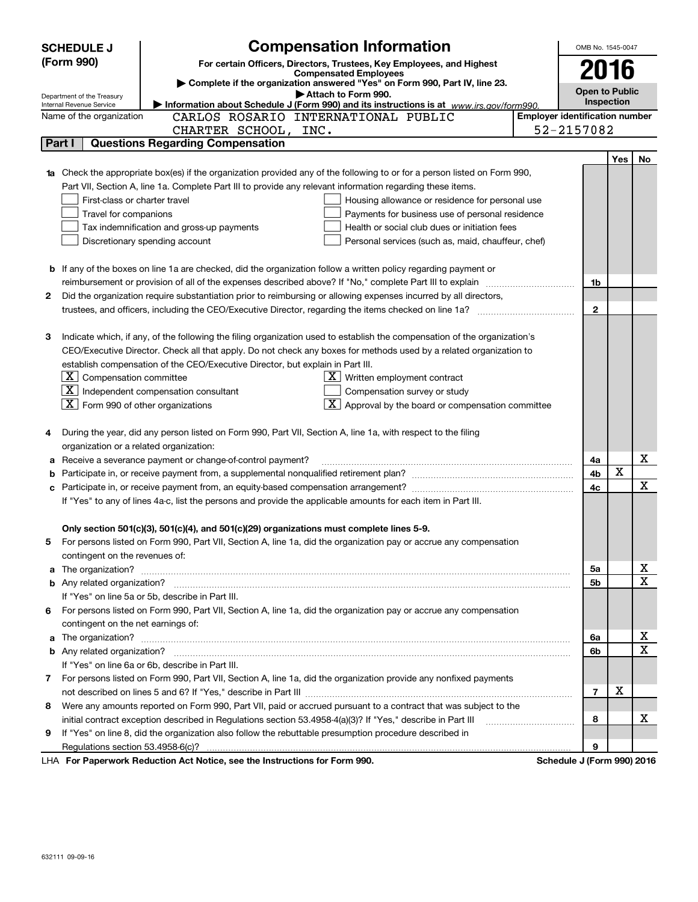|   | <b>SCHEDULE J</b>                       | <b>Compensation Information</b>                                                                                                                                                                                                      |                                       |                | OMB No. 1545-0047     |                         |  |  |
|---|-----------------------------------------|--------------------------------------------------------------------------------------------------------------------------------------------------------------------------------------------------------------------------------------|---------------------------------------|----------------|-----------------------|-------------------------|--|--|
|   | (Form 990)                              | For certain Officers, Directors, Trustees, Key Employees, and Highest                                                                                                                                                                |                                       |                |                       |                         |  |  |
|   |                                         | <b>Compensated Employees</b><br>Complete if the organization answered "Yes" on Form 990, Part IV, line 23.                                                                                                                           |                                       |                | 2016                  |                         |  |  |
|   | Department of the Treasury              | Attach to Form 990.                                                                                                                                                                                                                  |                                       |                | <b>Open to Public</b> |                         |  |  |
|   | Internal Revenue Service                | Information about Schedule J (Form 990) and its instructions is at www.irs.gov/form990.                                                                                                                                              |                                       | Inspection     |                       |                         |  |  |
|   | Name of the organization                | CARLOS ROSARIO INTERNATIONAL PUBLIC                                                                                                                                                                                                  | <b>Employer identification number</b> |                |                       |                         |  |  |
|   |                                         | CHARTER SCHOOL, INC.                                                                                                                                                                                                                 | 52-2157082                            |                |                       |                         |  |  |
|   | Part I                                  | <b>Questions Regarding Compensation</b>                                                                                                                                                                                              |                                       |                |                       |                         |  |  |
|   |                                         |                                                                                                                                                                                                                                      |                                       |                | Yes                   | No                      |  |  |
|   |                                         | 1a Check the appropriate box(es) if the organization provided any of the following to or for a person listed on Form 990,                                                                                                            |                                       |                |                       |                         |  |  |
|   |                                         | Part VII, Section A, line 1a. Complete Part III to provide any relevant information regarding these items.                                                                                                                           |                                       |                |                       |                         |  |  |
|   | First-class or charter travel           | Housing allowance or residence for personal use                                                                                                                                                                                      |                                       |                |                       |                         |  |  |
|   | Travel for companions                   | Payments for business use of personal residence                                                                                                                                                                                      |                                       |                |                       |                         |  |  |
|   |                                         | Tax indemnification and gross-up payments<br>Health or social club dues or initiation fees                                                                                                                                           |                                       |                |                       |                         |  |  |
|   |                                         | Discretionary spending account<br>Personal services (such as, maid, chauffeur, chef)                                                                                                                                                 |                                       |                |                       |                         |  |  |
|   |                                         |                                                                                                                                                                                                                                      |                                       |                |                       |                         |  |  |
|   |                                         | <b>b</b> If any of the boxes on line 1a are checked, did the organization follow a written policy regarding payment or                                                                                                               |                                       |                |                       |                         |  |  |
|   |                                         | reimbursement or provision of all of the expenses described above? If "No," complete Part III to explain                                                                                                                             |                                       | 1b             |                       |                         |  |  |
| 2 |                                         | Did the organization require substantiation prior to reimbursing or allowing expenses incurred by all directors,                                                                                                                     |                                       |                |                       |                         |  |  |
|   |                                         |                                                                                                                                                                                                                                      |                                       | $\mathbf{2}$   |                       |                         |  |  |
|   |                                         |                                                                                                                                                                                                                                      |                                       |                |                       |                         |  |  |
| З |                                         | Indicate which, if any, of the following the filing organization used to establish the compensation of the organization's                                                                                                            |                                       |                |                       |                         |  |  |
|   |                                         | CEO/Executive Director. Check all that apply. Do not check any boxes for methods used by a related organization to                                                                                                                   |                                       |                |                       |                         |  |  |
|   |                                         | establish compensation of the CEO/Executive Director, but explain in Part III.                                                                                                                                                       |                                       |                |                       |                         |  |  |
|   | $X$ Compensation committee              | $X$ Written employment contract                                                                                                                                                                                                      |                                       |                |                       |                         |  |  |
|   |                                         | $X$ Independent compensation consultant<br>Compensation survey or study                                                                                                                                                              |                                       |                |                       |                         |  |  |
|   | $X$ Form 990 of other organizations     | $\lfloor x \rfloor$ Approval by the board or compensation committee                                                                                                                                                                  |                                       |                |                       |                         |  |  |
| 4 |                                         | During the year, did any person listed on Form 990, Part VII, Section A, line 1a, with respect to the filing                                                                                                                         |                                       |                |                       |                         |  |  |
|   | organization or a related organization: |                                                                                                                                                                                                                                      |                                       |                |                       |                         |  |  |
| а |                                         | Receive a severance payment or change-of-control payment?                                                                                                                                                                            |                                       | 4a             |                       | Х                       |  |  |
| b |                                         |                                                                                                                                                                                                                                      |                                       | 4b             | X                     |                         |  |  |
|   |                                         |                                                                                                                                                                                                                                      |                                       | 4c             |                       | $\mathbf X$             |  |  |
|   |                                         | If "Yes" to any of lines 4a-c, list the persons and provide the applicable amounts for each item in Part III.                                                                                                                        |                                       |                |                       |                         |  |  |
|   |                                         |                                                                                                                                                                                                                                      |                                       |                |                       |                         |  |  |
|   |                                         | Only section 501(c)(3), 501(c)(4), and 501(c)(29) organizations must complete lines 5-9.                                                                                                                                             |                                       |                |                       |                         |  |  |
|   |                                         | For persons listed on Form 990, Part VII, Section A, line 1a, did the organization pay or accrue any compensation                                                                                                                    |                                       |                |                       |                         |  |  |
|   | contingent on the revenues of:          |                                                                                                                                                                                                                                      |                                       |                |                       |                         |  |  |
|   |                                         | a The organization? <b>With the Constitution of the Constitution</b> of the Constitution of the Constitution of the Constitution of the Constitution of the Constitution of the Constitution of the Constitution of the Constitutio  |                                       | 5a             |                       | $\overline{\mathbf{x}}$ |  |  |
|   |                                         |                                                                                                                                                                                                                                      |                                       | 5b             |                       | $\overline{\mathbf{x}}$ |  |  |
|   |                                         | If "Yes" on line 5a or 5b, describe in Part III.                                                                                                                                                                                     |                                       |                |                       |                         |  |  |
|   |                                         | 6 For persons listed on Form 990, Part VII, Section A, line 1a, did the organization pay or accrue any compensation                                                                                                                  |                                       |                |                       |                         |  |  |
|   | contingent on the net earnings of:      |                                                                                                                                                                                                                                      |                                       |                |                       |                         |  |  |
| a |                                         | The organization? <b>With the contract of the contract of the contract of the contract of the contract of the contract of the contract of the contract of the contract of the contract of the contract of the contract of the co</b> |                                       | 6a             |                       | х                       |  |  |
|   |                                         |                                                                                                                                                                                                                                      |                                       | 6b             |                       | $\mathbf X$             |  |  |
|   |                                         | If "Yes" on line 6a or 6b, describe in Part III.                                                                                                                                                                                     |                                       |                |                       |                         |  |  |
|   |                                         | 7 For persons listed on Form 990, Part VII, Section A, line 1a, did the organization provide any nonfixed payments                                                                                                                   |                                       |                |                       |                         |  |  |
|   |                                         |                                                                                                                                                                                                                                      |                                       | $\overline{7}$ | x                     |                         |  |  |
| 8 |                                         | Were any amounts reported on Form 990, Part VII, paid or accrued pursuant to a contract that was subject to the                                                                                                                      |                                       |                |                       |                         |  |  |
|   |                                         | initial contract exception described in Regulations section 53.4958-4(a)(3)? If "Yes," describe in Part III                                                                                                                          |                                       | 8              |                       | х                       |  |  |
| 9 |                                         | If "Yes" on line 8, did the organization also follow the rebuttable presumption procedure described in                                                                                                                               |                                       |                |                       |                         |  |  |
|   |                                         |                                                                                                                                                                                                                                      |                                       | 9              |                       |                         |  |  |
|   |                                         | LHA For Paperwork Reduction Act Notice, see the Instructions for Form 990.                                                                                                                                                           | Schedule J (Form 990) 2016            |                |                       |                         |  |  |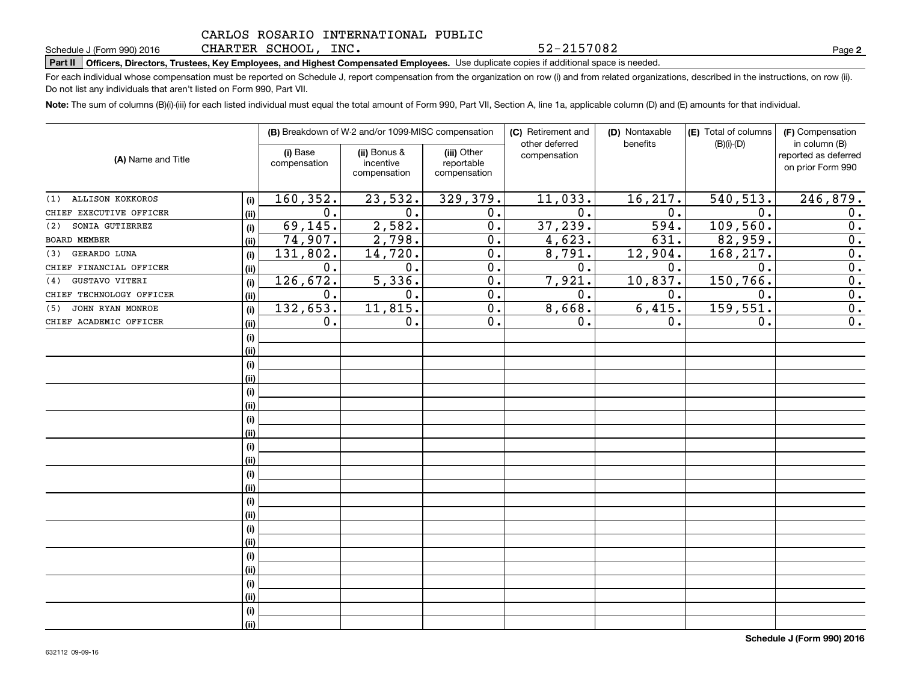#### CARLOS ROSARIO INTERNATIONAL PUBLIC CHARTER SCHOOL, INC.

**Part II Officers, Directors, Trustees, Key Employees, and Highest Compensated Employees.**  Schedule J (Form 990) 2016 Page Use duplicate copies if additional space is needed.

For each individual whose compensation must be reported on Schedule J, report compensation from the organization on row (i) and from related organizations, described in the instructions, on row (ii). Do not list any individuals that aren't listed on Form 990, Part VII.

**Note:**  The sum of columns (B)(i)-(iii) for each listed individual must equal the total amount of Form 990, Part VII, Section A, line 1a, applicable column (D) and (E) amounts for that individual.

|                                |      |                          | (B) Breakdown of W-2 and/or 1099-MISC compensation |                                           | (C) Retirement and<br>other deferred | (D) Nontaxable<br>benefits | (E) Total of columns<br>$(B)(i)-(D)$ | (F) Compensation<br>in column (B)         |
|--------------------------------|------|--------------------------|----------------------------------------------------|-------------------------------------------|--------------------------------------|----------------------------|--------------------------------------|-------------------------------------------|
| (A) Name and Title             |      | (i) Base<br>compensation | (ii) Bonus &<br>incentive<br>compensation          | (iii) Other<br>reportable<br>compensation | compensation                         |                            |                                      | reported as deferred<br>on prior Form 990 |
| <b>ALLISON KOKKOROS</b><br>(1) | (i)  | 160, 352.                | 23,532.                                            | 329,379.                                  | 11,033.                              | 16, 217.                   | 540, 513.                            | 246,879.                                  |
| CHIEF EXECUTIVE OFFICER        | (ii) | 0.                       | 0.                                                 | 0.                                        | $\overline{0}$ .                     | 0.                         | 0.                                   | 0.                                        |
| SONIA GUTIERREZ<br>(2)         | (i)  | 69, 145.                 | 2,582.                                             | $\overline{0}$ .                          | 37,239.                              | 594.                       | 109,560.                             | $\overline{0}$ .                          |
| BOARD MEMBER                   | (ii) | 74,907.                  | 2,798.                                             | 0.                                        | 4,623.                               | 631.                       | 82,959.                              | $\overline{0}$ .                          |
| GERARDO LUNA<br>(3)            | (i)  | 131,802.                 | 14, 720.                                           | 0.                                        | 8,791.                               | 12,904.                    | 168,217.                             | $\overline{0}$ .                          |
| CHIEF FINANCIAL OFFICER        | (ii) | $0$ .                    | 0.                                                 | 0.                                        | 0.                                   | 0.                         | 0.                                   | $\overline{0}$ .                          |
| GUSTAVO VITERI<br>(4)          | (i)  | 126, 672.                | 5,336.                                             | 0.                                        | 7,921.                               | 10, 837.                   | 150,766.                             | 0.                                        |
| CHIEF TECHNOLOGY OFFICER       | (ii) | 0.                       | 0.                                                 | 0.                                        | 0.                                   | 0.                         | 0.                                   | $\overline{0}$ .                          |
| JOHN RYAN MONROE<br>(5)        | (i)  | 132,653.                 | 11,815.                                            | $\overline{0}$ .                          | 8,668.                               | 6,415.                     | 159,551.                             | $\overline{0}$ .                          |
| CHIEF ACADEMIC OFFICER         | (ii) | 0.                       | 0.                                                 | $\overline{0}$ .                          | 0.                                   | 0.                         | 0.                                   | $\overline{0}$ .                          |
|                                | (i)  |                          |                                                    |                                           |                                      |                            |                                      |                                           |
|                                | (ii) |                          |                                                    |                                           |                                      |                            |                                      |                                           |
|                                | (i)  |                          |                                                    |                                           |                                      |                            |                                      |                                           |
|                                | (ii) |                          |                                                    |                                           |                                      |                            |                                      |                                           |
|                                | (i)  |                          |                                                    |                                           |                                      |                            |                                      |                                           |
|                                | (ii) |                          |                                                    |                                           |                                      |                            |                                      |                                           |
|                                | (i)  |                          |                                                    |                                           |                                      |                            |                                      |                                           |
|                                | (ii) |                          |                                                    |                                           |                                      |                            |                                      |                                           |
|                                | (i)  |                          |                                                    |                                           |                                      |                            |                                      |                                           |
|                                | (ii) |                          |                                                    |                                           |                                      |                            |                                      |                                           |
|                                | (i)  |                          |                                                    |                                           |                                      |                            |                                      |                                           |
|                                | (ii) |                          |                                                    |                                           |                                      |                            |                                      |                                           |
|                                | (i)  |                          |                                                    |                                           |                                      |                            |                                      |                                           |
|                                | (ii) |                          |                                                    |                                           |                                      |                            |                                      |                                           |
|                                | (i)  |                          |                                                    |                                           |                                      |                            |                                      |                                           |
|                                | (ii) |                          |                                                    |                                           |                                      |                            |                                      |                                           |
|                                | (i)  |                          |                                                    |                                           |                                      |                            |                                      |                                           |
|                                | (ii) |                          |                                                    |                                           |                                      |                            |                                      |                                           |
|                                | (i)  |                          |                                                    |                                           |                                      |                            |                                      |                                           |
|                                | (ii) |                          |                                                    |                                           |                                      |                            |                                      |                                           |
|                                | (i)  |                          |                                                    |                                           |                                      |                            |                                      |                                           |
|                                | (ii) |                          |                                                    |                                           |                                      |                            |                                      |                                           |

**2**

52-2157082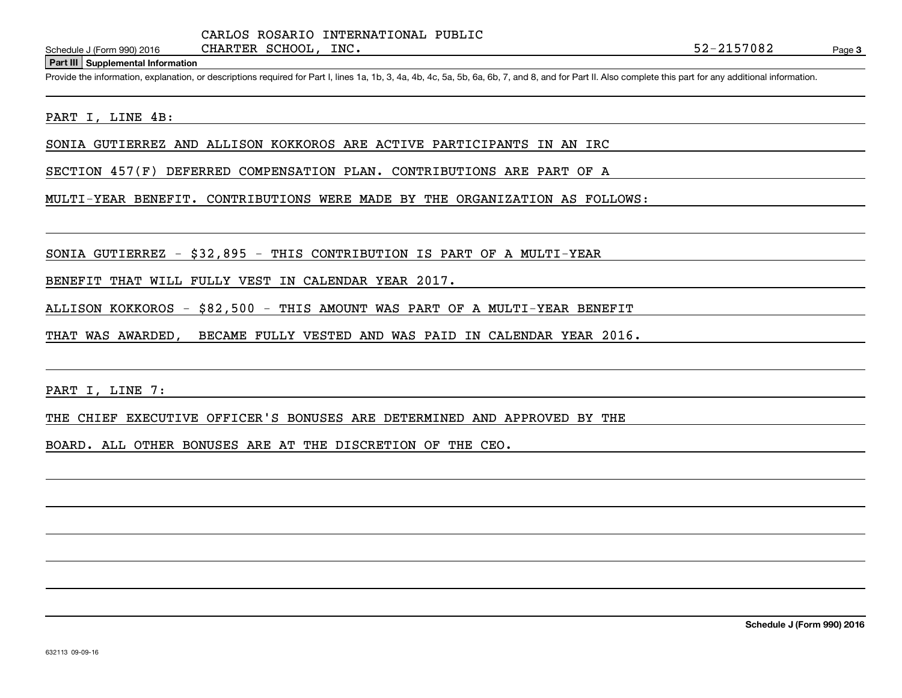CHARTER SCHOOL, INC.

#### **Part III Supplemental Information**

Schedule J (Form 990) 2016 CHARTER SCHOOL, INC.<br>
Part III Supplemental Information<br>
Provide the information, explanation, or descriptions required for Part I, lines 1a, 1b, 3, 4a, 4b, 4c, 5a, 5b, 6a, 6b, 7, and 8, and for

#### PART I, LINE 4B:

SONIA GUTIERREZ AND ALLISON KOKKOROS ARE ACTIVE PARTICIPANTS IN AN IRC

SECTION 457(F) DEFERRED COMPENSATION PLAN. CONTRIBUTIONS ARE PART OF A

MULTI-YEAR BENEFIT. CONTRIBUTIONS WERE MADE BY THE ORGANIZATION AS FOLLOWS:

SONIA GUTIERREZ - \$32,895 - THIS CONTRIBUTION IS PART OF A MULTI-YEAR

BENEFIT THAT WILL FULLY VEST IN CALENDAR YEAR 2017.

ALLISON KOKKOROS - \$82,500 - THIS AMOUNT WAS PART OF A MULTI-YEAR BENEFIT

THAT WAS AWARDED, BECAME FULLY VESTED AND WAS PAID IN CALENDAR YEAR 2016.

PART I, LINE 7:

THE CHIEF EXECUTIVE OFFICER'S BONUSES ARE DETERMINED AND APPROVED BY THE

BOARD. ALL OTHER BONUSES ARE AT THE DISCRETION OF THE CEO.

**Schedule J (Form 990) 2016**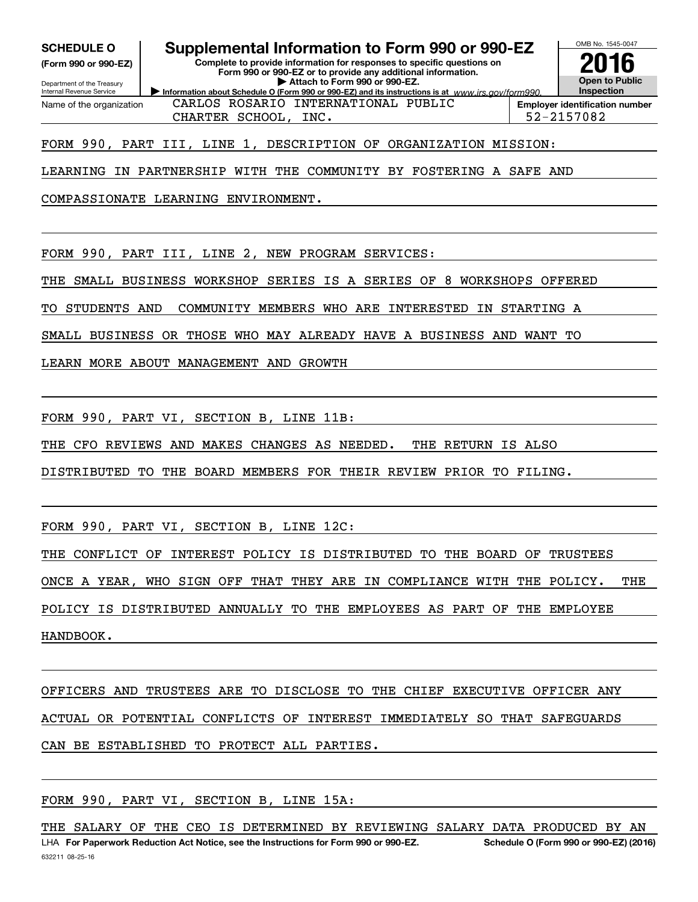**(Form 990 or 990-EZ)**

Department of the Treasury Internal Revenue Service Name of the organization

## **SCHEDULE O Supplemental Information to Form 990 or 990-EZ**

**Information about Schedule O (Form 990 or 990-EZ) and its instructions is at**  $www.irs.gov/form990.$ **Complete to provide information for responses to specific questions on Form 990 or 990-EZ or to provide any additional information. | Attach to Form 990 or 990-EZ.**



CHARTER SCHOOL, INC. 52-2157082 CARLOS ROSARIO INTERNATIONAL PUBLIC

**Employer identification number**

## FORM 990, PART III, LINE 1, DESCRIPTION OF ORGANIZATION MISSION:

LEARNING IN PARTNERSHIP WITH THE COMMUNITY BY FOSTERING A SAFE AND

COMPASSIONATE LEARNING ENVIRONMENT.

FORM 990, PART III, LINE 2, NEW PROGRAM SERVICES:

THE SMALL BUSINESS WORKSHOP SERIES IS A SERIES OF 8 WORKSHOPS OFFERED

TO STUDENTS AND COMMUNITY MEMBERS WHO ARE INTERESTED IN STARTING A

SMALL BUSINESS OR THOSE WHO MAY ALREADY HAVE A BUSINESS AND WANT TO

LEARN MORE ABOUT MANAGEMENT AND GROWTH

FORM 990, PART VI, SECTION B, LINE 11B:

THE CFO REVIEWS AND MAKES CHANGES AS NEEDED. THE RETURN IS ALSO

DISTRIBUTED TO THE BOARD MEMBERS FOR THEIR REVIEW PRIOR TO FILING.

FORM 990, PART VI, SECTION B, LINE 12C:

THE CONFLICT OF INTEREST POLICY IS DISTRIBUTED TO THE BOARD OF TRUSTEES

ONCE A YEAR, WHO SIGN OFF THAT THEY ARE IN COMPLIANCE WITH THE POLICY. THE

POLICY IS DISTRIBUTED ANNUALLY TO THE EMPLOYEES AS PART OF THE EMPLOYEE

HANDBOOK.

OFFICERS AND TRUSTEES ARE TO DISCLOSE TO THE CHIEF EXECUTIVE OFFICER ANY ACTUAL OR POTENTIAL CONFLICTS OF INTEREST IMMEDIATELY SO THAT SAFEGUARDS CAN BE ESTABLISHED TO PROTECT ALL PARTIES.

FORM 990, PART VI, SECTION B, LINE 15A: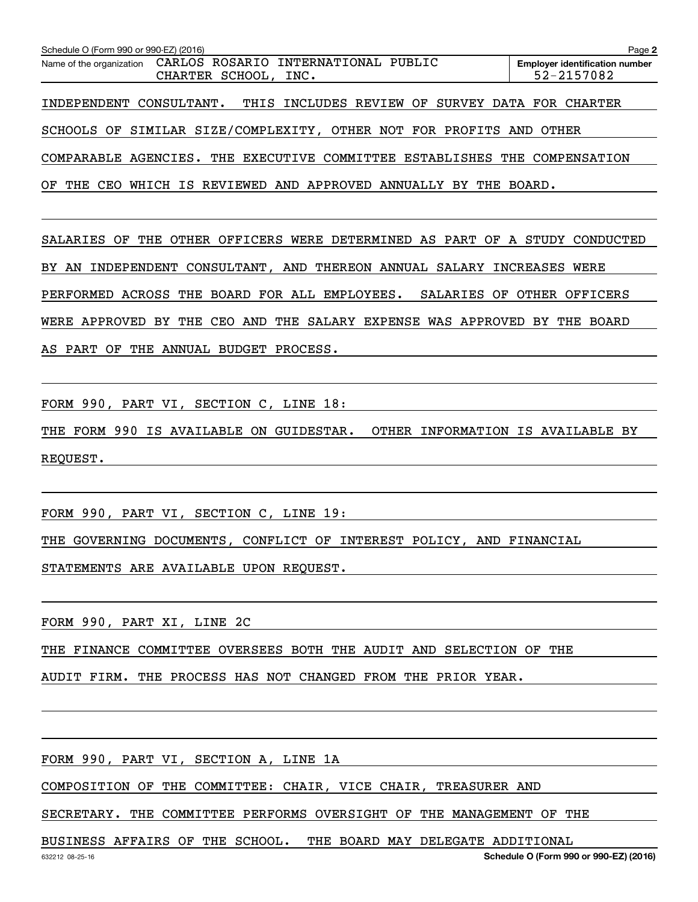| Schedule O (Form 990 or 990-EZ) (2016)                                               | Page 2                                              |
|--------------------------------------------------------------------------------------|-----------------------------------------------------|
| Name of the organization CARLOS ROSARIO INTERNATIONAL PUBLIC<br>CHARTER SCHOOL, INC. | <b>Employer identification number</b><br>52-2157082 |
| THIS INCLUDES REVIEW OF SURVEY DATA FOR CHARTER<br>INDEPENDENT CONSULTANT.           |                                                     |
| SCHOOLS OF SIMILAR SIZE/COMPLEXITY, OTHER NOT FOR PROFITS AND OTHER                  |                                                     |
| COMPARABLE AGENCIES. THE EXECUTIVE COMMITTEE ESTABLISHES THE COMPENSATION            |                                                     |

OF THE CEO WHICH IS REVIEWED AND APPROVED ANNUALLY BY THE BOARD.

SALARIES OF THE OTHER OFFICERS WERE DETERMINED AS PART OF A STUDY CONDUCTED BY AN INDEPENDENT CONSULTANT, AND THEREON ANNUAL SALARY INCREASES WERE PERFORMED ACROSS THE BOARD FOR ALL EMPLOYEES. SALARIES OF OTHER OFFICERS WERE APPROVED BY THE CEO AND THE SALARY EXPENSE WAS APPROVED BY THE BOARD AS PART OF THE ANNUAL BUDGET PROCESS.

FORM 990, PART VI, SECTION C, LINE 18:

THE FORM 990 IS AVAILABLE ON GUIDESTAR. OTHER INFORMATION IS AVAILABLE BY REQUEST.

FORM 990, PART VI, SECTION C, LINE 19:

THE GOVERNING DOCUMENTS, CONFLICT OF INTEREST POLICY, AND FINANCIAL

STATEMENTS ARE AVAILABLE UPON REQUEST.

FORM 990, PART XI, LINE 2C

THE FINANCE COMMITTEE OVERSEES BOTH THE AUDIT AND SELECTION OF THE

AUDIT FIRM. THE PROCESS HAS NOT CHANGED FROM THE PRIOR YEAR.

FORM 990, PART VI, SECTION A, LINE 1A

COMPOSITION OF THE COMMITTEE: CHAIR, VICE CHAIR, TREASURER AND

SECRETARY. THE COMMITTEE PERFORMS OVERSIGHT OF THE MANAGEMENT OF THE

BUSINESS AFFAIRS OF THE SCHOOL. THE BOARD MAY DELEGATE ADDITIONAL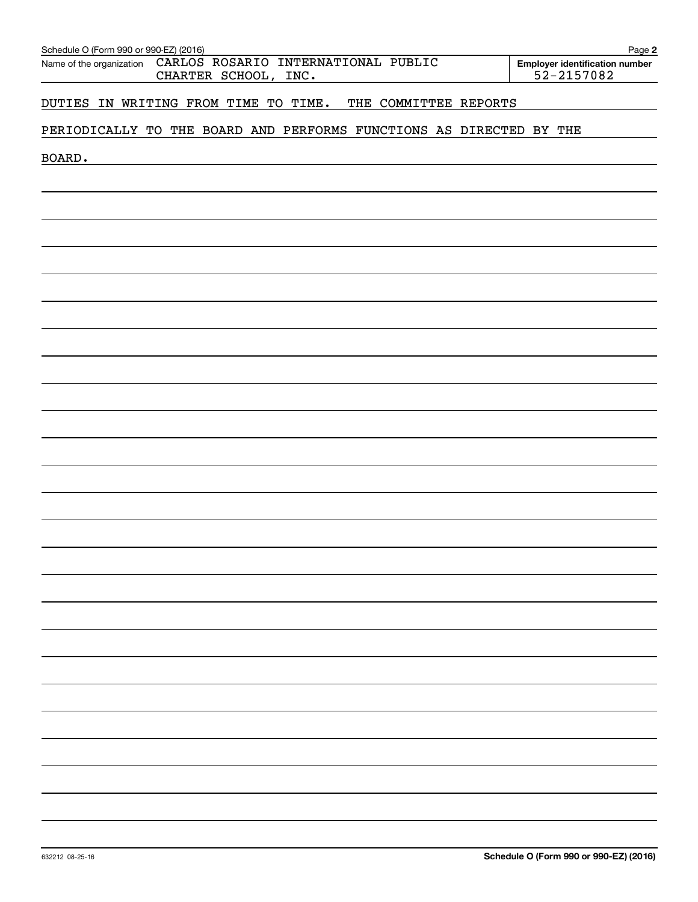| Schedule O (Form 990 or 990-EZ) (2016)<br>CARLOS ROSARIO INTERNATIONAL PUBLIC<br>Name of the organization | Page 2<br><b>Employer identification number</b> |
|-----------------------------------------------------------------------------------------------------------|-------------------------------------------------|
| CHARTER SCHOOL, INC.                                                                                      | 52-2157082                                      |
| DUTIES IN WRITING FROM TIME TO TIME.<br>THE COMMITTEE REPORTS                                             |                                                 |
| PERIODICALLY TO THE BOARD AND PERFORMS FUNCTIONS AS DIRECTED BY THE                                       |                                                 |
| BOARD.                                                                                                    |                                                 |
|                                                                                                           |                                                 |
|                                                                                                           |                                                 |
|                                                                                                           |                                                 |
|                                                                                                           |                                                 |
|                                                                                                           |                                                 |
|                                                                                                           |                                                 |
|                                                                                                           |                                                 |
|                                                                                                           |                                                 |
|                                                                                                           |                                                 |
|                                                                                                           |                                                 |
|                                                                                                           |                                                 |
|                                                                                                           |                                                 |
|                                                                                                           |                                                 |
|                                                                                                           |                                                 |
|                                                                                                           |                                                 |
|                                                                                                           |                                                 |
|                                                                                                           |                                                 |
|                                                                                                           |                                                 |
|                                                                                                           |                                                 |
|                                                                                                           |                                                 |
|                                                                                                           |                                                 |
|                                                                                                           |                                                 |
|                                                                                                           |                                                 |
|                                                                                                           |                                                 |
|                                                                                                           |                                                 |
|                                                                                                           |                                                 |
|                                                                                                           |                                                 |
|                                                                                                           |                                                 |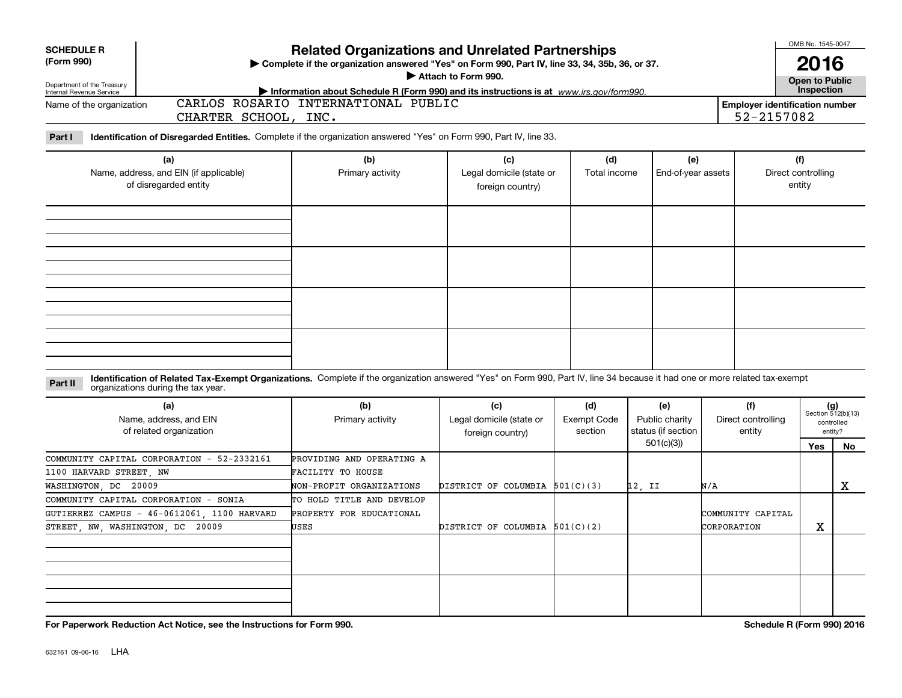| <b>SCHEDULE R</b><br>(Form 990)                                        |                                                        |                                                                                                                                                                                                                   | <b>Related Organizations and Unrelated Partnerships</b><br>> Complete if the organization answered "Yes" on Form 990, Part IV, line 33, 34, 35b, 36, or 37.<br>Attach to Form 990. |                                                     | OMB No. 1545-0047<br>2016                           |                                             |                                     |                                     |                                                      |           |
|------------------------------------------------------------------------|--------------------------------------------------------|-------------------------------------------------------------------------------------------------------------------------------------------------------------------------------------------------------------------|------------------------------------------------------------------------------------------------------------------------------------------------------------------------------------|-----------------------------------------------------|-----------------------------------------------------|---------------------------------------------|-------------------------------------|-------------------------------------|------------------------------------------------------|-----------|
|                                                                        | Department of the Treasury<br>Internal Revenue Service |                                                                                                                                                                                                                   | Information about Schedule R (Form 990) and its instructions is at www.irs.gov/form990.                                                                                            |                                                     |                                                     |                                             |                                     |                                     | <b>Open to Public<br/>Inspection</b>                 |           |
|                                                                        | Name of the organization                               | CHARTER SCHOOL, INC.                                                                                                                                                                                              | CARLOS ROSARIO INTERNATIONAL PUBLIC                                                                                                                                                |                                                     | <b>Employer identification number</b><br>52-2157082 |                                             |                                     |                                     |                                                      |           |
| Part I                                                                 |                                                        | Identification of Disregarded Entities. Complete if the organization answered "Yes" on Form 990, Part IV, line 33.                                                                                                |                                                                                                                                                                                    |                                                     |                                                     |                                             |                                     |                                     |                                                      |           |
| (a)<br>Name, address, and EIN (if applicable)<br>of disregarded entity |                                                        |                                                                                                                                                                                                                   | (b)<br>(c)<br>Legal domicile (state or<br>Primary activity<br>foreign country)                                                                                                     |                                                     | (d)<br>Total income                                 | (e)<br>End-of-year assets                   |                                     | (f)<br>Direct controlling<br>entity |                                                      |           |
|                                                                        |                                                        |                                                                                                                                                                                                                   |                                                                                                                                                                                    |                                                     |                                                     |                                             |                                     |                                     |                                                      |           |
| Part II                                                                |                                                        | Identification of Related Tax-Exempt Organizations. Complete if the organization answered "Yes" on Form 990, Part IV, line 34 because it had one or more related tax-exempt<br>organizations during the tax year. |                                                                                                                                                                                    |                                                     |                                                     |                                             |                                     |                                     |                                                      |           |
|                                                                        |                                                        | (a)<br>Name, address, and EIN<br>of related organization                                                                                                                                                          | (b)<br>Primary activity                                                                                                                                                            | (c)<br>Legal domicile (state or<br>foreign country) | (d)<br><b>Exempt Code</b><br>section                | (e)<br>Public charity<br>status (if section | (f)<br>Direct controlling<br>entity |                                     | $(g)$<br>Section 512(b)(13)<br>controlled<br>entity? |           |
|                                                                        |                                                        |                                                                                                                                                                                                                   |                                                                                                                                                                                    |                                                     |                                                     | 501(c)(3)                                   |                                     |                                     | Yes                                                  | <b>No</b> |
|                                                                        | 1100 HARVARD STREET, NW<br>WASHINGTON, DC 20009        | COMMUNITY CAPITAL CORPORATION - 52-2332161                                                                                                                                                                        | PROVIDING AND OPERATING A<br>FACILITY TO HOUSE<br>NON-PROFIT ORGANIZATIONS                                                                                                         | DISTRICT OF COLUMBIA $501(C)(3)$                    |                                                     | 12, II                                      | N/A                                 |                                     |                                                      | X         |
|                                                                        |                                                        | COMMUNITY CAPITAL CORPORATION - SONIA                                                                                                                                                                             | TO HOLD TITLE AND DEVELOP                                                                                                                                                          |                                                     |                                                     |                                             |                                     |                                     |                                                      |           |
|                                                                        |                                                        | GUTIERREZ CAMPUS - 46-0612061, 1100 HARVARD                                                                                                                                                                       | PROPERTY FOR EDUCATIONAL                                                                                                                                                           |                                                     |                                                     |                                             | COMMUNITY CAPITAL                   |                                     |                                                      |           |
| STREET NW WASHINGTON DC 20009                                          |                                                        |                                                                                                                                                                                                                   | USES                                                                                                                                                                               | DISTRICT OF COLUMBIA 501(C)(2)                      |                                                     |                                             | CORPORATION                         |                                     | X                                                    |           |
|                                                                        |                                                        |                                                                                                                                                                                                                   |                                                                                                                                                                                    |                                                     |                                                     |                                             |                                     |                                     |                                                      |           |
|                                                                        |                                                        |                                                                                                                                                                                                                   |                                                                                                                                                                                    |                                                     |                                                     |                                             |                                     |                                     |                                                      |           |

**For Paperwork Reduction Act Notice, see the Instructions for Form 990. Schedule R (Form 990) 2016**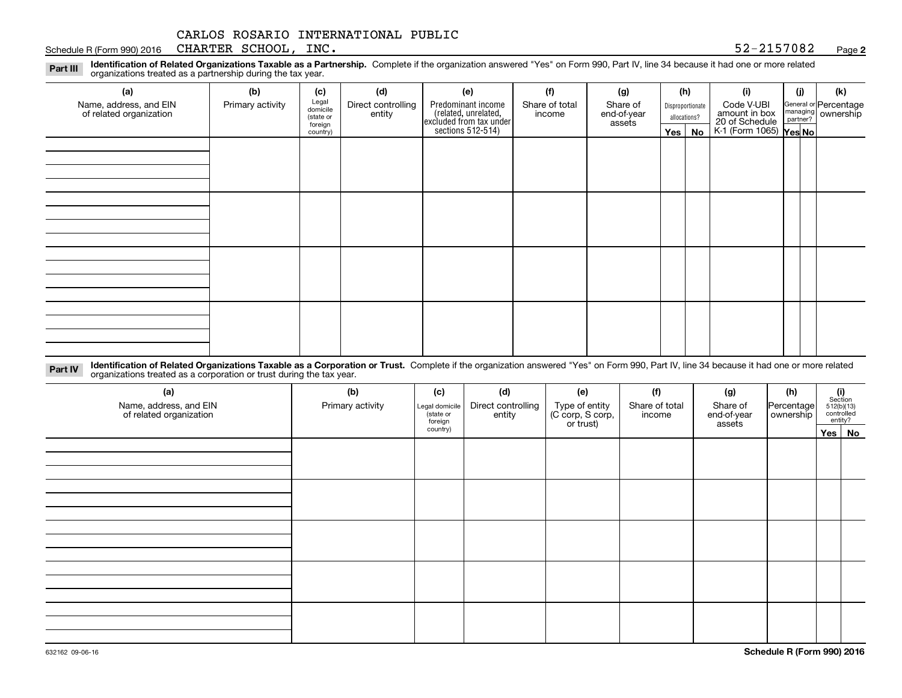#### Schedule R (Form 990) 2016 CHARTER SCHOOL, INC. 52-2157082 <sub>Page</sub>

**2**

**Identification of Related Organizations Taxable as a Partnership.** Complete if the organization answered "Yes" on Form 990, Part IV, line 34 because it had one or more related **Part III** organizations treated as a partnership during the tax year.

| (a)                                               | (b)              | (c)                  | (d)               | (e)                                                                  | (f)                | (g)                      |              | (h)              | (i)                                                       | (i)        | (k) |                                                           |
|---------------------------------------------------|------------------|----------------------|-------------------|----------------------------------------------------------------------|--------------------|--------------------------|--------------|------------------|-----------------------------------------------------------|------------|-----|-----------------------------------------------------------|
| Name, address, and EIN<br>of related organization | Primary activity |                      | Legal<br>domicile | Direct controlling<br>entity                                         | Predominant income | Share of total<br>income | Share of     | Disproportionate |                                                           | Code V-UBI |     | General or Percentage<br>managing<br>partner?<br>partner? |
|                                                   |                  | (state or<br>foreign |                   | (related, unrelated,<br>excluded from tax under<br>sections 512-514) |                    | end-of-year<br>assets    | allocations? |                  |                                                           |            |     |                                                           |
|                                                   |                  | country)             |                   |                                                                      |                    |                          | Yes $ $      | No               | amount in box<br>20 of Schedule<br>K-1 (Form 1065) Yes No |            |     |                                                           |
|                                                   |                  |                      |                   |                                                                      |                    |                          |              |                  |                                                           |            |     |                                                           |
|                                                   |                  |                      |                   |                                                                      |                    |                          |              |                  |                                                           |            |     |                                                           |
|                                                   |                  |                      |                   |                                                                      |                    |                          |              |                  |                                                           |            |     |                                                           |
|                                                   |                  |                      |                   |                                                                      |                    |                          |              |                  |                                                           |            |     |                                                           |
|                                                   |                  |                      |                   |                                                                      |                    |                          |              |                  |                                                           |            |     |                                                           |
|                                                   |                  |                      |                   |                                                                      |                    |                          |              |                  |                                                           |            |     |                                                           |
|                                                   |                  |                      |                   |                                                                      |                    |                          |              |                  |                                                           |            |     |                                                           |
|                                                   |                  |                      |                   |                                                                      |                    |                          |              |                  |                                                           |            |     |                                                           |
|                                                   |                  |                      |                   |                                                                      |                    |                          |              |                  |                                                           |            |     |                                                           |
|                                                   |                  |                      |                   |                                                                      |                    |                          |              |                  |                                                           |            |     |                                                           |
|                                                   |                  |                      |                   |                                                                      |                    |                          |              |                  |                                                           |            |     |                                                           |
|                                                   |                  |                      |                   |                                                                      |                    |                          |              |                  |                                                           |            |     |                                                           |
|                                                   |                  |                      |                   |                                                                      |                    |                          |              |                  |                                                           |            |     |                                                           |
|                                                   |                  |                      |                   |                                                                      |                    |                          |              |                  |                                                           |            |     |                                                           |
|                                                   |                  |                      |                   |                                                                      |                    |                          |              |                  |                                                           |            |     |                                                           |
|                                                   |                  |                      |                   |                                                                      |                    |                          |              |                  |                                                           |            |     |                                                           |
|                                                   |                  |                      |                   |                                                                      |                    |                          |              |                  |                                                           |            |     |                                                           |

**Identification of Related Organizations Taxable as a Corporation or Trust.** Complete if the organization answered "Yes" on Form 990, Part IV, line 34 because it had one or more related **Part IV** organizations treated as a corporation or trust during the tax year.

| (a)<br>Name, address, and EIN<br>of related organization | (b)<br>Primary activity | (c)<br>Legal domicile<br>state or<br>foreign | (d)<br>Direct controlling<br>entity | (e)<br>Type of entity<br>(C corp, S corp,<br>or trust) | (f)<br>Share of total<br>income | (g)<br>Share of<br>end-of-year<br>assets | (h)<br>Percentage<br>ownership | $\begin{array}{c} \textbf{(i)}\\ \text{Section}\\ 512 \text{(b)} \text{(13)}\\ \text{controlled}\\ \text{entity?} \end{array}$ |
|----------------------------------------------------------|-------------------------|----------------------------------------------|-------------------------------------|--------------------------------------------------------|---------------------------------|------------------------------------------|--------------------------------|--------------------------------------------------------------------------------------------------------------------------------|
|                                                          |                         | country)                                     |                                     |                                                        |                                 |                                          |                                | Yes   No                                                                                                                       |
|                                                          |                         |                                              |                                     |                                                        |                                 |                                          |                                |                                                                                                                                |
|                                                          |                         |                                              |                                     |                                                        |                                 |                                          |                                |                                                                                                                                |
|                                                          |                         |                                              |                                     |                                                        |                                 |                                          |                                |                                                                                                                                |
|                                                          |                         |                                              |                                     |                                                        |                                 |                                          |                                |                                                                                                                                |
|                                                          |                         |                                              |                                     |                                                        |                                 |                                          |                                |                                                                                                                                |
|                                                          |                         |                                              |                                     |                                                        |                                 |                                          |                                |                                                                                                                                |
|                                                          |                         |                                              |                                     |                                                        |                                 |                                          |                                |                                                                                                                                |
|                                                          |                         |                                              |                                     |                                                        |                                 |                                          |                                |                                                                                                                                |
|                                                          |                         |                                              |                                     |                                                        |                                 |                                          |                                |                                                                                                                                |
|                                                          |                         |                                              |                                     |                                                        |                                 |                                          |                                |                                                                                                                                |
|                                                          |                         |                                              |                                     |                                                        |                                 |                                          |                                |                                                                                                                                |
|                                                          |                         |                                              |                                     |                                                        |                                 |                                          |                                |                                                                                                                                |
|                                                          |                         |                                              |                                     |                                                        |                                 |                                          |                                |                                                                                                                                |
|                                                          |                         |                                              |                                     |                                                        |                                 |                                          |                                |                                                                                                                                |
|                                                          |                         |                                              |                                     |                                                        |                                 |                                          |                                |                                                                                                                                |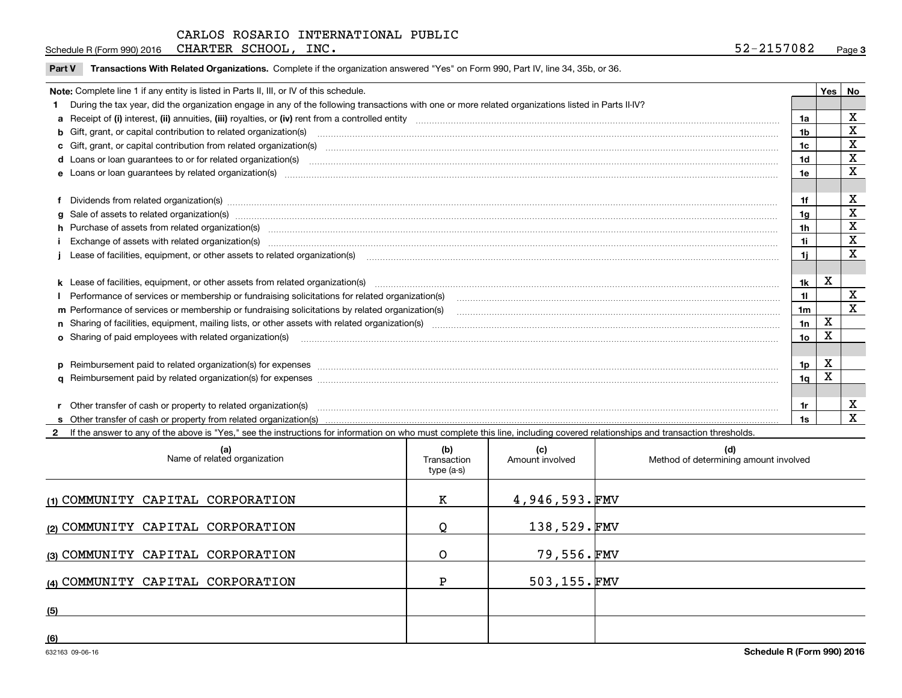Schedule R (Form 990) 2016 CHARTER SCHOOL, INC. 52-2157082 <sub>Page</sub>

|  | Part V Transactions With Related Organizations. Complete if the organization answered "Yes" on Form 990, Part IV, line 34, 35b, or 36. |  |  |
|--|----------------------------------------------------------------------------------------------------------------------------------------|--|--|
|--|----------------------------------------------------------------------------------------------------------------------------------------|--|--|

| Note: Complete line 1 if any entity is listed in Parts II, III, or IV of this schedule.                                                                                                                                        |                | Yes | No          |
|--------------------------------------------------------------------------------------------------------------------------------------------------------------------------------------------------------------------------------|----------------|-----|-------------|
| During the tax year, did the organization engage in any of the following transactions with one or more related organizations listed in Parts II-IV?                                                                            |                |     |             |
|                                                                                                                                                                                                                                | 1a             |     | X           |
| b Gift, grant, or capital contribution to related organization(s) manufaction contracts and contribution to related organization(s)                                                                                            | 1b             |     | X           |
|                                                                                                                                                                                                                                | 1c             |     | X           |
| d Loans or loan guarantees to or for related organization(s) committion contracts are constructed as a control or contract or contract or contract or contract or contract or contract or contract or contract or contract or  | 1d             |     | X           |
|                                                                                                                                                                                                                                | 1e             |     | X           |
|                                                                                                                                                                                                                                |                |     |             |
| Dividends from related organization(s) manufactured and contract and contract and contract and contract and contract and contract and contract and contract and contract and contract and contract and contract and contract a | 1f             |     | X           |
| g Sale of assets to related organization(s) www.assetsion.com/www.assetsion.com/www.assetsion.com/www.assetsion.com/www.assetsion.com/www.assetsion.com/www.assetsion.com/www.assetsion.com/www.assetsion.com/www.assetsion.co | 1a             |     | X           |
| h Purchase of assets from related organization(s) manufactured content to content the content of the content of the content of the content of the content of the content of the content of the content of the content of the c | 1 <sub>h</sub> |     | X           |
| i Exchange of assets with related organization(s) machinamic material contracts and a set of a set set of an anti-                                                                                                             | 1i             |     | $\mathbf X$ |
| Lease of facilities, equipment, or other assets to related organization(s) material content and content and content and content and content and content and content and content and content and content and content and conten | 11             |     | X           |
|                                                                                                                                                                                                                                |                |     |             |
|                                                                                                                                                                                                                                | 1k             | X   |             |
|                                                                                                                                                                                                                                | 11             |     | X           |
| m Performance of services or membership or fundraising solicitations by related organization(s)                                                                                                                                | 1 <sub>m</sub> |     | X           |
|                                                                                                                                                                                                                                | 1n             | X   |             |
| <b>o</b> Sharing of paid employees with related organization(s)                                                                                                                                                                | 1о             | X   |             |
|                                                                                                                                                                                                                                |                |     |             |
| p Reimbursement paid to related organization(s) for expenses [1111] and the content of the content of the content of the content of the content of the content of the content of the content of the content of the content of  | 1p             | X   |             |
|                                                                                                                                                                                                                                | 1 <sub>q</sub> | x   |             |
|                                                                                                                                                                                                                                |                |     |             |
| Other transfer of cash or property to related organization(s)                                                                                                                                                                  | 1r             |     | X           |
|                                                                                                                                                                                                                                |                |     | X           |

**2**If the answer to any of the above is "Yes," see the instructions for information on who must complete this line, including covered relationships and transaction thresholds.

| (a)<br>Name of related organization | (b)<br>Transaction<br>type (a-s) | (c)<br>Amount involved | (d)<br>Method of determining amount involved |
|-------------------------------------|----------------------------------|------------------------|----------------------------------------------|
| (1) COMMUNITY CAPITAL CORPORATION   | К                                | $4,946,593.\text{FMV}$ |                                              |
| (2) COMMUNITY CAPITAL CORPORATION   |                                  | 138,529.FMV            |                                              |
| (3) COMMUNITY CAPITAL CORPORATION   |                                  | 79,556.FMV             |                                              |
| (4) COMMUNITY CAPITAL CORPORATION   | Р                                | 503,155.FMV            |                                              |
| (5)                                 |                                  |                        |                                              |
| (6)                                 |                                  |                        |                                              |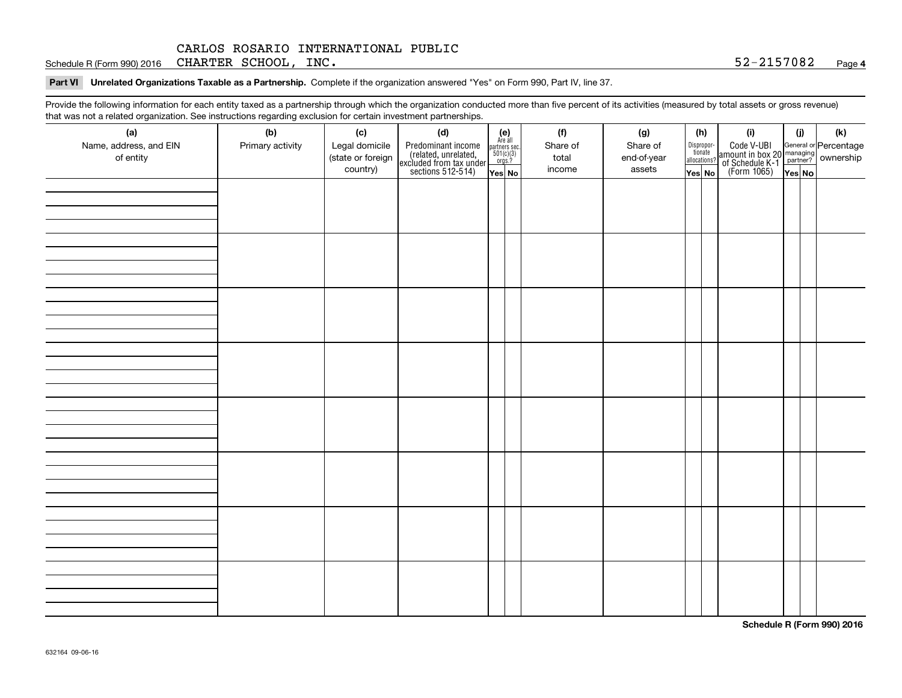Schedule R (Form 990) 2016 CHARTER SCHOOL, INC. 52-2157082 <sub>Page</sub>

**Part VI Unrelated Organizations Taxable as a Partnership. Complete if the organization answered "Yes" on Form 990, Part IV, line 37.** 

Provide the following information for each entity taxed as a partnership through which the organization conducted more than five percent of its activities (measured by total assets or gross revenue) that was not a related organization. See instructions regarding exclusion for certain investment partnerships.

| (a)<br>Name, address, and EIN<br>of entity | (b)<br>Primary activity | (c)<br>Legal domicile<br>(state or foreign<br>country) | (d)<br>Predominant income<br>(related, unrelated,<br>excluded from tax under<br>sections 512-514) | $\begin{array}{c} \textbf{(e)}\\ \text{Are all} \\ \text{partners sec.}\\ 501(c)(3)\\ \text{orgs.?} \end{array}$<br>Yes No | (f)<br>Share of<br>total<br>income | (g)<br>Share of<br>end-of-year<br>assets | (h)<br>Dispropor-<br>tionate<br>allocations?<br>Yes No | (i)<br>Code V-UBI<br>  amount in box 20 managing<br>  of Schedule K-1 partner? ownership<br>  of Schedule K-1 partner? ownership<br>  Yes No | (i)<br>Yes No | (k) |
|--------------------------------------------|-------------------------|--------------------------------------------------------|---------------------------------------------------------------------------------------------------|----------------------------------------------------------------------------------------------------------------------------|------------------------------------|------------------------------------------|--------------------------------------------------------|----------------------------------------------------------------------------------------------------------------------------------------------|---------------|-----|
|                                            |                         |                                                        |                                                                                                   |                                                                                                                            |                                    |                                          |                                                        |                                                                                                                                              |               |     |
|                                            |                         |                                                        |                                                                                                   |                                                                                                                            |                                    |                                          |                                                        |                                                                                                                                              |               |     |
|                                            |                         |                                                        |                                                                                                   |                                                                                                                            |                                    |                                          |                                                        |                                                                                                                                              |               |     |
|                                            |                         |                                                        |                                                                                                   |                                                                                                                            |                                    |                                          |                                                        |                                                                                                                                              |               |     |
|                                            |                         |                                                        |                                                                                                   |                                                                                                                            |                                    |                                          |                                                        |                                                                                                                                              |               |     |
|                                            |                         |                                                        |                                                                                                   |                                                                                                                            |                                    |                                          |                                                        |                                                                                                                                              |               |     |
|                                            |                         |                                                        |                                                                                                   |                                                                                                                            |                                    |                                          |                                                        |                                                                                                                                              |               |     |
|                                            |                         |                                                        |                                                                                                   |                                                                                                                            |                                    |                                          |                                                        |                                                                                                                                              |               |     |

**Schedule R (Form 990) 2016**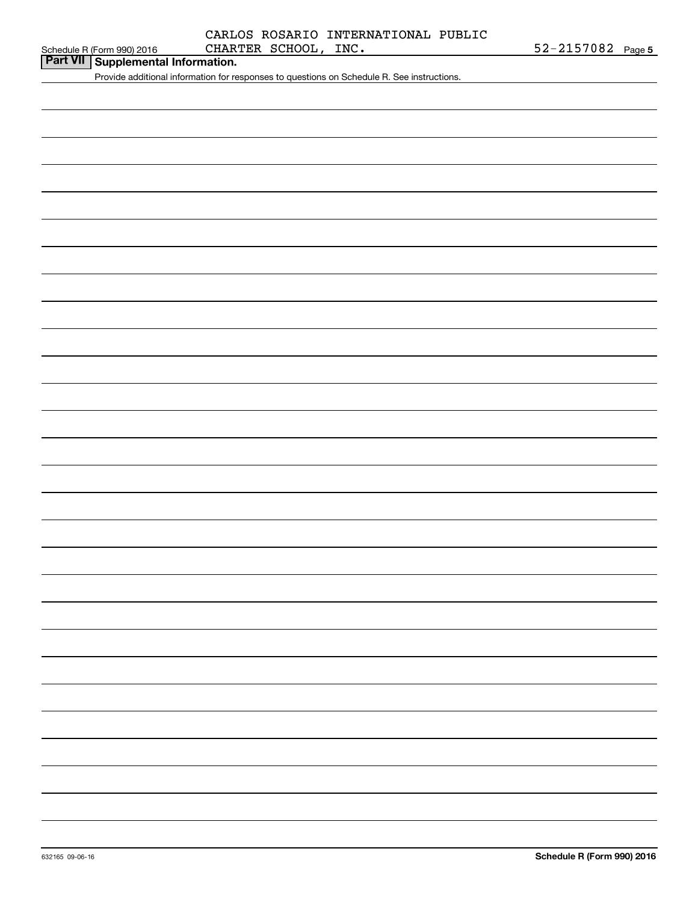## Schedule R (Form 990) 2016 CHARTER SCHOOL, INC  $\bullet$  52-2157082 Page CARLOS ROSARIO INTERNATIONAL PUBLIC

**Part VII Supplemental Information.**

Provide additional information for responses to questions on Schedule R. See instructions.